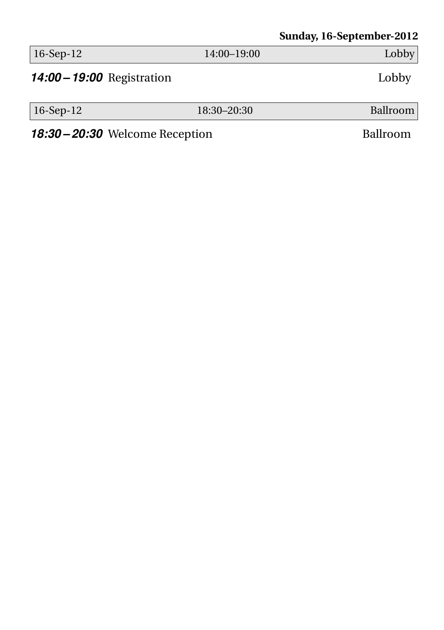#### **Sunday, 16-September-2012**

| $ 16-Sep-12$                           | 14:00-19:00 | Lobby    |
|----------------------------------------|-------------|----------|
| <b>14:00 - 19:00</b> Registration      |             | Lobby    |
| $ 16-Sep-12$                           | 18:30-20:30 | Ballroom |
| <b>18:30 – 20:30</b> Welcome Reception |             | Ballroom |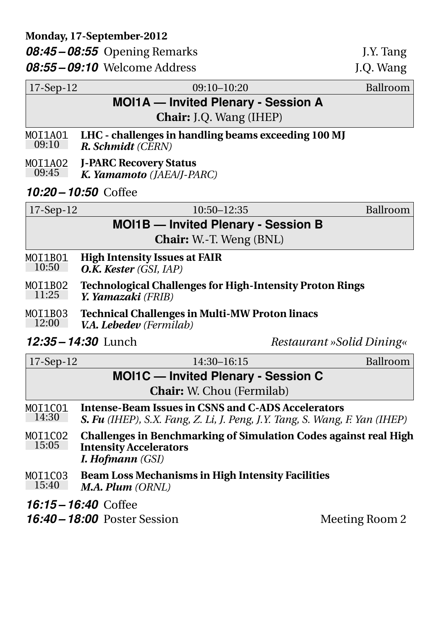17-Sep-12 09:10–10:20 Ballroom **MOI1A — Invited Plenary - Session A Chair:** J.Q. Wang (IHEP) MOI1A01 09:10 **LHC - challenges in handling beams exceeding 100 MJ** *R. Schmidt (CERN)* MOT1A02 09:45 **J-PARC Recovery Status** *K. Yamamoto (JAEA/J-PARC) 10:20 – 10:50* Coffee 17-Sep-12 10:50–12:35 Ballroom **MOI1B — Invited Plenary - Session B Chair:** W.-T. Weng (BNL) MOI1B01 10:50 **High Intensity Issues at FAIR** *O.K. Kester (GSI, IAP)* MOI1B02 11:25 **Technological Challenges for High-Intensity Proton Rings** *Y. Yamazaki (FRIB)* MOI1B03 **Technical Challenges in Multi-MW Proton linacs**

12:00 *V.A. Lebedev (Fermilab)*

*12:35 – 14:30* Lunch *Restaurant »Solid Dining«*

| $17-Sep-12$                                | 14:30-16:15                                                                                                                      | Ballroom |
|--------------------------------------------|----------------------------------------------------------------------------------------------------------------------------------|----------|
| <b>MOI1C</b> — Invited Plenary - Session C |                                                                                                                                  |          |
|                                            | <b>Chair:</b> W. Chou (Fermilab)                                                                                                 |          |
| MOI1C01<br>14:30                           | Intense-Beam Issues in CSNS and C-ADS Accelerators<br>S. Fu (IHEP), S.X. Fang, Z. Li, J. Peng, J.Y. Tang, S. Wang, F. Yan (IHEP) |          |
| MOI1CO2<br>15:05                           | <b>Challenges in Benchmarking of Simulation Codes against real High</b><br><b>Intensity Accelerators</b><br>I. Hofmann (GSI)     |          |
| MOI1C03<br>15:40                           | <b>Beam Loss Mechanisms in High Intensity Facilities</b><br>M.A. Plum (ORNL)                                                     |          |
| 16:15 – 16:40 Coffee                       |                                                                                                                                  |          |
|                                            | <b>16:40 – 18:00</b> Poster Session<br>Meeting Room 2                                                                            |          |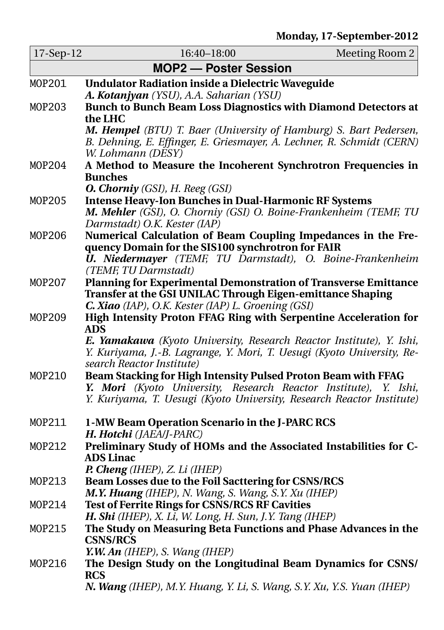| 17-Sep-12 | 16:40-18:00<br>Meeting Room 2                                                                                                                  |  |  |
|-----------|------------------------------------------------------------------------------------------------------------------------------------------------|--|--|
|           | <b>MOP2 - Poster Session</b>                                                                                                                   |  |  |
| MOP201    | <b>Undulator Radiation inside a Dielectric Waveguide</b>                                                                                       |  |  |
|           | A. Kotanjyan (YSU), A.A. Saharian (YSU)                                                                                                        |  |  |
| MOP203    | Bunch to Bunch Beam Loss Diagnostics with Diamond Detectors at                                                                                 |  |  |
|           | the LHC                                                                                                                                        |  |  |
|           | M. Hempel (BTU) T. Baer (University of Hamburg) S. Bart Pedersen,                                                                              |  |  |
|           | B. Dehning, E. Effinger, E. Griesmayer, A. Lechner, R. Schmidt (CERN)                                                                          |  |  |
|           | W. Lohmann (DESY)                                                                                                                              |  |  |
| MOP204    | A Method to Measure the Incoherent Synchrotron Frequencies in                                                                                  |  |  |
|           | <b>Bunches</b><br><b>O. Chorniy</b> (GSI), H. Reeg (GSI)                                                                                       |  |  |
| MOP205    | <b>Intense Heavy-Ion Bunches in Dual-Harmonic RF Systems</b>                                                                                   |  |  |
|           | M. Mehler (GSI), O. Chorniy (GSI) O. Boine-Frankenheim (TEMF, TU                                                                               |  |  |
|           | Darmstadt) O.K. Kester (IAP)                                                                                                                   |  |  |
| MOP206    | Numerical Calculation of Beam Coupling Impedances in the Fre-                                                                                  |  |  |
|           | quency Domain for the SIS100 synchrotron for FAIR                                                                                              |  |  |
|           | U. Niedermayer (TEMF, TU Darmstadt), O. Boine-Frankenheim                                                                                      |  |  |
|           | (TEMF, TU Darmstadt)                                                                                                                           |  |  |
| MOP207    | Planning for Experimental Demonstration of Transverse Emittance                                                                                |  |  |
|           | Transfer at the GSI UNILAC Through Eigen-emittance Shaping                                                                                     |  |  |
|           | C. Xiao (IAP), O.K. Kester (IAP) L. Groening (GSI)                                                                                             |  |  |
| MOP209    | High Intensity Proton FFAG Ring with Serpentine Acceleration for                                                                               |  |  |
|           | <b>ADS</b>                                                                                                                                     |  |  |
|           | E. Yamakawa (Kyoto University, Research Reactor Institute), Y. Ishi,<br>Y. Kuriyama, J.-B. Lagrange, Y. Mori, T. Uesugi (Kyoto University, Re- |  |  |
|           | search Reactor Institute)                                                                                                                      |  |  |
| MOP210    | Beam Stacking for High Intensity Pulsed Proton Beam with FFAG                                                                                  |  |  |
|           | Y. Mori (Kyoto University, Research Reactor Institute),<br>Y. Ishi,                                                                            |  |  |
|           | Y. Kuriyama, T. Uesugi (Kyoto University, Research Reactor Institute)                                                                          |  |  |
|           |                                                                                                                                                |  |  |
| MOP211    | 1-MW Beam Operation Scenario in the J-PARC RCS                                                                                                 |  |  |
|           | H. Hotchi (JAEA/J-PARC)                                                                                                                        |  |  |
| MOP212    | Preliminary Study of HOMs and the Associated Instabilities for C-                                                                              |  |  |
|           | <b>ADS Linac</b>                                                                                                                               |  |  |
|           | P. Cheng (IHEP), Z. Li (IHEP)                                                                                                                  |  |  |
| MOP213    | Beam Losses due to the Foil Sacttering for CSNS/RCS<br>M.Y. Huang (IHEP), N. Wang, S. Wang, S.Y. Xu (IHEP)                                     |  |  |
| MOP214    | <b>Test of Ferrite Rings for CSNS/RCS RF Cavities</b>                                                                                          |  |  |
|           | H. Shi (IHEP), X. Li, W. Long, H. Sun, J.Y. Tang (IHEP)                                                                                        |  |  |
| MOP215    | The Study on Measuring Beta Functions and Phase Advances in the                                                                                |  |  |
|           | <b>CSNS/RCS</b>                                                                                                                                |  |  |
|           | Y.W. An (IHEP), S. Wang (IHEP)                                                                                                                 |  |  |
| MOP216    | The Design Study on the Longitudinal Beam Dynamics for CSNS/                                                                                   |  |  |
|           | <b>RCS</b>                                                                                                                                     |  |  |
|           | N. Wang (IHEP), M.Y. Huang, Y. Li, S. Wang, S.Y. Xu, Y.S. Yuan (IHEP)                                                                          |  |  |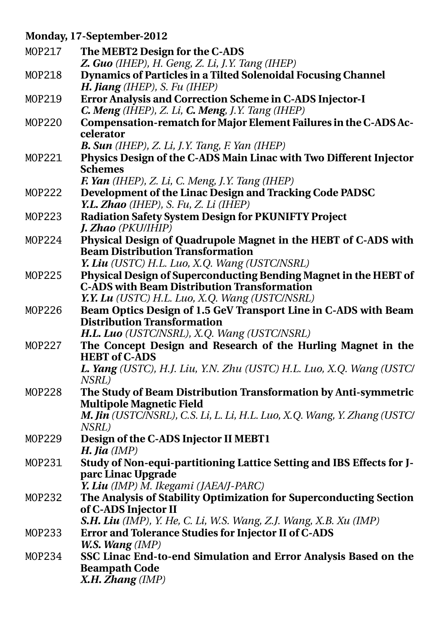#### **Monday, 17-September-2012**

| MOP217 | The MEBT2 Design for the C-ADS                                                                              |
|--------|-------------------------------------------------------------------------------------------------------------|
|        | Z. Guo (IHEP), H. Geng, Z. Li, J.Y. Tang (IHEP)                                                             |
| MOP218 | Dynamics of Particles in a Tilted Solenoidal Focusing Channel<br>H. Jiang (IHEP), S. Fu (IHEP)              |
| MOP219 | Error Analysis and Correction Scheme in C-ADS Injector-I                                                    |
|        | C. Meng (IHEP), Z. Li, C. Meng, J.Y. Tang (IHEP)                                                            |
| MOP220 | Compensation-rematch for Major Element Failures in the C-ADS Ac-                                            |
|        | celerator                                                                                                   |
|        | <b>B. Sun</b> (IHEP), Z. Li, J.Y. Tang, F. Yan (IHEP)                                                       |
| MOP221 | Physics Design of the C-ADS Main Linac with Two Different Injector                                          |
|        | <b>Schemes</b>                                                                                              |
|        | F. Yan (IHEP), Z. Li, C. Meng, J.Y. Tang (IHEP)                                                             |
| MOP222 | Development of the Linac Design and Tracking Code PADSC                                                     |
|        | Y.L. Zhao (IHEP), S. Fu, Z. Li (IHEP)                                                                       |
| MOP223 | <b>Radiation Safety System Design for PKUNIFTY Project</b><br><b>J. Zhao</b> (PKU/IHIP)                     |
| MOP224 | Physical Design of Quadrupole Magnet in the HEBT of C-ADS with                                              |
|        | <b>Beam Distribution Transformation</b>                                                                     |
|        | Y. Liu (USTC) H.L. Luo, X.Q. Wang (USTC/NSRL)                                                               |
| MOP225 | Physical Design of Superconducting Bending Magnet in the HEBT of                                            |
|        | <b>C-ADS with Beam Distribution Transformation</b>                                                          |
|        | Y.Y. Lu (USTC) H.L. Luo, X.Q. Wang (USTC/NSRL)                                                              |
| MOP226 | Beam Optics Design of 1.5 GeV Transport Line in C-ADS with Beam                                             |
|        | <b>Distribution Transformation</b>                                                                          |
| MOP227 | H.L. Luo (USTC/NSRL), X.Q. Wang (USTC/NSRL)<br>The Concept Design and Research of the Hurling Magnet in the |
|        | <b>HEBT</b> of C-ADS                                                                                        |
|        | L. Yang (USTC), H.J. Liu, Y.N. Zhu (USTC) H.L. Luo, X.Q. Wang (USTC/                                        |
|        | NSRL)                                                                                                       |
| MOP228 | The Study of Beam Distribution Transformation by Anti-symmetric                                             |
|        | <b>Multipole Magnetic Field</b>                                                                             |
|        | M. Jin (USTC/NSRL), C.S. Li, L. Li, H.L. Luo, X.Q. Wang, Y. Zhang (USTC/                                    |
|        | NSRL)                                                                                                       |
| MOP229 | Design of the C-ADS Injector II MEBT1                                                                       |
|        | H. Jia $(MP)$                                                                                               |
| MOP231 | Study of Non-equi-partitioning Lattice Setting and IBS Effects for J-                                       |
|        | parc Linac Upgrade<br>Y. Liu (IMP) M. Ikegami (JAEA/J-PARC)                                                 |
| MOP232 | The Analysis of Stability Optimization for Superconducting Section                                          |
|        | of C-ADS Injector II                                                                                        |
|        | S.H. Liu (IMP), Y. He, C. Li, W.S. Wang, Z.J. Wang, X.B. Xu (IMP)                                           |
| MOP233 | Error and Tolerance Studies for Injector II of C-ADS                                                        |
|        | W.S. Wang (IMP)                                                                                             |
| MOP234 | SSC Linac End-to-end Simulation and Error Analysis Based on the                                             |
|        | <b>Beampath Code</b>                                                                                        |
|        | X.H. Zhang (IMP)                                                                                            |
|        |                                                                                                             |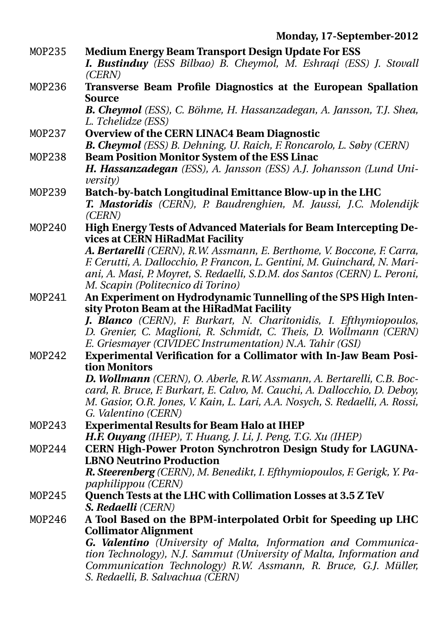- MOP235 **Medium Energy Beam Transport Design Update For ESS** *I. Bustinduy (ESS Bilbao) B. Cheymol, M. Eshraqi (ESS) J. Stovall (CERN)*
- MOP236 **Transverse Beam Profile Diagnostics at the European Spallation Source**

*B. Cheymol (ESS), C. Böhme, H. Hassanzadegan, A. Jansson, T.J. Shea, L. Tchelidze (ESS)*

- MOP237 **Overview of the CERN LINAC4 Beam Diagnostic** *B. Cheymol (ESS) B. Dehning, U. Raich, F. Roncarolo, L. Søby (CERN)*
- MOP238 **Beam Position Monitor System of the ESS Linac** *H. Hassanzadegan (ESS), A. Jansson (ESS) A.J. Johansson (Lund University)*
- MOP239 **Batch-by-batch Longitudinal Emittance Blow-up in the LHC** *T. Mastoridis (CERN), P. Baudrenghien, M. Jaussi, J.C. Molendijk (CERN)*
- MOP240 **High Energy Tests of Advanced Materials for Beam Intercepting Devices at CERN HiRadMat Facility**

*A. Bertarelli (CERN), R.W. Assmann, E. Berthome, V. Boccone, F. Carra, F. Cerutti, A. Dallocchio, P. Francon, L. Gentini, M. Guinchard, N. Mariani, A. Masi, P. Moyret, S. Redaelli, S.D.M. dos Santos (CERN) L. Peroni, M. Scapin (Politecnico di Torino)*

MOP241 **An Experiment on Hydrodynamic Tunnelling of the SPS High Intensity Proton Beam at the HiRadMat Facility**

*J. Blanco (CERN), F. Burkart, N. Charitonidis, I. Efthymiopoulos, D. Grenier, C. Maglioni, R. Schmidt, C. Theis, D. Wollmann (CERN) E. Griesmayer (CIVIDEC Instrumentation) N.A. Tahir (GSI)*

MOP242 **Experimental Verification for a Collimator with In-Jaw Beam Position Monitors**

*D. Wollmann (CERN), O. Aberle, R.W. Assmann, A. Bertarelli, C.B. Boccard, R. Bruce, F. Burkart, E. Calvo, M. Cauchi, A. Dallocchio, D. Deboy, M. Gasior, O.R. Jones, V. Kain, L. Lari, A.A. Nosych, S. Redaelli, A. Rossi, G. Valentino (CERN)*

- MOP243 **Experimental Results for Beam Halo at IHEP** *H.F. Ouyang (IHEP), T. Huang, J. Li, J. Peng, T.G. Xu (IHEP)*
- MOP244 **CERN High-Power Proton Synchrotron Design Study for LAGUNA-LBNO Neutrino Production**

*R. Steerenberg (CERN), M. Benedikt, I. Efthymiopoulos, F. Gerigk, Y. Papaphilippou (CERN)*

- MOP245 **Quench Tests at the LHC with Collimation Losses at 3.5 Z TeV** *S. Redaelli (CERN)*
- MOP246 **A Tool Based on the BPM-interpolated Orbit for Speeding up LHC Collimator Alignment**

*G. Valentino (University of Malta, Information and Communication Technology), N.J. Sammut (University of Malta, Information and Communication Technology) R.W. Assmann, R. Bruce, G.J. Müller, S. Redaelli, B. Salvachua (CERN)*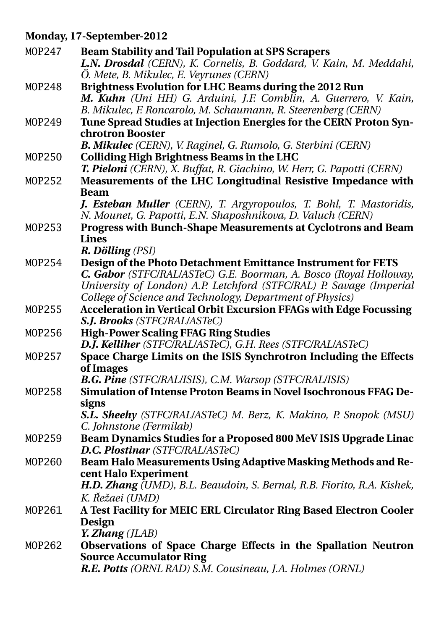#### **Monday, 17-September-2012**

| MOP247        | <b>Beam Stability and Tail Population at SPS Scrapers</b>                         |
|---------------|-----------------------------------------------------------------------------------|
|               | L.N. Drosdal (CERN), K. Cornelis, B. Goddard, V. Kain, M. Meddahi,                |
|               | Ö. Mete, B. Mikulec, E. Veyrunes (CERN)                                           |
| MOP248        | Brightness Evolution for LHC Beams during the 2012 Run                            |
|               | M. Kuhn (Uni HH) G. Arduini, J.F. Comblin, A. Guerrero, V. Kain,                  |
|               | B. Mikulec, F. Roncarolo, M. Schaumann, R. Steerenberg (CERN)                     |
| MOP249        | Tune Spread Studies at Injection Energies for the CERN Proton Syn-                |
|               | chrotron Booster                                                                  |
|               | B. Mikulec (CERN), V. Raginel, G. Rumolo, G. Sterbini (CERN)                      |
| MOP250        | <b>Colliding High Brightness Beams in the LHC</b>                                 |
|               | T. Pieloni (CERN), X. Buffat, R. Giachino, W. Herr, G. Papotti (CERN)             |
| MOP252        | Measurements of the LHC Longitudinal Resistive Impedance with                     |
|               | <b>Beam</b><br>J. Esteban Muller (CERN), T. Argyropoulos, T. Bohl, T. Mastoridis, |
|               | N. Mounet, G. Papotti, E.N. Shaposhnikova, D. Valuch (CERN)                       |
| MOP253        | Progress with Bunch-Shape Measurements at Cyclotrons and Beam                     |
|               | <b>Lines</b>                                                                      |
|               | R. Dölling (PSI)                                                                  |
| MOP254        | Design of the Photo Detachment Emittance Instrument for FETS                      |
|               | C. Gabor (STFC/RAL/ASTeC) G.E. Boorman, A. Bosco (Royal Holloway,                 |
|               | University of London) A.P. Letchford (STFC/RAL) P. Savage (Imperial               |
|               | College of Science and Technology, Department of Physics)                         |
| MOP255        | <b>Acceleration in Vertical Orbit Excursion FFAGs with Edge Focussing</b>         |
|               | <b>S.J. Brooks</b> (STFC/RAL/ASTeC)                                               |
| MOP256        | <b>High-Power Scaling FFAG Ring Studies</b>                                       |
|               | D.J. Kelliher (STFC/RAL/ASTeC), G.H. Rees (STFC/RAL/ASTeC)                        |
| MOP257        | Space Charge Limits on the ISIS Synchrotron Including the Effects                 |
|               | of Images                                                                         |
|               | <b>B.G. Pine</b> (STFC/RAL/ISIS), C.M. Warsop (STFC/RAL/ISIS)                     |
| MOP258        | Simulation of Intense Proton Beams in Novel Isochronous FFAG De-                  |
|               | signs<br>S.L. Sheehy (STFC/RAL/ASTeC) M. Berz, K. Makino, P. Snopok (MSU)         |
|               | C. Johnstone (Fermilab)                                                           |
| MOP259        | Beam Dynamics Studies for a Proposed 800 MeV ISIS Upgrade Linac                   |
|               | D.C. Plostinar (STFC/RAL/ASTeC)                                                   |
| MOP260        | Beam Halo Measurements Using Adaptive Masking Methods and Re-                     |
|               | cent Halo Experiment                                                              |
|               | H.D. Zhang (UMD), B.L. Beaudoin, S. Bernal, R.B. Fiorito, R.A. Kishek,            |
|               | K. Řežaei (UMD)                                                                   |
| MOP261        | A Test Facility for MEIC ERL Circulator Ring Based Electron Cooler                |
|               | <b>Design</b>                                                                     |
|               | Y. Zhang (JLAB)                                                                   |
| <b>MOP262</b> | Observations of Space Charge Effects in the Spallation Neutron                    |
|               | <b>Source Accumulator Ring</b>                                                    |
|               | R.E. Potts (ORNL RAD) S.M. Cousineau, J.A. Holmes (ORNL)                          |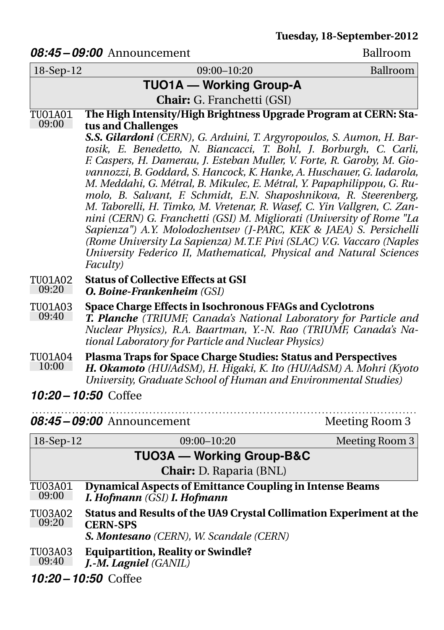#### 08:45 – 09:00 Announcement Ballroom

| 18-Sep-12               | 09:00-10:20                                                                                                                                                                                                                                                                                                                                                                                                                                                                                                                                                                                                                                                                                                                                                                                                                           | Ballroom       |
|-------------------------|---------------------------------------------------------------------------------------------------------------------------------------------------------------------------------------------------------------------------------------------------------------------------------------------------------------------------------------------------------------------------------------------------------------------------------------------------------------------------------------------------------------------------------------------------------------------------------------------------------------------------------------------------------------------------------------------------------------------------------------------------------------------------------------------------------------------------------------|----------------|
|                         | <b>TUO1A - Working Group-A</b>                                                                                                                                                                                                                                                                                                                                                                                                                                                                                                                                                                                                                                                                                                                                                                                                        |                |
|                         | Chair: G. Franchetti (GSI)                                                                                                                                                                                                                                                                                                                                                                                                                                                                                                                                                                                                                                                                                                                                                                                                            |                |
| TU01A01<br>09:00        | The High Intensity/High Brightness Upgrade Program at CERN: Sta-<br>tus and Challenges                                                                                                                                                                                                                                                                                                                                                                                                                                                                                                                                                                                                                                                                                                                                                |                |
|                         | S.S. Gilardoni (CERN), G. Arduini, T. Argyropoulos, S. Aumon, H. Bar-<br>tosik, E. Benedetto, N. Biancacci, T. Bohl, J. Borburgh, C. Carli,<br>F. Caspers, H. Damerau, J. Esteban Muller, V. Forte, R. Garoby, M. Gio-<br>vannozzi, B. Goddard, S. Hancock, K. Hanke, A. Huschauer, G. Iadarola,<br>M. Meddahi, G. Métral, B. Mikulec, E. Métral, Y. Papaphilippou, G. Ru-<br>molo, B. Salvant, F. Schmidt, E.N. Shaposhnikova, R. Steerenberg,<br>M. Taborelli, H. Timko, M. Vretenar, R. Wasef, C. Yin Vallgren, C. Zan-<br>nini (CERN) G. Franchetti (GSI) M. Migliorati (University of Rome "La<br>Sapienza") A.Y. Molodozhentsev (J-PARC, KEK & JAEA) S. Persichelli<br>(Rome University La Sapienza) M.T.F. Pivi (SLAC) V.G. Vaccaro (Naples<br>University Federico II, Mathematical, Physical and Natural Sciences<br>Faculty) |                |
| TU01A02<br>09:20        | <b>Status of Collective Effects at GSI</b><br><b>O. Boine-Frankenheim (GSI)</b>                                                                                                                                                                                                                                                                                                                                                                                                                                                                                                                                                                                                                                                                                                                                                       |                |
| TU01A03<br>09:40        | Space Charge Effects in Isochronous FFAGs and Cyclotrons<br>T. Planche (TRIUMF, Canada's National Laboratory for Particle and<br>Nuclear Physics), R.A. Baartman, Y.-N. Rao (TRIUMF, Canada's Na-<br>tional Laboratory for Particle and Nuclear Physics)                                                                                                                                                                                                                                                                                                                                                                                                                                                                                                                                                                              |                |
| TU01A04<br>10:00        | Plasma Traps for Space Charge Studies: Status and Perspectives<br>H. Okamoto (HU/AdSM), H. Higaki, K. Ito (HU/AdSM) A. Mohri (Kyoto<br>University, Graduate School of Human and Environmental Studies)                                                                                                                                                                                                                                                                                                                                                                                                                                                                                                                                                                                                                                |                |
|                         | 10:20 - 10:50 Coffee                                                                                                                                                                                                                                                                                                                                                                                                                                                                                                                                                                                                                                                                                                                                                                                                                  |                |
|                         | 08:45–09:00 Announcement                                                                                                                                                                                                                                                                                                                                                                                                                                                                                                                                                                                                                                                                                                                                                                                                              | Meeting Room 3 |
| 18-Sep-12               | 09:00-10:20                                                                                                                                                                                                                                                                                                                                                                                                                                                                                                                                                                                                                                                                                                                                                                                                                           | Meeting Room 3 |
|                         | <b>TUO3A - Working Group-B&amp;C</b>                                                                                                                                                                                                                                                                                                                                                                                                                                                                                                                                                                                                                                                                                                                                                                                                  |                |
|                         | Chair: D. Raparia (BNL)                                                                                                                                                                                                                                                                                                                                                                                                                                                                                                                                                                                                                                                                                                                                                                                                               |                |
| TU03A01<br>09:00        | <b>Dynamical Aspects of Emittance Coupling in Intense Beams</b><br>I. Hofmann (GSI) I. Hofmann                                                                                                                                                                                                                                                                                                                                                                                                                                                                                                                                                                                                                                                                                                                                        |                |
| <b>TU03A02</b><br>09:20 | Status and Results of the UA9 Crystal Collimation Experiment at the<br><b>CERN-SPS</b><br>S. Montesano (CERN), W. Scandale (CERN)                                                                                                                                                                                                                                                                                                                                                                                                                                                                                                                                                                                                                                                                                                     |                |
| TU03A03<br>09:40        | <b>Equipartition, Reality or Swindle?</b><br>J.-M. Lagniel (GANIL)                                                                                                                                                                                                                                                                                                                                                                                                                                                                                                                                                                                                                                                                                                                                                                    |                |
|                         | 10:20-10:50 Coffee                                                                                                                                                                                                                                                                                                                                                                                                                                                                                                                                                                                                                                                                                                                                                                                                                    |                |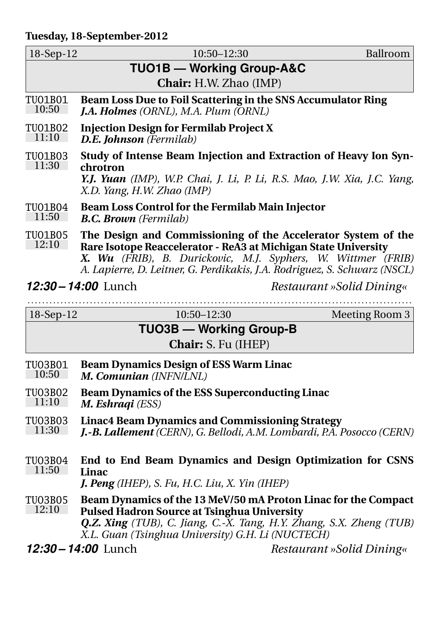#### **Tuesday, 18-September-2012**

| $18-Sep-12$               | $10:50 - 12:30$                                                                                                                                                                                                                                                              | Ballroom |
|---------------------------|------------------------------------------------------------------------------------------------------------------------------------------------------------------------------------------------------------------------------------------------------------------------------|----------|
| TUO1B - Working Group-A&C |                                                                                                                                                                                                                                                                              |          |
|                           | <b>Chair:</b> H.W. Zhao (IMP)                                                                                                                                                                                                                                                |          |
| TU01B01<br>10:50          | Beam Loss Due to Foil Scattering in the SNS Accumulator Ring<br><b>J.A. Holmes</b> (ORNL), M.A. Plum (ORNL)                                                                                                                                                                  |          |
| TUO1B02<br>11:10          | <b>Injection Design for Fermilab Project X</b><br><b>D.E. Johnson</b> (Fermilab)                                                                                                                                                                                             |          |
| TUO1B03<br>11:30          | Study of Intense Beam Injection and Extraction of Heavy Ion Syn-<br>chrotron<br>Y.J. Yuan (IMP), W.P. Chai, J. Li, P. Li, R.S. Mao, J.W. Xia, J.C. Yang,<br>X.D. Yang, H.W. Zhao (IMP)                                                                                       |          |
| TUO1B04<br>11:50          | <b>Beam Loss Control for the Fermilab Main Injector</b><br><b>B.C. Brown</b> (Fermilab)                                                                                                                                                                                      |          |
| TUO1B05<br>12:10          | The Design and Commissioning of the Accelerator System of the<br>Rare Isotope Reaccelerator - ReA3 at Michigan State University<br>X. Wu (FRIB), B. Durickovic, M.J. Syphers, W. Wittmer (FRIB)<br>A. Lapierre, D. Leitner, G. Perdikakis, J.A. Rodriguez, S. Schwarz (NSCL) |          |
|                           | 12:30 – 14:00 Lunch<br>Restaurant »Solid Dining«                                                                                                                                                                                                                             |          |

| 18-Sep-12                      | $10:50 - 12:30$                                                                                                                                                                                                                                         | <b>Meeting Room 3</b>     |  |
|--------------------------------|---------------------------------------------------------------------------------------------------------------------------------------------------------------------------------------------------------------------------------------------------------|---------------------------|--|
| <b>TUO3B — Working Group-B</b> |                                                                                                                                                                                                                                                         |                           |  |
|                                | <b>Chair:</b> S. Fu (IHEP)                                                                                                                                                                                                                              |                           |  |
| TU03B01<br>10:50               | <b>Beam Dynamics Design of ESS Warm Linac</b><br>M. Comunian (INFN/LNL)                                                                                                                                                                                 |                           |  |
| TU03B02<br>11:10               | <b>Beam Dynamics of the ESS Superconducting Linac</b><br>M. Eshraqi (ESS)                                                                                                                                                                               |                           |  |
| TU03B03<br>11:30               | <b>Linac4 Beam Dynamics and Commissioning Strategy</b><br>J.-B. Lallement (CERN), G. Bellodi, A.M. Lombardi, P.A. Posocco (CERN)                                                                                                                        |                           |  |
| TU03B04<br>11:50               | End to End Beam Dynamics and Design Optimization for CSNS<br>Linac<br><b>J. Peng</b> (IHEP), S. Fu, H.C. Liu, X. Yin (IHEP)                                                                                                                             |                           |  |
| TU03B05<br>12:10               | Beam Dynamics of the 13 MeV/50 mA Proton Linac for the Compact<br><b>Pulsed Hadron Source at Tsinghua University</b><br><b>Q.Z. Xing</b> (TUB), C. Jiang, C.-X. Tang, H.Y. Zhang, S.X. Zheng (TUB)<br>X.L. Guan (Tsinghua University) G.H. Li (NUCTECH) |                           |  |
|                                | 12:30 - 14:00 Lunch                                                                                                                                                                                                                                     | Restaurant »Solid Dining« |  |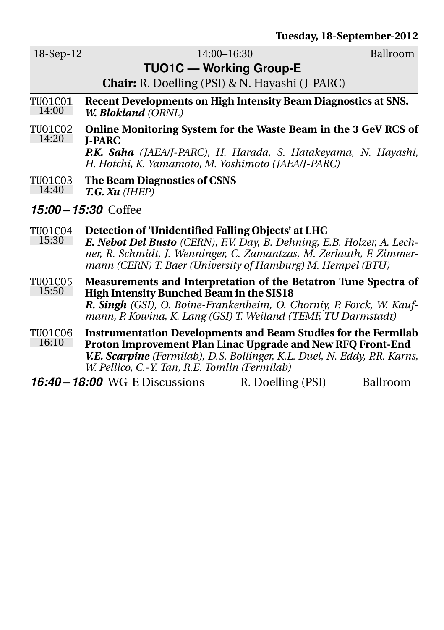|                         |                                                                                                                                                                                                                                                                     | $100000$ , $10000$ |
|-------------------------|---------------------------------------------------------------------------------------------------------------------------------------------------------------------------------------------------------------------------------------------------------------------|--------------------|
| $18-Sep-12$             | 14:00-16:30                                                                                                                                                                                                                                                         | Ballroom           |
|                         | <b>TUO1C - Working Group-E</b>                                                                                                                                                                                                                                      |                    |
|                         | <b>Chair:</b> R. Doelling (PSI) & N. Hayashi (J-PARC)                                                                                                                                                                                                               |                    |
| TU01C01<br>14:00        | Recent Developments on High Intensity Beam Diagnostics at SNS.<br><b>W. Blokland</b> (ORNL)                                                                                                                                                                         |                    |
| TU01C02<br>14:20        | Online Monitoring System for the Waste Beam in the 3 GeV RCS of<br><b>I-PARC</b><br>P.K. Saha (JAEA/J-PARC), H. Harada, S. Hatakeyama, N. Hayashi,<br>H. Hotchi, K. Yamamoto, M. Yoshimoto (JAEA/J-PARC)                                                            |                    |
| TU01C03<br>14:40        | <b>The Beam Diagnostics of CSNS</b><br>T.G. Xu (IHEP)                                                                                                                                                                                                               |                    |
|                         | 15:00 - 15:30 Coffee                                                                                                                                                                                                                                                |                    |
| TU01C04<br>15:30        | Detection of 'Unidentified Falling Objects' at LHC<br>E. Nebot Del Busto (CERN), F.V. Day, B. Dehning, E.B. Holzer, A. Lech-<br>ner, R. Schmidt, J. Wenninger, C. Zamantzas, M. Zerlauth, F. Zimmer-<br>mann (CERN) T. Baer (University of Hamburg) M. Hempel (BTU) |                    |
| <b>TU01C05</b><br>15:50 | Measurements and Interpretation of the Betatron Tune Spectra of<br><b>High Intensity Bunched Beam in the SIS18</b><br>R. Singh (GSI), O. Boine-Frankenheim, O. Chorniy, P. Forck, W. Kauf-<br>mann, P. Kowina, K. Lang (GSI) T. Weiland (TEMF, TU Darmstadt)        |                    |
| <b>TU01C06</b><br>16:10 | <b>Instrumentation Developments and Beam Studies for the Fermilab</b><br>Proton Improvement Plan Linac Upgrade and New RFQ Front-End<br>V.E. Scarpine (Fermilab), D.S. Bollinger, K.L. Duel, N. Eddy, P.R. Karns,<br>W. Pellico, C.-Y. Tan, R.E. Tomlin (Fermilab)  |                    |
|                         | <b>16:40 – 18:00</b> WG-E Discussions<br>R. Doelling (PSI)                                                                                                                                                                                                          | Ballroom           |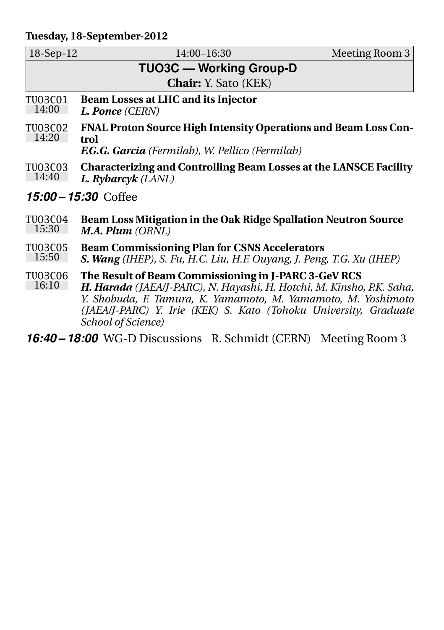#### **Tuesday, 18-September-2012**

| $18-Sep-12$             | 14:00-16:30                                                                                                                                                                                                                                                                              | Meeting Room 3 |
|-------------------------|------------------------------------------------------------------------------------------------------------------------------------------------------------------------------------------------------------------------------------------------------------------------------------------|----------------|
|                         | <b>TUO3C — Working Group-D</b>                                                                                                                                                                                                                                                           |                |
|                         | <b>Chair:</b> Y. Sato (KEK)                                                                                                                                                                                                                                                              |                |
|                         |                                                                                                                                                                                                                                                                                          |                |
| TU03C01<br>14:00        | Beam Losses at LHC and its Injector<br>L. Ponce (CERN)                                                                                                                                                                                                                                   |                |
| <b>TU03C02</b><br>14:20 | FNAL Proton Source High Intensity Operations and Beam Loss Con-<br>trol                                                                                                                                                                                                                  |                |
|                         | <b>F.G.G. Garcia</b> (Fermilab), W. Pellico (Fermilab)                                                                                                                                                                                                                                   |                |
| TU03C03<br>14:40        | Characterizing and Controlling Beam Losses at the LANSCE Facility<br>L. Rybarcyk (LANL)                                                                                                                                                                                                  |                |
| 15:00 – 15:30 Coffee    |                                                                                                                                                                                                                                                                                          |                |
| TU03C04<br>15:30        | Beam Loss Mitigation in the Oak Ridge Spallation Neutron Source<br><b>M.A. Plum</b> (ORNL)                                                                                                                                                                                               |                |
| <b>TU03C05</b><br>15:50 | <b>Beam Commissioning Plan for CSNS Accelerators</b><br>S. Wang (IHEP), S. Fu, H.C. Liu, H.F. Ouyang, J. Peng, T.G. Xu (IHEP)                                                                                                                                                            |                |
| TU03C06<br>16:10        | The Result of Beam Commissioning in J-PARC 3-GeV RCS<br>H. Harada (JAEA/J-PARC), N. Hayashi, H. Hotchi, M. Kinsho, P.K. Saha,<br>Y. Shobuda, F. Tamura, K. Yamamoto, M. Yamamoto, M. Yoshimoto<br>(JAEA/J-PARC) Y. Irie (KEK) S. Kato (Tohoku University, Graduate<br>School of Science) |                |
|                         | <b>16:40 – 18:00</b> WG-D Discussions R. Schmidt (CERN) Meeting Room 3                                                                                                                                                                                                                   |                |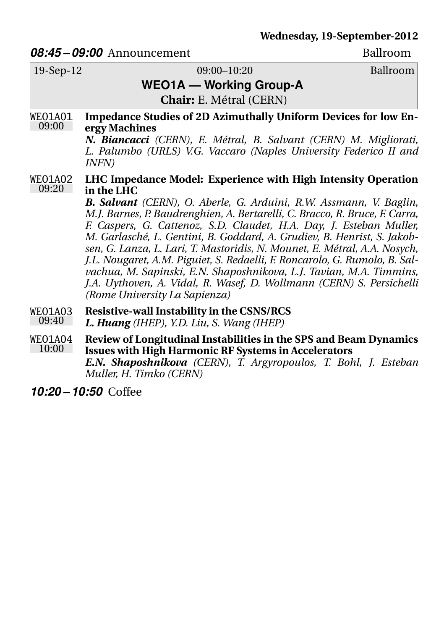#### *08:45 – 09:00* Announcement Ballroom

|                         | <u>oo iyo Thinodheement</u>                                                                                                                                                                                                                                                                                                                                                                                                                                                                                                                                                                                                                                                                                                          |          |
|-------------------------|--------------------------------------------------------------------------------------------------------------------------------------------------------------------------------------------------------------------------------------------------------------------------------------------------------------------------------------------------------------------------------------------------------------------------------------------------------------------------------------------------------------------------------------------------------------------------------------------------------------------------------------------------------------------------------------------------------------------------------------|----------|
| $19-Sep-12$             | 09:00-10:20                                                                                                                                                                                                                                                                                                                                                                                                                                                                                                                                                                                                                                                                                                                          | Ballroom |
|                         | <b>WEO1A - Working Group-A</b>                                                                                                                                                                                                                                                                                                                                                                                                                                                                                                                                                                                                                                                                                                       |          |
|                         | <b>Chair:</b> E. Métral (CERN)                                                                                                                                                                                                                                                                                                                                                                                                                                                                                                                                                                                                                                                                                                       |          |
| WEO1A01<br>09:00        | <b>Impedance Studies of 2D Azimuthally Uniform Devices for low En-</b><br>ergy Machines<br>N. Biancacci (CERN), E. Métral, B. Salvant (CERN) M. Migliorati,<br>L. Palumbo (URLS) V.G. Vaccaro (Naples University Federico II and<br><i>INFN)</i>                                                                                                                                                                                                                                                                                                                                                                                                                                                                                     |          |
| <b>WEO1A02</b><br>09:20 | LHC Impedance Model: Experience with High Intensity Operation<br>in the LHC<br><b>B. Salvant</b> (CERN), O. Aberle, G. Arduini, R.W. Assmann, V. Baglin,<br>M.J. Barnes, P. Baudrenghien, A. Bertarelli, C. Bracco, R. Bruce, F. Carra,<br>F. Caspers, G. Cattenoz, S.D. Claudet, H.A. Day, J. Esteban Muller,<br>M. Garlasché, L. Gentini, B. Goddard, A. Grudiev, B. Henrist, S. Jakob-<br>sen, G. Lanza, L. Lari, T. Mastoridis, N. Mounet, E. Métral, A.A. Nosych,<br>J.L. Nougaret, A.M. Piguiet, S. Redaelli, F. Roncarolo, G. Rumolo, B. Sal-<br>vachua, M. Sapinski, E.N. Shaposhnikova, L.J. Tavian, M.A. Timmins,<br>J.A. Uythoven, A. Vidal, R. Wasef, D. Wollmann (CERN) S. Persichelli<br>(Rome University La Sapienza) |          |
| WEO1A03<br>09:40        | Resistive-wall Instability in the CSNS/RCS<br>L. Huang (IHEP), Y.D. Liu, S. Wang (IHEP)                                                                                                                                                                                                                                                                                                                                                                                                                                                                                                                                                                                                                                              |          |
| WEO1A04<br>10:00        | Review of Longitudinal Instabilities in the SPS and Beam Dynamics<br><b>Issues with High Harmonic RF Systems in Accelerators</b><br>E.N. Shaposhnikova (CERN), T. Argyropoulos, T. Bohl, J. Esteban                                                                                                                                                                                                                                                                                                                                                                                                                                                                                                                                  |          |

*Muller, H. Timko (CERN) 10:20 – 10:50* Coffee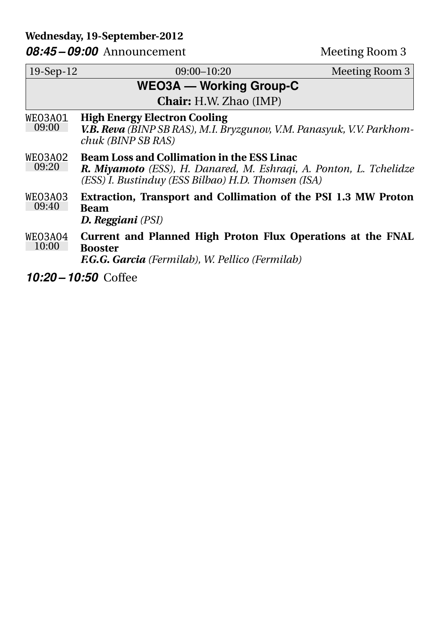#### **Wednesday, 19-September-2012**

08:45 – 09:00 Announcement Meeting Room 3

| $19-Sep-12$                    | 09:00-10:20                                                                                                                                                                          | Meeting Room 3 |
|--------------------------------|--------------------------------------------------------------------------------------------------------------------------------------------------------------------------------------|----------------|
| <b>WEO3A — Working Group-C</b> |                                                                                                                                                                                      |                |
| <b>Chair:</b> H.W. Zhao (IMP)  |                                                                                                                                                                                      |                |
| WEO3A01<br>09:00               | <b>High Energy Electron Cooling</b><br>V.B. Reva (BINP SB RAS), M.I. Bryzgunov, V.M. Panasyuk, V.V. Parkhom-<br><i>chuk (BINP SB RAS)</i>                                            |                |
| WEO3A02<br>09:20               | <b>Beam Loss and Collimation in the ESS Linac</b><br><b>R. Miyamoto</b> (ESS), H. Danared, M. Eshraqi, A. Ponton, L. Tchelidze<br>(ESS) I. Bustinduy (ESS Bilbao) H.D. Thomsen (ISA) |                |
| WEO3A03<br>09:40               | Extraction, Transport and Collimation of the PSI 1.3 MW Proton<br>Beam<br><b>D. Reggiani</b> (PSI)                                                                                   |                |
| WEO3A04<br>10:00               | Current and Planned High Proton Flux Operations at the FNAL<br><b>Booster</b><br><b>F.G.G. Garcia</b> (Fermilab), W. Pellico (Fermilab)                                              |                |
| 10:20 – 10:50 Coffee           |                                                                                                                                                                                      |                |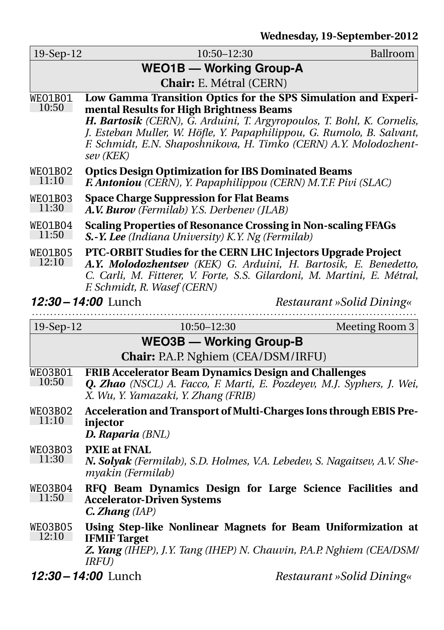**Wednesday, 19-September-2012**

| 19-Sep-12                                                                                                                                                                                                                                                             | $10:50 - 12:30$<br>Ballroom                                                                                                                                                                                                                                                                                                                     |  |  |  |
|-----------------------------------------------------------------------------------------------------------------------------------------------------------------------------------------------------------------------------------------------------------------------|-------------------------------------------------------------------------------------------------------------------------------------------------------------------------------------------------------------------------------------------------------------------------------------------------------------------------------------------------|--|--|--|
|                                                                                                                                                                                                                                                                       | <b>WEO1B - Working Group-A</b>                                                                                                                                                                                                                                                                                                                  |  |  |  |
|                                                                                                                                                                                                                                                                       | Chair: E. Métral (CERN)                                                                                                                                                                                                                                                                                                                         |  |  |  |
| <b>WEO1B01</b><br>10:50                                                                                                                                                                                                                                               | Low Gamma Transition Optics for the SPS Simulation and Experi-<br>mental Results for High Brightness Beams<br>H. Bartosik (CERN), G. Arduini, T. Argyropoulos, T. Bohl, K. Cornelis,<br>J. Esteban Muller, W. Höfle, Y. Papaphilippou, G. Rumolo, B. Salvant,<br>F. Schmidt, E.N. Shaposhnikova, H. Timko (CERN) A.Y. Molodozhent-<br>sev (KEK) |  |  |  |
| WEO1BO2<br>11:10                                                                                                                                                                                                                                                      | <b>Optics Design Optimization for IBS Dominated Beams</b><br>F. Antoniou (CERN), Y. Papaphilippou (CERN) M.T.F. Pivi (SLAC)                                                                                                                                                                                                                     |  |  |  |
| WEO1B03<br>11:30                                                                                                                                                                                                                                                      | <b>Space Charge Suppression for Flat Beams</b><br>A.V. Burov (Fermilab) Y.S. Derbenev (JLAB)                                                                                                                                                                                                                                                    |  |  |  |
| WEO1BO4<br>11:50                                                                                                                                                                                                                                                      | <b>Scaling Properties of Resonance Crossing in Non-scaling FFAGs</b><br>S.-Y. Lee (Indiana University) K.Y. Ng (Fermilab)                                                                                                                                                                                                                       |  |  |  |
| PTC-ORBIT Studies for the CERN LHC Injectors Upgrade Project<br><b>WEO1B05</b><br>12:10<br>A.Y. Molodozhentsev (KEK) G. Arduini, H. Bartosik, E. Benedetto,<br>C. Carli, M. Fitterer, V. Forte, S.S. Gilardoni, M. Martini, E. Métral,<br>F. Schmidt, R. Wasef (CERN) |                                                                                                                                                                                                                                                                                                                                                 |  |  |  |
|                                                                                                                                                                                                                                                                       | $12:30 - 14:00$ Lunch<br>Restaurant »Solid Dining«                                                                                                                                                                                                                                                                                              |  |  |  |
| $19-Sep-12$                                                                                                                                                                                                                                                           | $10:50 - 12:30$<br>Meeting Room 3                                                                                                                                                                                                                                                                                                               |  |  |  |
|                                                                                                                                                                                                                                                                       | <b>WEO3B - Working Group-B</b>                                                                                                                                                                                                                                                                                                                  |  |  |  |
|                                                                                                                                                                                                                                                                       | Chair: P.A.P. Nghiem (CEA/DSM/IRFU)                                                                                                                                                                                                                                                                                                             |  |  |  |
| WEO3BO1<br>10:50                                                                                                                                                                                                                                                      | FRIB Accelerator Beam Dynamics Design and Challenges<br>Q. Zhao (NSCL) A. Facco, F. Marti, E. Pozdeyev, M.J. Syphers, J. Wei,<br>X. Wu, Y. Yamazaki, Y. Zhang (FRIB)                                                                                                                                                                            |  |  |  |
| WEO3B02<br>11:10                                                                                                                                                                                                                                                      | Acceleration and Transport of Multi-Charges Ions through EBIS Pre-<br>injector<br>D. Raparia (BNL)                                                                                                                                                                                                                                              |  |  |  |
| WEO3B03<br>11:30                                                                                                                                                                                                                                                      | <b>PXIE</b> at FNAL<br>N. Solyak (Fermilab), S.D. Holmes, V.A. Lebedev, S. Nagaitsev, A.V. She-<br>myakin (Fermilab)                                                                                                                                                                                                                            |  |  |  |
| WEO3B04<br>11:50                                                                                                                                                                                                                                                      | RFQ Beam Dynamics Design for Large Science Facilities and<br><b>Accelerator-Driven Systems</b><br>C. Zhang(IAP)                                                                                                                                                                                                                                 |  |  |  |
| WEO3B05<br>12:10                                                                                                                                                                                                                                                      | Using Step-like Nonlinear Magnets for Beam Uniformization at<br><b>IFMIF</b> Target<br>Z. Yang (IHEP), J.Y. Tang (IHEP) N. Chauvin, P.A.P. Nghiem (CEA/DSM/<br>IRFU)                                                                                                                                                                            |  |  |  |

*12:30 – 14:00* Lunch *Restaurant »Solid Dining«*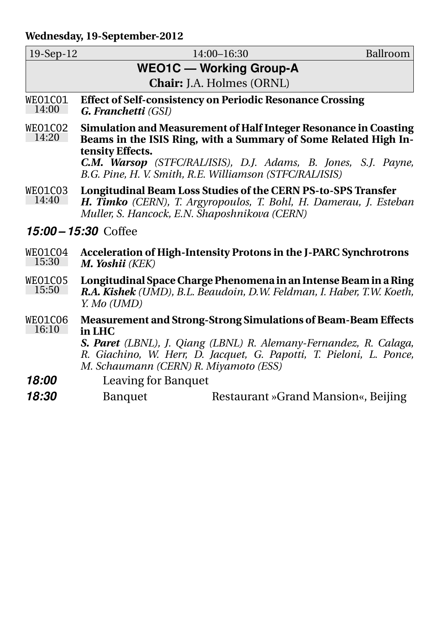#### **Wednesday, 19-September-2012**

| $19-Sep-12$                    |                                                                             | 14:00-16:30                                                                                                                                                                                                       | Ballroom |
|--------------------------------|-----------------------------------------------------------------------------|-------------------------------------------------------------------------------------------------------------------------------------------------------------------------------------------------------------------|----------|
| <b>WEO1C — Working Group-A</b> |                                                                             |                                                                                                                                                                                                                   |          |
|                                |                                                                             | Chair: J.A. Holmes (ORNL)                                                                                                                                                                                         |          |
| WEO1CO1<br>14:00               | <b>G. Franchetti</b> (GSI)                                                  | <b>Effect of Self-consistency on Periodic Resonance Crossing</b>                                                                                                                                                  |          |
| WEO1CO2<br>14:20               | tensity Effects.<br>B.G. Pine, H. V. Smith, R.E. Williamson (STFC/RAL/ISIS) | Simulation and Measurement of Half Integer Resonance in Coasting<br>Beams in the ISIS Ring, with a Summary of Some Related High In-<br>C.M. Warsop (STFC/RAL/ISIS), D.J. Adams, B. Jones, S.J. Payne,             |          |
| WEO1CO3<br>14:40               | Muller, S. Hancock, E.N. Shaposhnikova (CERN)                               | Longitudinal Beam Loss Studies of the CERN PS-to-SPS Transfer<br>H. Timko (CERN), T. Argyropoulos, T. Bohl, H. Damerau, J. Esteban                                                                                |          |
|                                | 15:00 - 15:30 Coffee                                                        |                                                                                                                                                                                                                   |          |
| WEO1CO4<br>15:30               | M. Yoshii (KEK)                                                             | Acceleration of High-Intensity Protons in the J-PARC Synchrotrons                                                                                                                                                 |          |
| WEO1CO5<br>15:50               | Y. Mo (UMD)                                                                 | Longitudinal Space Charge Phenomena in an Intense Beam in a Ring<br>R.A. Kishek (UMD), B.L. Beaudoin, D.W. Feldman, I. Haber, T.W. Koeth,                                                                         |          |
| WEO1C06<br>16:10               | in LHC<br>M. Schaumann (CERN) R. Miyamoto (ESS)                             | <b>Measurement and Strong-Strong Simulations of Beam-Beam Effects</b><br>S. Paret (LBNL), J. Qiang (LBNL) R. Alemany-Fernandez, R. Calaga,<br>R. Giachino, W. Herr, D. Jacquet, G. Papotti, T. Pieloni, L. Ponce, |          |
| 18:00                          | <b>Leaving for Banquet</b>                                                  |                                                                                                                                                                                                                   |          |
| 18:30                          | <b>Banquet</b>                                                              | Restaurant »Grand Mansion«, Beijing                                                                                                                                                                               |          |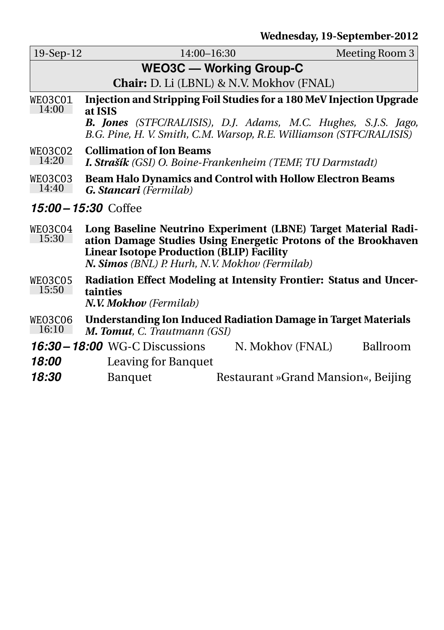| 19-Sep-12                      | $14:00 - 16:30$                                                      | Meeting Room 3 |  |
|--------------------------------|----------------------------------------------------------------------|----------------|--|
| <b>WEO3C — Working Group-C</b> |                                                                      |                |  |
|                                | <b>Chair:</b> D. Li (LBNL) & N.V. Mokhov (FNAL)                      |                |  |
| WEO3CO1                        | Injection and Stripping Foil Studies for a 180 MeV Injection Upgrade |                |  |

- 14:00 **at ISIS** *B. Jones (STFC/RAL/ISIS), D.J. Adams, M.C. Hughes, S.J.S. Jago, B.G. Pine, H. V. Smith, C.M. Warsop, R.E. Williamson (STFC/RAL/ISIS)*
- WEO3C02 14:20 **Collimation of Ion Beams** *I. Strašík (GSI) O. Boine-Frankenheim (TEMF, TU Darmstadt)*
- WEO3C03 14:40 **Beam Halo Dynamics and Control with Hollow Electron Beams** *G. Stancari (Fermilab)*

#### *15:00 – 15:30* Coffee

- WEO3C04 15:30 **Long Baseline Neutrino Experiment (LBNE) Target Material Radiation Damage Studies Using Energetic Protons of the Brookhaven Linear Isotope Production (BLIP) Facility** *N. Simos (BNL) P. Hurh, N.V. Mokhov (Fermilab)*
- WEO3C05 15:50 **Radiation Effect Modeling at Intensity Frontier: Status and Uncertainties** *N.V. Mokhov (Fermilab)*
- WEO3C06  $16:10$ **Understanding Ion Induced Radiation Damage in Target Materials** *M. Tomut, C. Trautmann (GSI)*
- **16:30 18:00** WG-C Discussions N. Mokhov (FNAL) Ballroom
- *18:00* Leaving for Banquet
- **18:30** Banquet Restaurant »Grand Mansion«, Beijing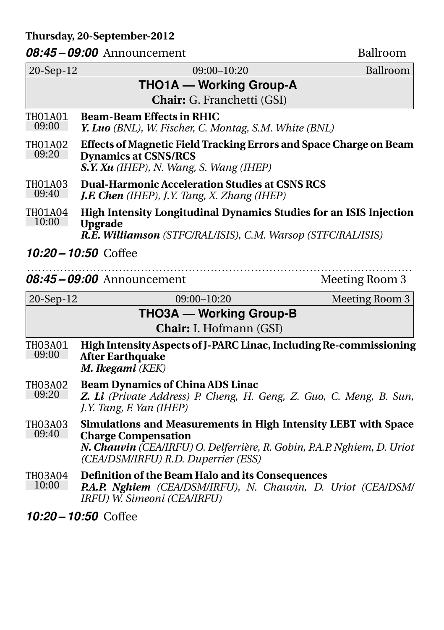#### **Thursday, 20-September-2012**

#### 08:45 – 09:00 Announcement Ballroom

| 20-Sep-12               | 09:00-10:20                                                                                                                                                                                                    | Ballroom       |
|-------------------------|----------------------------------------------------------------------------------------------------------------------------------------------------------------------------------------------------------------|----------------|
|                         | <b>THO1A — Working Group-A</b>                                                                                                                                                                                 |                |
|                         | Chair: G. Franchetti (GSI)                                                                                                                                                                                     |                |
| TH01A01<br>09:00        | <b>Beam-Beam Effects in RHIC</b><br>Y. Luo (BNL), W. Fischer, C. Montag, S.M. White (BNL)                                                                                                                      |                |
| <b>THO1A02</b><br>09:20 | Effects of Magnetic Field Tracking Errors and Space Charge on Beam<br><b>Dynamics at CSNS/RCS</b><br>S.Y. Xu (IHEP), N. Wang, S. Wang (IHEP)                                                                   |                |
| TH01A03<br>09:40        | <b>Dual-Harmonic Acceleration Studies at CSNS RCS</b><br><b>J.F. Chen</b> (IHEP), J.Y. Tang, X. Zhang (IHEP)                                                                                                   |                |
| THO1A04<br>10:00        | High Intensity Longitudinal Dynamics Studies for an ISIS Injection<br><b>Upgrade</b><br>R.E. Williamson (STFC/RAL/ISIS), C.M. Warsop (STFC/RAL/ISIS)                                                           |                |
|                         | 10:20 - 10:50 Coffee                                                                                                                                                                                           |                |
|                         | 08:45-09:00 Announcement                                                                                                                                                                                       | Meeting Room 3 |
| 20-Sep-12               | $09:00 - 10:20$                                                                                                                                                                                                | Meeting Room 3 |
|                         | <b>THO3A - Working Group-B</b><br>Chair: I. Hofmann (GSI)                                                                                                                                                      |                |
| THO3A01<br>09:00        | High Intensity Aspects of J-PARC Linac, Including Re-commissioning<br><b>After Earthquake</b><br>M. Ikegami (KEK)                                                                                              |                |
| <b>THO3A02</b><br>09:20 | <b>Beam Dynamics of China ADS Linac</b><br>Z. Li (Private Address) P. Cheng, H. Geng, Z. Guo, C. Meng, B. Sun,<br>J.Y. Tang, F. Yan (IHEP)                                                                     |                |
| <b>THO3A03</b><br>09:40 | Simulations and Measurements in High Intensity LEBT with Space<br><b>Charge Compensation</b><br>N. Chauvin (CEA/IRFU) O. Delferrière, R. Gobin, P.A.P. Nghiem, D. Uriot<br>(CEA/DSM/IRFU) R.D. Duperrier (ESS) |                |
| <b>THO3A04</b><br>10:00 | Definition of the Beam Halo and its Consequences<br>P.A.P. Nghiem (CEA/DSM/IRFU), N. Chauvin, D. Uriot (CEA/DSM/<br>IRFU) W. Simeoni (CEA/IRFU)                                                                |                |
|                         | 10:20 - 10:50 Coffee                                                                                                                                                                                           |                |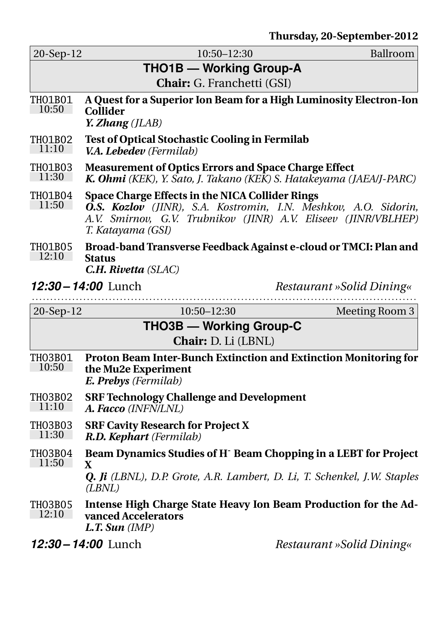| 20-Sep-12               | 10:50-12:30                                                                      | Ballroom                                                                                                                                 |
|-------------------------|----------------------------------------------------------------------------------|------------------------------------------------------------------------------------------------------------------------------------------|
|                         | THO1B - Working Group-A                                                          |                                                                                                                                          |
|                         | Chair: G. Franchetti (GSI)                                                       |                                                                                                                                          |
| TH01B01<br>10:50        | <b>Collider</b><br>Y. Zhang (JLAB)                                               | A Quest for a Superior Ion Beam for a High Luminosity Electron-Ion                                                                       |
| THO1BO2<br>11:10        | <b>Test of Optical Stochastic Cooling in Fermilab</b><br>V.A. Lebedev (Fermilab) |                                                                                                                                          |
| TH01B03<br>11:30        | <b>Measurement of Optics Errors and Space Charge Effect</b>                      | K. Ohmi (KEK), Y. Sato, J. Takano (KEK) S. Hatakeyama (JAEA/J-PARC)                                                                      |
| <b>THO1B04</b><br>11:50 | Space Charge Effects in the NICA Collider Rings<br>T. Katayama (GSI)             | <b>O.S. Kozlov</b> (JINR), S.A. Kostromin, I.N. Meshkov, A.O. Sidorin,<br>A.V. Smirnov, G.V. Trubnikov (JINR) A.V. Eliseev (JINR/VBLHEP) |
| THO1BO5<br>12:10        | <b>Status</b><br>C.H. Rivetta (SLAC)                                             | Broad-band Transverse Feedback Against e-cloud or TMCI: Plan and                                                                         |
|                         | 12:30 - 14:00 Lunch<br>.                                                         | Restaurant »Solid Dining«                                                                                                                |
| 20-Sep-12               | 10:50-12:30                                                                      | Meeting Room 3                                                                                                                           |
|                         | <b>THO3B — Working Group-C</b>                                                   |                                                                                                                                          |
|                         | Chair: D. Li (LBNL)                                                              |                                                                                                                                          |
| TH03B01<br>10:50        | the Mu2e Experiment<br><b>E. Prebys</b> (Fermilab)                               | Proton Beam Inter-Bunch Extinction and Extinction Monitoring for                                                                         |
| THO3BO2<br>11:10        | <b>SRF Technology Challenge and Development</b><br>A. Facco (INFN/LNL)           |                                                                                                                                          |
| THO3B03<br>11:30        | <b>SRF Cavity Research for Project X</b><br>R.D. Kephart (Fermilab)              |                                                                                                                                          |
| <b>THO3B04</b><br>11:50 | $\mathbf X$                                                                      | Beam Dynamics Studies of H <sup>-</sup> Beam Chopping in a LEBT for Project                                                              |
|                         | (LBNL)                                                                           | <b>Q. Ji</b> (LBNL), D.P. Grote, A.R. Lambert, D. Li, T. Schenkel, J.W. Staples                                                          |
| THO3B05<br>12:10        | vanced Accelerators<br>$L.T.$ Sun $(IMP)$                                        | Intense High Charge State Heavy Ion Beam Production for the Ad-                                                                          |
|                         | 12:30 - 14:00 Lunch                                                              | Restaurant »Solid Dining«                                                                                                                |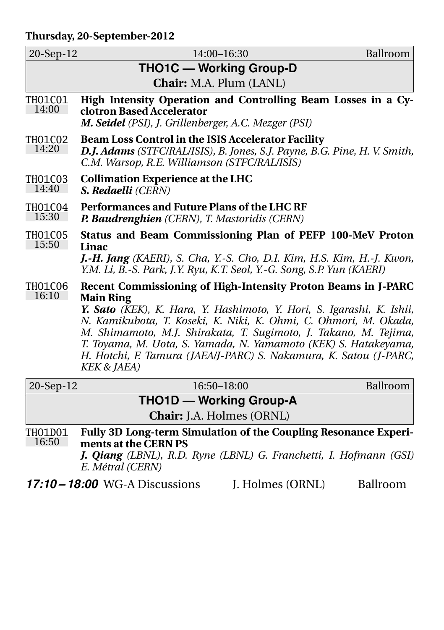#### **Thursday, 20-September-2012**

| 20-Sep-12                      | $14:00 - 16:30$                                                                                                                                                                                                                                                                                                                                                                                                                                                      | Ballroom |  |  |
|--------------------------------|----------------------------------------------------------------------------------------------------------------------------------------------------------------------------------------------------------------------------------------------------------------------------------------------------------------------------------------------------------------------------------------------------------------------------------------------------------------------|----------|--|--|
|                                | <b>THO1C — Working Group-D</b>                                                                                                                                                                                                                                                                                                                                                                                                                                       |          |  |  |
| <b>Chair:</b> M.A. Plum (LANL) |                                                                                                                                                                                                                                                                                                                                                                                                                                                                      |          |  |  |
| <b>THO1CO1</b><br>14:00        | High Intensity Operation and Controlling Beam Losses in a Cy-<br>clotron Based Accelerator<br>M. Seidel (PSI), J. Grillenberger, A.C. Mezger (PSI)                                                                                                                                                                                                                                                                                                                   |          |  |  |
| THO1CO2<br>14:20               | Beam Loss Control in the ISIS Accelerator Facility<br>D.J. Adams (STFC/RAL/ISIS), B. Jones, S.J. Payne, B.G. Pine, H. V. Smith,<br>C.M. Warsop, R.E. Williamson (STFC/RAL/ISIS)                                                                                                                                                                                                                                                                                      |          |  |  |
| <b>THO1CO3</b><br>14:40        | <b>Collimation Experience at the LHC</b><br>S. Redaelli (CERN)                                                                                                                                                                                                                                                                                                                                                                                                       |          |  |  |
| <b>THO1CO4</b><br>15:30        | Performances and Future Plans of the LHC RF<br>P. Baudrenghien (CERN), T. Mastoridis (CERN)                                                                                                                                                                                                                                                                                                                                                                          |          |  |  |
| THO1C05<br>15:50               | Status and Beam Commissioning Plan of PEFP 100-MeV Proton<br>Linac<br>J.-H. Jang (KAERI), S. Cha, Y.-S. Cho, D.I. Kim, H.S. Kim, H.-J. Kwon,<br>Y.M. Li, B.-S. Park, J.Y. Ryu, K.T. Seol, Y.-G. Song, S.P. Yun (KAERI)                                                                                                                                                                                                                                               |          |  |  |
| THO1C06<br>16:10               | Recent Commissioning of High-Intensity Proton Beams in J-PARC<br><b>Main Ring</b><br>Y. Sato (KEK), K. Hara, Y. Hashimoto, Y. Hori, S. Igarashi, K. Ishii,<br>N. Kamikubota, T. Koseki, K. Niki, K. Ohmi, C. Ohmori, M. Okada,<br>M. Shimamoto, M.J. Shirakata, T. Sugimoto, J. Takano, M. Tejima,<br>T. Toyama, M. Uota, S. Yamada, N. Yamamoto (KEK) S. Hatakeyama,<br>H. Hotchi, F. Tamura (JAEA/J-PARC) S. Nakamura, K. Satou (J-PARC,<br><b>KEK &amp; JAEA)</b> |          |  |  |
| 20-Sep-12                      | 16:50-18:00                                                                                                                                                                                                                                                                                                                                                                                                                                                          | Ballroom |  |  |

**THO1D — Working Group-A**

**Chair:** J.A. Holmes (ORNL)

THO1D01 16:50 **Fully 3D Long-term Simulation of the Coupling Resonance Experiments at the CERN PS**

*J. Qiang (LBNL), R.D. Ryne (LBNL) G. Franchetti, I. Hofmann (GSI) E. Métral (CERN)*

17:10 – 18:00 WG-A Discussions J. Holmes (ORNL) Ballroom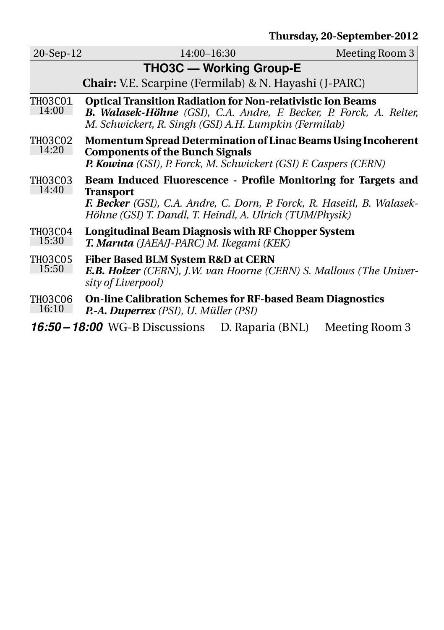| 20-Sep-12        | 14:00-16:30                                                                                                                                                                                                              |                  | Meeting Room 3 |  |
|------------------|--------------------------------------------------------------------------------------------------------------------------------------------------------------------------------------------------------------------------|------------------|----------------|--|
|                  | <b>THO3C — Working Group-E</b>                                                                                                                                                                                           |                  |                |  |
|                  | <b>Chair:</b> V.E. Scarpine (Fermilab) & N. Hayashi (J-PARC)                                                                                                                                                             |                  |                |  |
| THO3C01<br>14:00 | <b>Optical Transition Radiation for Non-relativistic Ion Beams</b><br><b>B. Walasek-Höhne</b> (GSI), C.A. Andre, F. Becker, P. Forck, A. Reiter,<br>M. Schwickert, R. Singh (GSI) A.H. Lumpkin (Fermilab)                |                  |                |  |
| THO3CO2<br>14:20 | <b>Momentum Spread Determination of Linac Beams Using Incoherent</b><br><b>Components of the Bunch Signals</b><br>P. Kowina (GSI), P. Forck, M. Schwickert (GSI) F. Caspers (CERN)                                       |                  |                |  |
| THO3CO3<br>14:40 | Beam Induced Fluorescence - Profile Monitoring for Targets and<br><b>Transport</b><br>F. Becker (GSI), C.A. Andre, C. Dorn, P. Forck, R. Haseitl, B. Walasek-<br>Höhne (GSI) T. Dandl, T. Heindl, A. Ulrich (TUM/Physik) |                  |                |  |
| TH03C04<br>15:30 | <b>Longitudinal Beam Diagnosis with RF Chopper System</b><br>T. Maruta (JAEA/J-PARC) M. Ikegami (KEK)                                                                                                                    |                  |                |  |
| THO3C05<br>15:50 | <b>Fiber Based BLM System R&amp;D at CERN</b><br><b>E.B. Holzer</b> (CERN), J.W. van Hoorne (CERN) S. Mallows (The Univer-<br>sity of Liverpool)                                                                         |                  |                |  |
| TH03C06<br>16:10 | <b>On-line Calibration Schemes for RF-based Beam Diagnostics</b><br><b>P.-A. Duperrex</b> (PSI), U. Müller (PSI)                                                                                                         |                  |                |  |
|                  | 16:50 – 18:00 WG-B Discussions                                                                                                                                                                                           | D. Raparia (BNL) | Meeting Room 3 |  |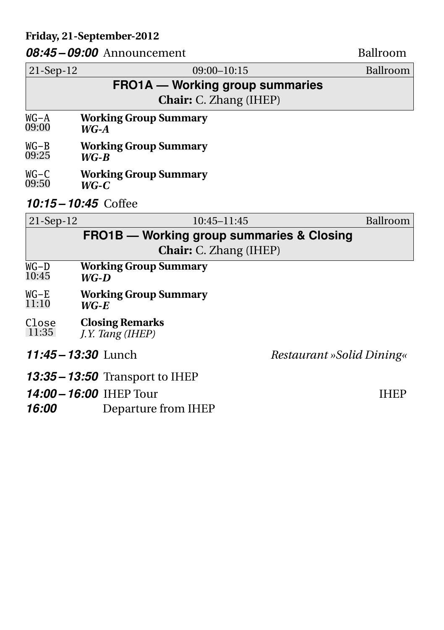#### **Friday, 21-September-2012**

#### *08:45 – 09:00* Announcement Ballroom

21-Sep-12 09:00–10:15 Ballroom **FRO1A — Working group summaries Chair:** C. Zhang (IHEP) WG-A 09:00 **Working Group Summary** *WG-A* WG-B 09:25 **Working Group Summary** *WG-B* WG-C 09:50 **Working Group Summary** *WG-C 10:15 – 10:45* Coffee 21-Sep-12 10:45–11:45 Ballroom **FRO1B — Working group summaries & Closing Chair:** C. Zhang (IHEP)  $\overline{WG-D}$ 10:45 **Working Group Summary** *WG-D* WG-E 11:10 **Working Group Summary** *WG-E* Close 11:35 **Closing Remarks** *J.Y. Tang (IHEP) 11:45 – 13:30* Lunch *Restaurant »Solid Dining« 13:35 – 13:50* Transport to IHEP

- *14:00 16:00* IHEP Tour
- *16:00* Departure from IHEP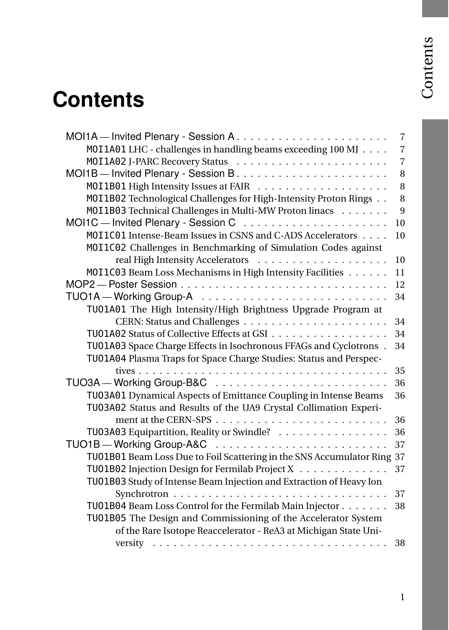## <span id="page-20-0"></span>**Contents**

|                                                                         | $\overline{7}$ |
|-------------------------------------------------------------------------|----------------|
| MOI1A01 LHC - challenges in handling beams exceeding 100 MJ             | $\overline{7}$ |
|                                                                         | $\overline{7}$ |
|                                                                         | 8              |
|                                                                         | 8              |
| M0I1B02 Technological Challenges for High-Intensity Proton Rings        | 8              |
| MOI1B03 Technical Challenges in Multi-MW Proton linacs                  | 9              |
|                                                                         | 10             |
| M0I1C01 Intense-Beam Issues in CSNS and C-ADS Accelerators              | 10             |
| M0I1C02 Challenges in Benchmarking of Simulation Codes against          |                |
|                                                                         | 10             |
| MOI1C03 Beam Loss Mechanisms in High Intensity Facilities               | 11             |
|                                                                         | 12             |
|                                                                         | 34             |
| TU01A01 The High Intensity/High Brightness Upgrade Program at           |                |
|                                                                         | 34             |
| TU01A02 Status of Collective Effects at GSI                             | 34             |
| TU01A03 Space Charge Effects in Isochronous FFAGs and Cyclotrons.       | 34             |
| TU01A04 Plasma Traps for Space Charge Studies: Status and Perspec-      |                |
|                                                                         | 35             |
|                                                                         | 36             |
| TU03A01 Dynamical Aspects of Emittance Coupling in Intense Beams        | 36             |
| TU03A02 Status and Results of the UA9 Crystal Collimation Experi-       |                |
|                                                                         | 36             |
| TU03A03 Equipartition, Reality or Swindle?                              | 36             |
|                                                                         | 37             |
| TU01B01 Beam Loss Due to Foil Scattering in the SNS Accumulator Ring 37 |                |
| TU01B02 Injection Design for Fermilab Project X                         | 37             |
| TU01B03 Study of Intense Beam Injection and Extraction of Heavy Ion     |                |
|                                                                         | 37             |
| TU01B04 Beam Loss Control for the Fermilab Main Injector                | 38             |
| TU01B05 The Design and Commissioning of the Accelerator System          |                |
| of the Rare Isotope Reaccelerator - ReA3 at Michigan State Uni-         |                |
| versity                                                                 | 38             |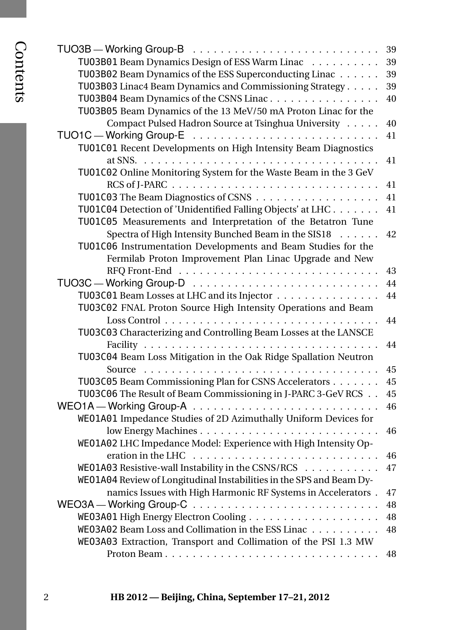| ٠ |
|---|
|   |
|   |
|   |
|   |
| ï |

|                                                                                    | 39       |
|------------------------------------------------------------------------------------|----------|
| TU03B01 Beam Dynamics Design of ESS Warm Linac                                     | 39       |
| TU03B02 Beam Dynamics of the ESS Superconducting Linac                             | 39       |
| TU03B03 Linac4 Beam Dynamics and Commissioning Strategy                            | 39       |
| TU03B04 Beam Dynamics of the CSNS Linac                                            | 40       |
| TU03B05 Beam Dynamics of the 13 MeV/50 mA Proton Linac for the                     |          |
| Compact Pulsed Hadron Source at Tsinghua University                                | 40       |
|                                                                                    | 41       |
| TU01C01 Recent Developments on High Intensity Beam Diagnostics                     |          |
|                                                                                    | 41       |
| TU01C02 Online Monitoring System for the Waste Beam in the 3 GeV                   |          |
|                                                                                    | 41       |
|                                                                                    | 41       |
| TU01C04 Detection of 'Unidentified Falling Objects' at LHC.                        | 41       |
| TU01C05 Measurements and Interpretation of the Betatron Tune                       |          |
| Spectra of High Intensity Bunched Beam in the SIS18<br>$\cdot \cdot \cdot \cdot$ . | 42       |
| TU01C06 Instrumentation Developments and Beam Studies for the                      |          |
| Fermilab Proton Improvement Plan Linac Upgrade and New                             |          |
|                                                                                    | 43       |
|                                                                                    | 44       |
| TU03C01 Beam Losses at LHC and its Injector                                        | 44       |
| TU03C02 FNAL Proton Source High Intensity Operations and Beam                      |          |
|                                                                                    | 44       |
| TU03C03 Characterizing and Controlling Beam Losses at the LANSCE                   |          |
|                                                                                    | 44       |
| TU03C04 Beam Loss Mitigation in the Oak Ridge Spallation Neutron                   |          |
|                                                                                    | 45       |
| TU03C05 Beam Commissioning Plan for CSNS Accelerators                              | 45       |
| TU03C06 The Result of Beam Commissioning in J-PARC 3-GeV RCS                       | 45<br>46 |
| WE01A01 Impedance Studies of 2D Azimuthally Uniform Devices for                    |          |
|                                                                                    | 46       |
| WE01A02 LHC Impedance Model: Experience with High Intensity Op-                    |          |
|                                                                                    | 46       |
| WE01A03 Resistive-wall Instability in the CSNS/RCS                                 | 47       |
| WE01A04 Review of Longitudinal Instabilities in the SPS and Beam Dy-               |          |
| namics Issues with High Harmonic RF Systems in Accelerators.                       | 47       |
|                                                                                    | 48       |
|                                                                                    | 48       |
| WE03A02 Beam Loss and Collimation in the ESS Linac                                 | 48       |
| WE03A03 Extraction, Transport and Collimation of the PSI 1.3 MW                    |          |
|                                                                                    | 48       |
|                                                                                    |          |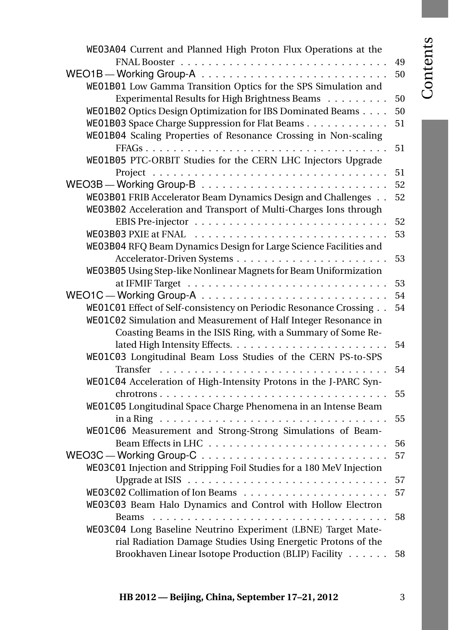# Contents

| WE03A04 Current and Planned High Proton Flux Operations at the       |    |
|----------------------------------------------------------------------|----|
|                                                                      | 49 |
|                                                                      | 50 |
| WE01B01 Low Gamma Transition Optics for the SPS Simulation and       |    |
| Experimental Results for High Brightness Beams                       | 50 |
| WE01B02 Optics Design Optimization for IBS Dominated Beams           | 50 |
| WE01B03 Space Charge Suppression for Flat Beams                      | 51 |
| WE01B04 Scaling Properties of Resonance Crossing in Non-scaling      |    |
|                                                                      |    |
|                                                                      | 51 |
| WE01B05 PTC-ORBIT Studies for the CERN LHC Injectors Upgrade         |    |
|                                                                      | 51 |
|                                                                      | 52 |
| WE03B01 FRIB Accelerator Beam Dynamics Design and Challenges         | 52 |
| WE03B02 Acceleration and Transport of Multi-Charges Ions through     |    |
|                                                                      | 52 |
|                                                                      | 53 |
| WE03B04 RFQ Beam Dynamics Design for Large Science Facilities and    |    |
|                                                                      | 53 |
| WE03B05 Using Step-like Nonlinear Magnets for Beam Uniformization    |    |
|                                                                      | 53 |
|                                                                      | 54 |
| WE01C01 Effect of Self-consistency on Periodic Resonance Crossing    | 54 |
| WE01C02 Simulation and Measurement of Half Integer Resonance in      |    |
| Coasting Beams in the ISIS Ring, with a Summary of Some Re-          |    |
|                                                                      | 54 |
| WE01C03 Longitudinal Beam Loss Studies of the CERN PS-to-SPS         |    |
|                                                                      | 54 |
| WE01C04 Acceleration of High-Intensity Protons in the J-PARC Syn-    |    |
|                                                                      | 55 |
| WE01C05 Longitudinal Space Charge Phenomena in an Intense Beam       |    |
|                                                                      | 55 |
| WE01C06 Measurement and Strong-Strong Simulations of Beam-           |    |
|                                                                      |    |
|                                                                      | 56 |
|                                                                      | 57 |
| WE03C01 Injection and Stripping Foil Studies for a 180 MeV Injection |    |
|                                                                      | 57 |
|                                                                      | 57 |
| WE03C03 Beam Halo Dynamics and Control with Hollow Electron          |    |
|                                                                      | 58 |
| WE03C04 Long Baseline Neutrino Experiment (LBNE) Target Mate-        |    |
| rial Radiation Damage Studies Using Energetic Protons of the         |    |
| Brookhaven Linear Isotope Production (BLIP) Facility                 | 58 |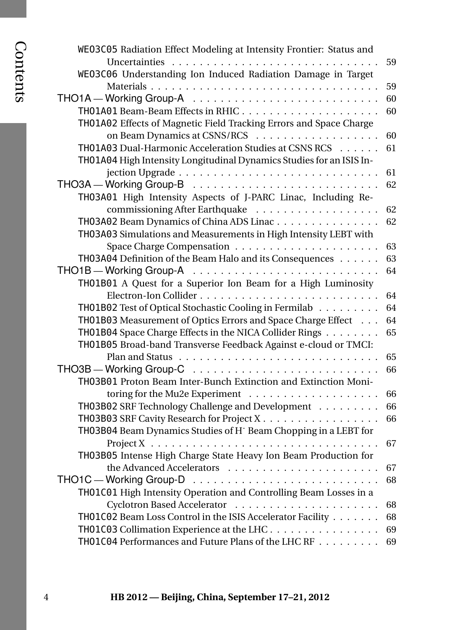| WE03C05 Radiation Effect Modeling at Intensity Frontier: Status and         |    |
|-----------------------------------------------------------------------------|----|
|                                                                             | 59 |
| WE03C06 Understanding Ion Induced Radiation Damage in Target                |    |
|                                                                             | 59 |
|                                                                             | 60 |
|                                                                             | 60 |
| TH01A02 Effects of Magnetic Field Tracking Errors and Space Charge          |    |
|                                                                             | 60 |
| TH01A03 Dual-Harmonic Acceleration Studies at CSNS RCS                      | 61 |
| TH01A04 High Intensity Longitudinal Dynamics Studies for an ISIS In-        |    |
|                                                                             | 61 |
|                                                                             | 62 |
| TH03A01 High Intensity Aspects of J-PARC Linac, Including Re-               |    |
|                                                                             | 62 |
| TH03A02 Beam Dynamics of China ADS Linac                                    | 62 |
| TH03A03 Simulations and Measurements in High Intensity LEBT with            |    |
|                                                                             | 63 |
| TH03A04 Definition of the Beam Halo and its Consequences                    | 63 |
|                                                                             | 64 |
| TH01B01 A Quest for a Superior Ion Beam for a High Luminosity               |    |
|                                                                             | 64 |
| TH01B02 Test of Optical Stochastic Cooling in Fermilab                      | 64 |
| TH01B03 Measurement of Optics Errors and Space Charge Effect                | 64 |
| TH01B04 Space Charge Effects in the NICA Collider Rings                     | 65 |
| TH01B05 Broad-band Transverse Feedback Against e-cloud or TMCI:             |    |
|                                                                             | 65 |
|                                                                             | 66 |
| TH03B01 Proton Beam Inter-Bunch Extinction and Extinction Moni-             |    |
|                                                                             | 66 |
| TH03B02 SRF Technology Challenge and Development                            | 66 |
| TH03B03 SRF Cavity Research for Project X                                   | 66 |
| TH03B04 Beam Dynamics Studies of H <sup>-</sup> Beam Chopping in a LEBT for |    |
|                                                                             | 67 |
| TH03B05 Intense High Charge State Heavy Ion Beam Production for             |    |
|                                                                             | 67 |
|                                                                             | 68 |
| TH01C01 High Intensity Operation and Controlling Beam Losses in a           |    |
|                                                                             | 68 |
| TH01C02 Beam Loss Control in the ISIS Accelerator Facility                  | 68 |
| TH01C03 Collimation Experience at the LHC.                                  | 69 |
| TH01C04 Performances and Future Plans of the LHC RF                         | 69 |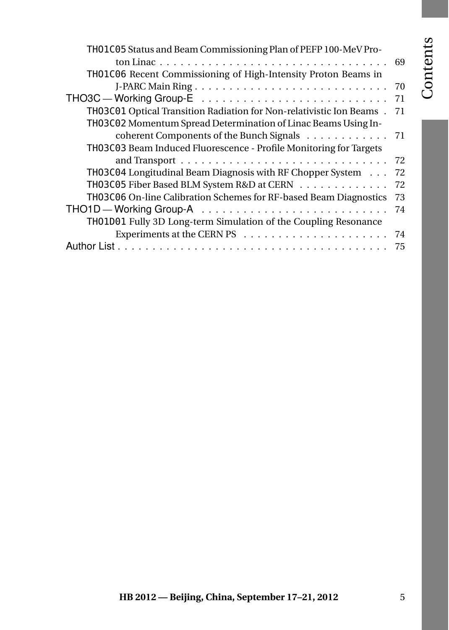## Contents

| TH01C05 Status and Beam Commissioning Plan of PEFP 100-MeV Pro-      |    |
|----------------------------------------------------------------------|----|
|                                                                      | 69 |
| TH01C06 Recent Commissioning of High-Intensity Proton Beams in       |    |
|                                                                      | 70 |
|                                                                      | 71 |
| TH03C01 Optical Transition Radiation for Non-relativistic Ion Beams. | 71 |
| TH03C02 Momentum Spread Determination of Linac Beams Using In-       |    |
| coherent Components of the Bunch Signals 71                          |    |
| TH03C03 Beam Induced Fluorescence - Profile Monitoring for Targets   |    |
|                                                                      | 72 |
| TH03C04 Longitudinal Beam Diagnosis with RF Chopper System           | 72 |
| <b>TH03C05</b> Fiber Based BLM System R&D at CERN                    | 72 |
| TH03C06 On-line Calibration Schemes for RF-based Beam Diagnostics    | 73 |
|                                                                      | 74 |
| TH01D01 Fully 3D Long-term Simulation of the Coupling Resonance      |    |
|                                                                      | 74 |
|                                                                      | 75 |
|                                                                      |    |
|                                                                      |    |
|                                                                      |    |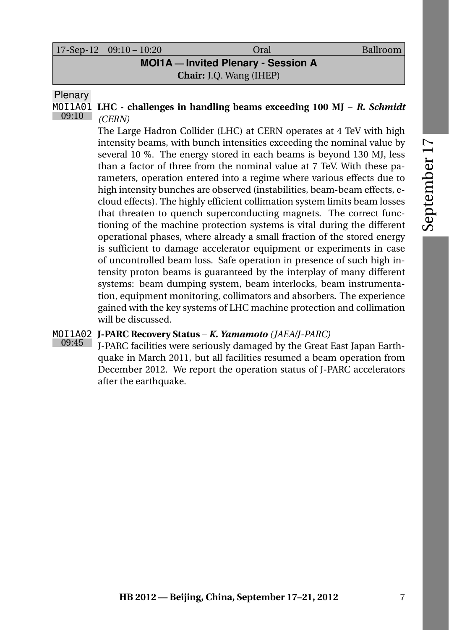#### **MOI1A — Invited Plenary - Session A Chair:** J.Q. Wang (IHEP)

**Plenary** 

09:10

MOI1A01 **LHC - challenges in handling beams exceeding 100 MJ** – *R. Schmidt (CERN)*

> <span id="page-26-0"></span>The Large Hadron Collider (LHC) at CERN operates at 4 TeV with high intensity beams, with bunch intensities exceeding the nominal value by several 10 %. The energy stored in each beams is beyond 130 MJ, less than a factor of three from the nominal value at 7 TeV. With these parameters, operation entered into a regime where various effects due to high intensity bunches are observed (instabilities, beam-beam effects, ecloud effects). The highly efficient collimation system limits beam losses that threaten to quench superconducting magnets. The correct functioning of the machine protection systems is vital during the different operational phases, where already a small fraction of the stored energy is sufficient to damage accelerator equipment or experiments in case of uncontrolled beam loss. Safe operation in presence of such high intensity proton beams is guaranteed by the interplay of many different systems: beam dumping system, beam interlocks, beam instrumentation, equipment monitoring, collimators and absorbers. The experience gained with the key systems of LHC machine protection and collimation will be discussed.

#### MOI1A02 **J-PARC Recovery Status** – *K. Yamamoto (JAEA/J-PARC)*

09:45 J-PARC facilities were seriously damaged by the Great East Japan Earthquake in March 2011, but all facilities resumed a beam operation from December 2012. We report the operation status of J-PARC accelerators after the earthquake.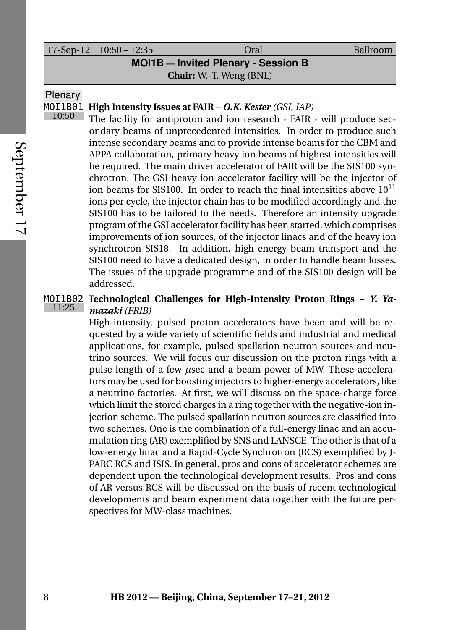|                                          | $17-Sep-12$ $10:50-12:35$ | Oral | Ballroom |  |  |  |
|------------------------------------------|---------------------------|------|----------|--|--|--|
| <b>MOI1B-Invited Plenary - Session B</b> |                           |      |          |  |  |  |
| <b>Chair:</b> W.-T. Weng (BNL)           |                           |      |          |  |  |  |

Plenary

#### MOI1B01 **High Intensity Issues at FAIR** – *O.K. Kester (GSI, IAP)* 10:50

<span id="page-27-0"></span>The facility for antiproton and ion research - FAIR - will produce secondary beams of unprecedented intensities. In order to produce such intense secondary beams and to provide intense beams for the CBM and APPA collaboration, primary heavy ion beams of highest intensities will be required. The main driver accelerator of FAIR will be the SIS100 synchrotron. The GSI heavy ion accelerator facility will be the injector of ion beams for  $SIS100$ . In order to reach the final intensities above  $10^{11}$ ions per cycle, the injector chain has to be modified accordingly and the SIS100 has to be tailored to the needs. Therefore an intensity upgrade program of the GSI accelerator facility has been started, which comprises improvements of ion sources, of the injector linacs and of the heavy ion synchrotron SIS18. In addition, high energy beam transport and the SIS100 need to have a dedicated design, in order to handle beam losses. The issues of the upgrade programme and of the SIS100 design will be addressed.

#### MOI1B02 **Technological Challenges for High-Intensity Proton Rings** – *Y. Ya-*11:25 *mazaki (FRIB)*

High-intensity, pulsed proton accelerators have been and will be requested by a wide variety of scientific fields and industrial and medical applications, for example, pulsed spallation neutron sources and neutrino sources. We will focus our discussion on the proton rings with a pulse length of a few *µ*sec and a beam power of MW. These accelerators may be used for boosting injectors to higher-energy accelerators, like a neutrino factories. At first, we will discuss on the space-charge force which limit the stored charges in a ring together with the negative-ion injection scheme. The pulsed spallation neutron sources are classified into two schemes. One is the combination of a full-energy linac and an accumulation ring (AR) exemplified by SNS and LANSCE. The other is that of a low-energy linac and a Rapid-Cycle Synchrotron (RCS) exemplified by J-PARC RCS and ISIS. In general, pros and cons of accelerator schemes are dependent upon the technological development results. Pros and cons of AR versus RCS will be discussed on the basis of recent technological developments and beam experiment data together with the future perspectives for MW-class machines.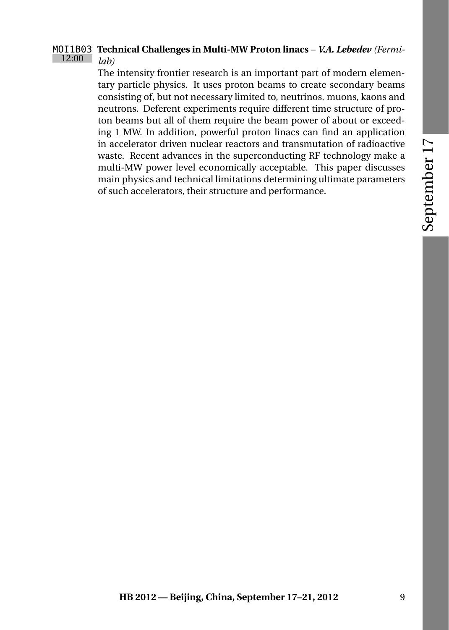#### MOI1B03 **Technical Challenges in Multi-MW Proton linacs** – *V.A. Lebedev (Fermi-*12:00 *lab)*

The intensity frontier research is an important part of modern elementary particle physics. It uses proton beams to create secondary beams consisting of, but not necessary limited to, neutrinos, muons, kaons and neutrons. Deferent experiments require different time structure of proton beams but all of them require the beam power of about or exceeding 1 MW. In addition, powerful proton linacs can find an application in accelerator driven nuclear reactors and transmutation of radioactive waste. Recent advances in the superconducting RF technology make a multi-MW power level economically acceptable. This paper discusses main physics and technical limitations determining ultimate parameters of such accelerators, their structure and performance.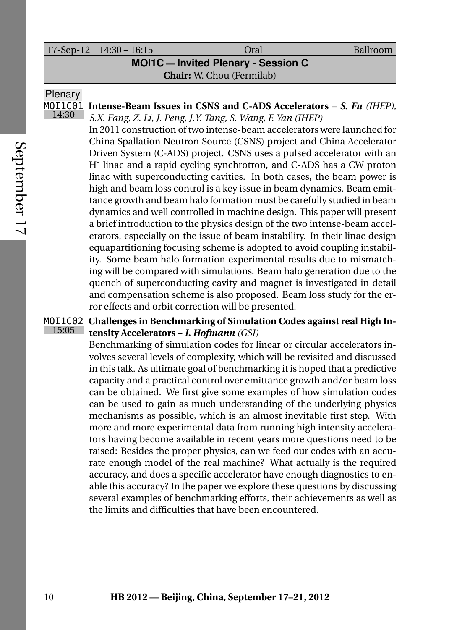#### 17-Sep-12 14:30 – 16:15 Oral Ballroom

**MOI1C — Invited Plenary - Session C**

**Chair:** W. Chou (Fermilab)

#### Plenary

14:30

MOI1C01 **Intense-Beam Issues in CSNS and C-ADS Accelerators** – *S. Fu (IHEP), S.X. Fang, Z. Li, J. Peng, J.Y. Tang, S. Wang, F. Yan (IHEP)*

> <span id="page-29-0"></span>In 2011 construction of two intense-beam accelerators were launched for China Spallation Neutron Source (CSNS) project and China Accelerator Driven System (C-ADS) project. CSNS uses a pulsed accelerator with an H-linac and a rapid cycling synchrotron, and C-ADS has a CW proton linac with superconducting cavities. In both cases, the beam power is high and beam loss control is a key issue in beam dynamics. Beam emittance growth and beam halo formation must be carefully studied in beam dynamics and well controlled in machine design. This paper will present a brief introduction to the physics design of the two intense-beam accelerators, especially on the issue of beam instability. In their linac design equapartitioning focusing scheme is adopted to avoid coupling instability. Some beam halo formation experimental results due to mismatching will be compared with simulations. Beam halo generation due to the quench of superconducting cavity and magnet is investigated in detail and compensation scheme is also proposed. Beam loss study for the error effects and orbit correction will be presented.

#### MOI1C02 **Challenges in Benchmarking of Simulation Codes against real High In-**15:05 **tensity Accelerators** – *I. Hofmann (GSI)*

Benchmarking of simulation codes for linear or circular accelerators involves several levels of complexity, which will be revisited and discussed in this talk. As ultimate goal of benchmarking it is hoped that a predictive capacity and a practical control over emittance growth and/or beam loss can be obtained. We first give some examples of how simulation codes can be used to gain as much understanding of the underlying physics mechanisms as possible, which is an almost inevitable first step. With more and more experimental data from running high intensity accelerators having become available in recent years more questions need to be raised: Besides the proper physics, can we feed our codes with an accurate enough model of the real machine? What actually is the required accuracy, and does a specific accelerator have enough diagnostics to enable this accuracy? In the paper we explore these questions by discussing several examples of benchmarking efforts, their achievements as well as the limits and difficulties that have been encountered.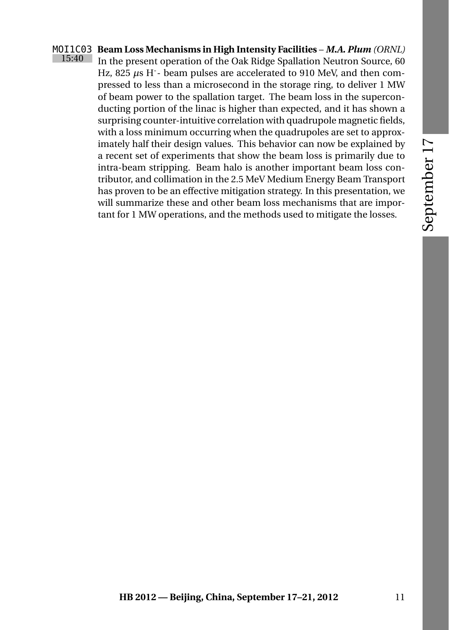# September 17

#### MOI1C03 **Beam Loss Mechanisms in High Intensity Facilities** – *M.A. Plum (ORNL)* 15:40 In the present operation of the Oak Ridge Spallation Neutron Source, 60

Hz, 825  $\mu$ s H<sup>-</sup>- beam pulses are accelerated to 910 MeV, and then compressed to less than a microsecond in the storage ring, to deliver 1 MW of beam power to the spallation target. The beam loss in the superconducting portion of the linac is higher than expected, and it has shown a surprising counter-intuitive correlation with quadrupole magnetic fields, with a loss minimum occurring when the quadrupoles are set to approximately half their design values. This behavior can now be explained by a recent set of experiments that show the beam loss is primarily due to intra-beam stripping. Beam halo is another important beam loss contributor, and collimation in the 2.5 MeV Medium Energy Beam Transport has proven to be an effective mitigation strategy. In this presentation, we will summarize these and other beam loss mechanisms that are important for 1 MW operations, and the methods used to mitigate the losses.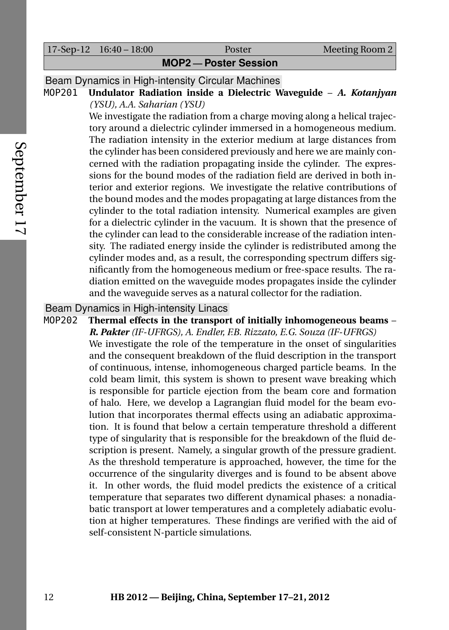|                            | $17-Sep-12$ $16:40-18:00$ | Poster | Meeting Room 2 |  |  |
|----------------------------|---------------------------|--------|----------------|--|--|
| <b>MOP2-Poster Session</b> |                           |        |                |  |  |

Beam Dynamics in High-intensity Circular Machines

MOP201 **Undulator Radiation inside a Dielectric Waveguide** – *A. Kotanjyan (YSU), A.A. Saharian (YSU)*

> We investigate the radiation from a charge moving along a helical trajectory around a dielectric cylinder immersed in a homogeneous medium. The radiation intensity in the exterior medium at large distances from the cylinder has been considered previously and here we are mainly concerned with the radiation propagating inside the cylinder. The expressions for the bound modes of the radiation field are derived in both interior and exterior regions. We investigate the relative contributions of the bound modes and the modes propagating at large distances from the cylinder to the total radiation intensity. Numerical examples are given for a dielectric cylinder in the vacuum. It is shown that the presence of the cylinder can lead to the considerable increase of the radiation intensity. The radiated energy inside the cylinder is redistributed among the cylinder modes and, as a result, the corresponding spectrum differs significantly from the homogeneous medium or free-space results. The radiation emitted on the waveguide modes propagates inside the cylinder and the waveguide serves as a natural collector for the radiation.

### Beam Dynamics in High-intensity Linacs<br>MOP202 Thermal effects in the transpor

Thermal effects in the transport of initially inhomogeneous beams – *R. Pakter (IF-UFRGS), A. Endler, F.B. Rizzato, E.G. Souza (IF-UFRGS)* We investigate the role of the temperature in the onset of singularities and the consequent breakdown of the fluid description in the transport of continuous, intense, inhomogeneous charged particle beams. In the cold beam limit, this system is shown to present wave breaking which is responsible for particle ejection from the beam core and formation of halo. Here, we develop a Lagrangian fluid model for the beam evolution that incorporates thermal effects using an adiabatic approximation. It is found that below a certain temperature threshold a different type of singularity that is responsible for the breakdown of the fluid description is present. Namely, a singular growth of the pressure gradient. As the threshold temperature is approached, however, the time for the occurrence of the singularity diverges and is found to be absent above it. In other words, the fluid model predicts the existence of a critical temperature that separates two different dynamical phases: a nonadiabatic transport at lower temperatures and a completely adiabatic evolution at higher temperatures. These findings are verified with the aid of self-consistent N-particle simulations.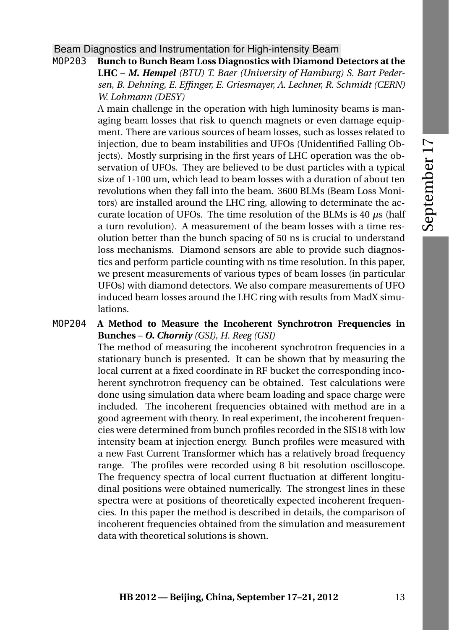Beam Diagnostics and Instrumentation for High-intensity Beam

MOP203 **Bunch to Bunch Beam Loss Diagnostics with Diamond Detectors at the LHC** – *M. Hempel (BTU) T. Baer (University of Hamburg) S. Bart Pedersen, B. Dehning, E. Effinger, E. Griesmayer, A. Lechner, R. Schmidt (CERN) W. Lohmann (DESY)*

> A main challenge in the operation with high luminosity beams is managing beam losses that risk to quench magnets or even damage equipment. There are various sources of beam losses, such as losses related to injection, due to beam instabilities and UFOs (Unidentified Falling Objects). Mostly surprising in the first years of LHC operation was the observation of UFOs. They are believed to be dust particles with a typical size of 1-100 um, which lead to beam losses with a duration of about ten revolutions when they fall into the beam. 3600 BLMs (Beam Loss Monitors) are installed around the LHC ring, allowing to determinate the accurate location of UFOs. The time resolution of the BLMs is 40 *µ*s (half a turn revolution). A measurement of the beam losses with a time resolution better than the bunch spacing of 50 ns is crucial to understand loss mechanisms. Diamond sensors are able to provide such diagnostics and perform particle counting with ns time resolution. In this paper, we present measurements of various types of beam losses (in particular UFOs) with diamond detectors. We also compare measurements of UFO induced beam losses around the LHC ring with results from MadX simulations.

#### MOP204 **A Method to Measure the Incoherent Synchrotron Frequencies in Bunches** – *O. Chorniy (GSI), H. Reeg (GSI)*

The method of measuring the incoherent synchrotron frequencies in a stationary bunch is presented. It can be shown that by measuring the local current at a fixed coordinate in RF bucket the corresponding incoherent synchrotron frequency can be obtained. Test calculations were done using simulation data where beam loading and space charge were included. The incoherent frequencies obtained with method are in a good agreement with theory. In real experiment, the incoherent frequencies were determined from bunch profiles recorded in the SIS18 with low intensity beam at injection energy. Bunch profiles were measured with a new Fast Current Transformer which has a relatively broad frequency range. The profiles were recorded using 8 bit resolution oscilloscope. The frequency spectra of local current fluctuation at different longitudinal positions were obtained numerically. The strongest lines in these spectra were at positions of theoretically expected incoherent frequencies. In this paper the method is described in details, the comparison of incoherent frequencies obtained from the simulation and measurement data with theoretical solutions is shown.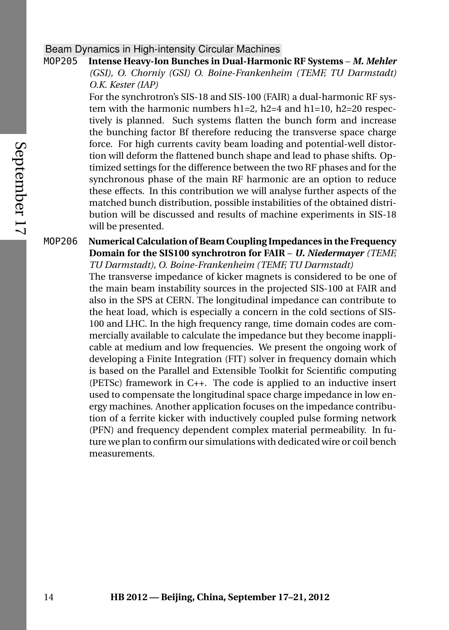#### Beam Dynamics in High-intensity Circular Machines

MOP205 **Intense Heavy-Ion Bunches in Dual-Harmonic RF Systems** – *M. Mehler (GSI), O. Chorniy (GSI) O. Boine-Frankenheim (TEMF, TU Darmstadt) O.K. Kester (IAP)*

> For the synchrotron's SIS-18 and SIS-100 (FAIR) a dual-harmonic RF system with the harmonic numbers  $h1=2$ ,  $h2=4$  and  $h1=10$ ,  $h2=20$  respectively is planned. Such systems flatten the bunch form and increase the bunching factor Bf therefore reducing the transverse space charge force. For high currents cavity beam loading and potential-well distortion will deform the flattened bunch shape and lead to phase shifts. Optimized settings for the difference between the two RF phases and for the synchronous phase of the main RF harmonic are an option to reduce these effects. In this contribution we will analyse further aspects of the matched bunch distribution, possible instabilities of the obtained distribution will be discussed and results of machine experiments in SIS-18 will be presented.

MOP206 **Numerical Calculation of Beam Coupling Impedances in the Frequency Domain for the SIS100 synchrotron for FAIR** – *U. Niedermayer (TEMF, TU Darmstadt), O. Boine-Frankenheim (TEMF, TU Darmstadt)*

> The transverse impedance of kicker magnets is considered to be one of the main beam instability sources in the projected SIS-100 at FAIR and also in the SPS at CERN. The longitudinal impedance can contribute to the heat load, which is especially a concern in the cold sections of SIS-100 and LHC. In the high frequency range, time domain codes are commercially available to calculate the impedance but they become inapplicable at medium and low frequencies. We present the ongoing work of developing a Finite Integration (FIT) solver in frequency domain which is based on the Parallel and Extensible Toolkit for Scientific computing (PETSc) framework in C++. The code is applied to an inductive insert used to compensate the longitudinal space charge impedance in low energy machines. Another application focuses on the impedance contribution of a ferrite kicker with inductively coupled pulse forming network (PFN) and frequency dependent complex material permeability. In future we plan to confirm our simulations with dedicated wire or coil bench measurements.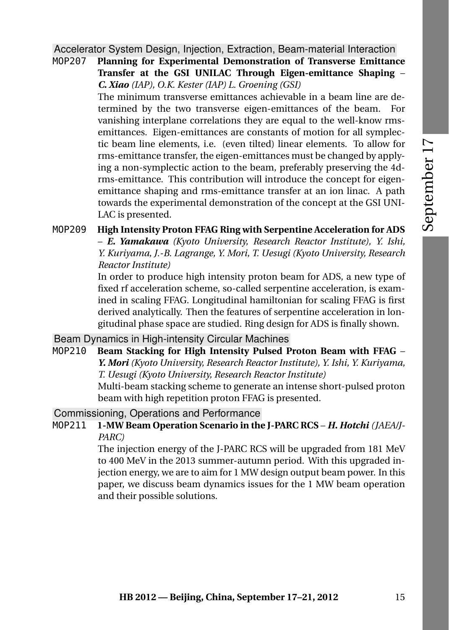Accelerator System Design, Injection, Extraction, Beam-material Interaction

MOP207 **Planning for Experimental Demonstration of Transverse Emittance Transfer at the GSI UNILAC Through Eigen-emittance Shaping** – *C. Xiao (IAP), O.K. Kester (IAP) L. Groening (GSI)*

The minimum transverse emittances achievable in a beam line are determined by the two transverse eigen-emittances of the beam. For vanishing interplane correlations they are equal to the well-know rmsemittances. Eigen-emittances are constants of motion for all symplectic beam line elements, i.e. (even tilted) linear elements. To allow for rms-emittance transfer, the eigen-emittances must be changed by applying a non-symplectic action to the beam, preferably preserving the 4drms-emittance. This contribution will introduce the concept for eigenemittance shaping and rms-emittance transfer at an ion linac. A path towards the experimental demonstration of the concept at the GSI UNI-LAC is presented.

#### MOP209 **High Intensity Proton FFAG Ring with Serpentine Acceleration for ADS** – *E. Yamakawa (Kyoto University, Research Reactor Institute), Y. Ishi, Y. Kuriyama, J.-B. Lagrange, Y. Mori, T. Uesugi (Kyoto University, Research Reactor Institute)*

In order to produce high intensity proton beam for ADS, a new type of fixed rf acceleration scheme, so-called serpentine acceleration, is examined in scaling FFAG. Longitudinal hamiltonian for scaling FFAG is first derived analytically. Then the features of serpentine acceleration in longitudinal phase space are studied. Ring design for ADS is finally shown.

Beam Dynamics in High-intensity Circular Machines

MOP210 **Beam Stacking for High Intensity Pulsed Proton Beam with FFAG** – *Y. Mori (Kyoto University, Research Reactor Institute), Y. Ishi, Y. Kuriyama, T. Uesugi (Kyoto University, Research Reactor Institute)*

Multi-beam stacking scheme to generate an intense short-pulsed proton beam with high repetition proton FFAG is presented.

Commissioning, Operations and Performance

MOP211 **1-MW Beam Operation Scenario in the J-PARC RCS** – *H. Hotchi (JAEA/J-PARC)*

> The injection energy of the J-PARC RCS will be upgraded from 181 MeV to 400 MeV in the 2013 summer-autumn period. With this upgraded injection energy, we are to aim for 1 MW design output beam power. In this paper, we discuss beam dynamics issues for the 1 MW beam operation and their possible solutions.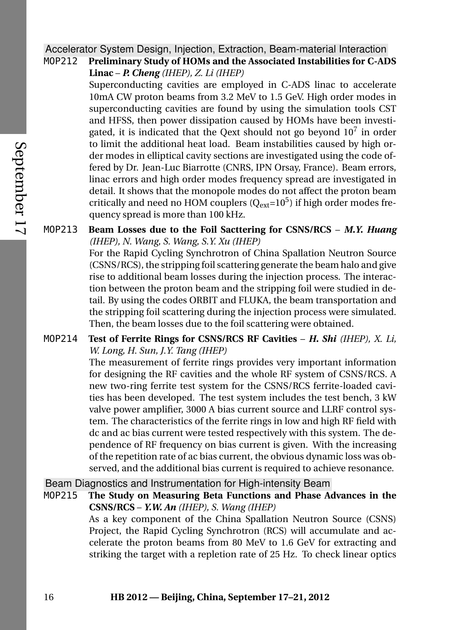#### Accelerator System Design, Injection, Extraction, Beam-material Interaction MOP212 **Preliminary Study of HOMs and the Associated Instabilities for C-ADS**

**Linac** – *P. Cheng (IHEP), Z. Li (IHEP)*

Superconducting cavities are employed in C-ADS linac to accelerate 10mA CW proton beams from 3.2 MeV to 1.5 GeV. High order modes in superconducting cavities are found by using the simulation tools CST and HFSS, then power dissipation caused by HOMs have been investigated, it is indicated that the Qext should not go beyond  $10^7$  in order to limit the additional heat load. Beam instabilities caused by high order modes in elliptical cavity sections are investigated using the code offered by Dr. Jean-Luc Biarrotte (CNRS, IPN Orsay, France). Beam errors, linac errors and high order modes frequency spread are investigated in detail. It shows that the monopole modes do not affect the proton beam critically and need no HOM couplers  $(Q_{ext}=10^5)$  if high order modes frequency spread is more than 100 kHz.

#### MOP213 **Beam Losses due to the Foil Sacttering for CSNS/RCS** – *M.Y. Huang (IHEP), N. Wang, S. Wang, S.Y. Xu (IHEP)*

For the Rapid Cycling Synchrotron of China Spallation Neutron Source (CSNS/RCS), the stripping foil scattering generate the beam halo and give rise to additional beam losses during the injection process. The interaction between the proton beam and the stripping foil were studied in detail. By using the codes ORBIT and FLUKA, the beam transportation and the stripping foil scattering during the injection process were simulated. Then, the beam losses due to the foil scattering were obtained.

#### MOP214 **Test of Ferrite Rings for CSNS/RCS RF Cavities** – *H. Shi (IHEP), X. Li, W. Long, H. Sun, J.Y. Tang (IHEP)*

The measurement of ferrite rings provides very important information for designing the RF cavities and the whole RF system of CSNS/RCS. A new two-ring ferrite test system for the CSNS/RCS ferrite-loaded cavities has been developed. The test system includes the test bench, 3 kW valve power amplifier, 3000 A bias current source and LLRF control system. The characteristics of the ferrite rings in low and high RF field with dc and ac bias current were tested respectively with this system. The dependence of RF frequency on bias current is given. With the increasing of the repetition rate of ac bias current, the obvious dynamic loss was observed, and the additional bias current is required to achieve resonance.

Beam Diagnostics and Instrumentation for High-intensity Beam

MOP215 **The Study on Measuring Beta Functions and Phase Advances in the CSNS/RCS** – *Y.W. An (IHEP), S. Wang (IHEP)*

As a key component of the China Spallation Neutron Source (CSNS) Project, the Rapid Cycling Synchrotron (RCS) will accumulate and accelerate the proton beams from 80 MeV to 1.6 GeV for extracting and striking the target with a repletion rate of 25 Hz. To check linear optics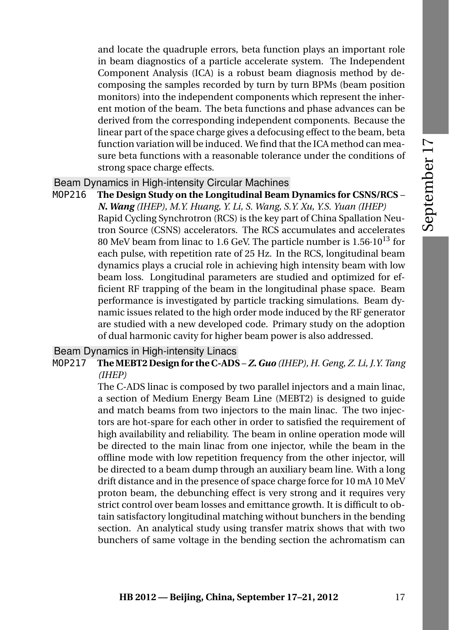and locate the quadruple errors, beta function plays an important role in beam diagnostics of a particle accelerate system. The Independent Component Analysis (ICA) is a robust beam diagnosis method by decomposing the samples recorded by turn by turn BPMs (beam position monitors) into the independent components which represent the inherent motion of the beam. The beta functions and phase advances can be derived from the corresponding independent components. Because the linear part of the space charge gives a defocusing effect to the beam, beta function variation will be induced. We find that the ICA method can measure beta functions with a reasonable tolerance under the conditions of strong space charge effects.

## Beam Dynamics in High-intensity Circular Machines

MOP216 **The Design Study on the Longitudinal Beam Dynamics for CSNS/RCS** – *N. Wang (IHEP), M.Y. Huang, Y. Li, S. Wang, S.Y. Xu, Y.S. Yuan (IHEP)* Rapid Cycling Synchrotron (RCS) is the key part of China Spallation Neutron Source (CSNS) accelerators. The RCS accumulates and accelerates 80 MeV beam from linac to 1.6 GeV. The particle number is  $1.56 \cdot 10^{13}$  for each pulse, with repetition rate of 25 Hz. In the RCS, longitudinal beam dynamics plays a crucial role in achieving high intensity beam with low beam loss. Longitudinal parameters are studied and optimized for efficient RF trapping of the beam in the longitudinal phase space. Beam performance is investigated by particle tracking simulations. Beam dynamic issues related to the high order mode induced by the RF generator are studied with a new developed code. Primary study on the adoption of dual harmonic cavity for higher beam power is also addressed.

## Beam Dynamics in High-intensity Linacs

MOP217 **The MEBT2 Design for the C-ADS** – *Z. Guo (IHEP), H. Geng, Z. Li, J.Y. Tang (IHEP)*

> The C-ADS linac is composed by two parallel injectors and a main linac, a section of Medium Energy Beam Line (MEBT2) is designed to guide and match beams from two injectors to the main linac. The two injectors are hot-spare for each other in order to satisfied the requirement of high availability and reliability. The beam in online operation mode will be directed to the main linac from one injector, while the beam in the offline mode with low repetition frequency from the other injector, will be directed to a beam dump through an auxiliary beam line. With a long drift distance and in the presence of space charge force for 10 mA 10 MeV proton beam, the debunching effect is very strong and it requires very strict control over beam losses and emittance growth. It is difficult to obtain satisfactory longitudinal matching without bunchers in the bending section. An analytical study using transfer matrix shows that with two bunchers of same voltage in the bending section the achromatism can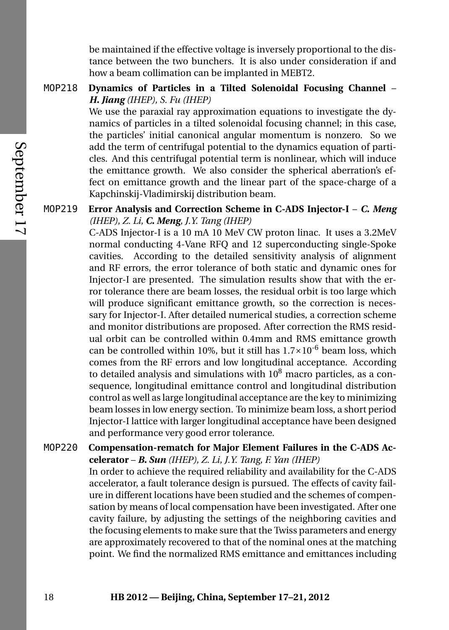be maintained if the effective voltage is inversely proportional to the distance between the two bunchers. It is also under consideration if and how a beam collimation can be implanted in MEBT2.

## MOP218 **Dynamics of Particles in a Tilted Solenoidal Focusing Channel** – *H. Jiang (IHEP), S. Fu (IHEP)*

We use the paraxial ray approximation equations to investigate the dynamics of particles in a tilted solenoidal focusing channel; in this case, the particles' initial canonical angular momentum is nonzero. So we add the term of centrifugal potential to the dynamics equation of particles. And this centrifugal potential term is nonlinear, which will induce the emittance growth. We also consider the spherical aberration's effect on emittance growth and the linear part of the space-charge of a Kapchinskij-Vladimirskij distribution beam.

## MOP219 **Error Analysis and Correction Scheme in C-ADS Injector-I** – *C. Meng (IHEP), Z. Li, C. Meng, J.Y. Tang (IHEP)*

C-ADS Injector-I is a 10 mA 10 MeV CW proton linac. It uses a 3.2MeV normal conducting 4-Vane RFQ and 12 superconducting single-Spoke cavities. According to the detailed sensitivity analysis of alignment and RF errors, the error tolerance of both static and dynamic ones for Injector-I are presented. The simulation results show that with the error tolerance there are beam losses, the residual orbit is too large which will produce significant emittance growth, so the correction is necessary for Injector-I. After detailed numerical studies, a correction scheme and monitor distributions are proposed. After correction the RMS residual orbit can be controlled within 0.4mm and RMS emittance growth can be controlled within 10%, but it still has  $1.7 \times 10^{-6}$  beam loss, which comes from the RF errors and low longitudinal acceptance. According to detailed analysis and simulations with  $10^8$  macro particles, as a consequence, longitudinal emittance control and longitudinal distribution control as well as large longitudinal acceptance are the key to minimizing beam losses in low energy section. To minimize beam loss, a short period Injector-I lattice with larger longitudinal acceptance have been designed and performance very good error tolerance.

## MOP220 **Compensation-rematch for Major Element Failures in the C-ADS Accelerator** – *B. Sun (IHEP), Z. Li, J.Y. Tang, F. Yan (IHEP)* In order to achieve the required reliability and availability for the C-ADS accelerator, a fault tolerance design is pursued. The effects of cavity failure in different locations have been studied and the schemes of compensation by means of local compensation have been investigated. After one cavity failure, by adjusting the settings of the neighboring cavities and

the focusing elements to make sure that the Twiss parameters and energy are approximately recovered to that of the nominal ones at the matching point. We find the normalized RMS emittance and emittances including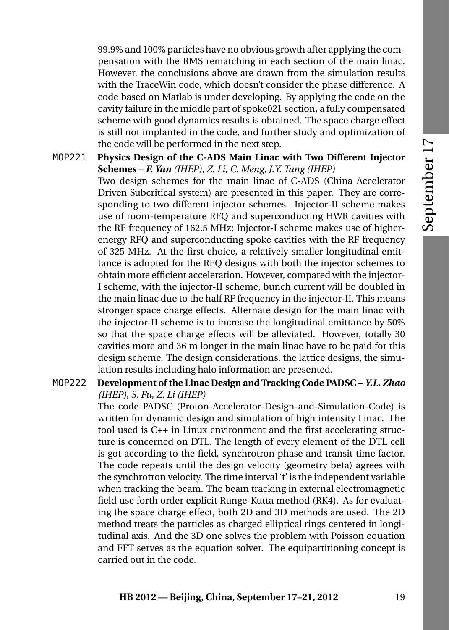99.9% and 100% particles have no obvious growth after applying the compensation with the RMS rematching in each section of the main linac. However, the conclusions above are drawn from the simulation results with the TraceWin code, which doesn't consider the phase difference. A code based on Matlab is under developing. By applying the code on the cavity failure in the middle part of spoke021 section, a fully compensated scheme with good dynamics results is obtained. The space charge effect is still not implanted in the code, and further study and optimization of the code will be performed in the next step.

MOP221 **Physics Design of the C-ADS Main Linac with Two Different Injector Schemes** – *F. Yan (IHEP), Z. Li, C. Meng, J.Y. Tang (IHEP)* Two design schemes for the main linac of C-ADS (China Accelerator Driven Subcritical system) are presented in this paper. They are corresponding to two different injector schemes. Injector-II scheme makes use of room-temperature RFQ and superconducting HWR cavities with the RF frequency of 162.5 MHz; Injector-I scheme makes use of higherenergy RFQ and superconducting spoke cavities with the RF frequency of 325 MHz. At the first choice, a relatively smaller longitudinal emittance is adopted for the RFQ designs with both the injector schemes to obtain more efficient acceleration. However, compared with the injector-I scheme, with the injector-II scheme, bunch current will be doubled in the main linac due to the half RF frequency in the injector-II. This means stronger space charge effects. Alternate design for the main linac with the injector-II scheme is to increase the longitudinal emittance by 50% so that the space charge effects will be alleviated. However, totally 30 cavities more and 36 m longer in the main linac have to be paid for this

MOP222 **Development of the Linac Design and Tracking Code PADSC** – *Y.L. Zhao (IHEP), S. Fu, Z. Li (IHEP)*

lation results including halo information are presented.

The code PADSC (Proton-Accelerator-Design-and-Simulation-Code) is written for dynamic design and simulation of high intensity Linac. The tool used is C++ in Linux environment and the first accelerating structure is concerned on DTL. The length of every element of the DTL cell is got according to the field, synchrotron phase and transit time factor. The code repeats until the design velocity (geometry beta) agrees with the synchrotron velocity. The time interval 't' is the independent variable when tracking the beam. The beam tracking in external electromagnetic field use forth order explicit Runge-Kutta method (RK4). As for evaluating the space charge effect, both 2D and 3D methods are used. The 2D method treats the particles as charged elliptical rings centered in longitudinal axis. And the 3D one solves the problem with Poisson equation and FFT serves as the equation solver. The equipartitioning concept is carried out in the code.

design scheme. The design considerations, the lattice designs, the simu-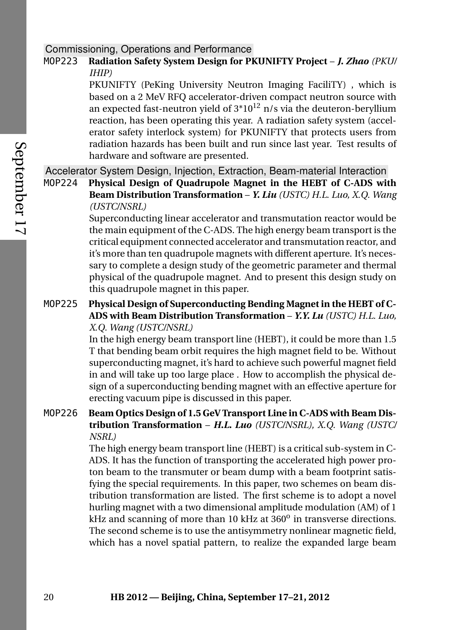## Commissioning, Operations and Performance

## MOP223 **Radiation Safety System Design for PKUNIFTY Project** – *J. Zhao (PKU/ IHIP)*

PKUNIFTY (PeKing University Neutron Imaging FaciliTY) , which is based on a 2 MeV RFQ accelerator-driven compact neutron source with an expected fast-neutron yield of  $3*10^{12}$  n/s via the deuteron-beryllium reaction, has been operating this year. A radiation safety system (accelerator safety interlock system) for PKUNIFTY that protects users from radiation hazards has been built and run since last year. Test results of hardware and software are presented.

Accelerator System Design, Injection, Extraction, Beam-material Interaction

MOP224 **Physical Design of Quadrupole Magnet in the HEBT of C-ADS with Beam Distribution Transformation** – *Y. Liu (USTC) H.L. Luo, X.Q. Wang (USTC/NSRL)*

> Superconducting linear accelerator and transmutation reactor would be the main equipment of the C-ADS. The high energy beam transport is the critical equipment connected accelerator and transmutation reactor, and it's more than ten quadrupole magnets with different aperture. It's necessary to complete a design study of the geometric parameter and thermal physical of the quadrupole magnet. And to present this design study on this quadrupole magnet in this paper.

## MOP225 **Physical Design of Superconducting Bending Magnet in the HEBT of C-ADS with Beam Distribution Transformation** – *Y.Y. Lu (USTC) H.L. Luo, X.Q. Wang (USTC/NSRL)*

In the high energy beam transport line (HEBT), it could be more than 1.5 T that bending beam orbit requires the high magnet field to be. Without superconducting magnet, it's hard to achieve such powerful magnet field in and will take up too large place . How to accomplish the physical design of a superconducting bending magnet with an effective aperture for erecting vacuum pipe is discussed in this paper.

MOP226 **Beam Optics Design of 1.5 GeV Transport Line in C-ADS with Beam Distribution Transformation** – *H.L. Luo (USTC/NSRL), X.Q. Wang (USTC/ NSRL)*

> The high energy beam transport line (HEBT) is a critical sub-system in C-ADS. It has the function of transporting the accelerated high power proton beam to the transmuter or beam dump with a beam footprint satisfying the special requirements. In this paper, two schemes on beam distribution transformation are listed. The first scheme is to adopt a novel hurling magnet with a two dimensional amplitude modulation (AM) of 1 kHz and scanning of more than 10 kHz at 360<sup>o</sup> in transverse directions. The second scheme is to use the antisymmetry nonlinear magnetic field, which has a novel spatial pattern, to realize the expanded large beam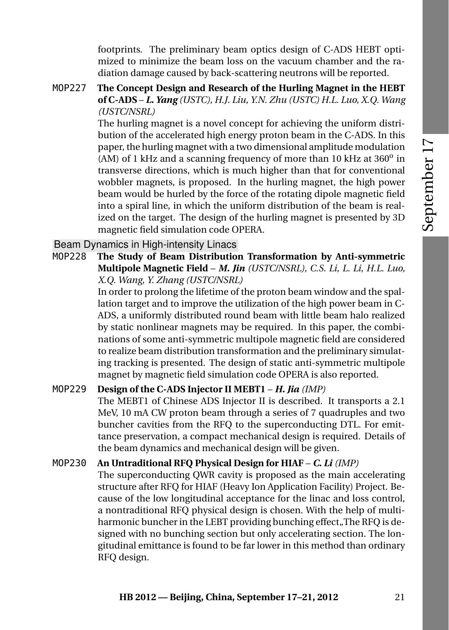footprints. The preliminary beam optics design of C-ADS HEBT optimized to minimize the beam loss on the vacuum chamber and the radiation damage caused by back-scattering neutrons will be reported.

## MOP227 **The Concept Design and Research of the Hurling Magnet in the HEBT of C-ADS** – *L. Yang (USTC), H.J. Liu, Y.N. Zhu (USTC) H.L. Luo, X.Q. Wang (USTC/NSRL)*

The hurling magnet is a novel concept for achieving the uniform distribution of the accelerated high energy proton beam in the C-ADS. In this paper, the hurling magnet with a two dimensional amplitude modulation (AM) of 1 kHz and a scanning frequency of more than 10 kHz at  $360^{\circ}$  in transverse directions, which is much higher than that for conventional wobbler magnets, is proposed. In the hurling magnet, the high power beam would be hurled by the force of the rotating dipole magnetic field into a spiral line, in which the uniform distribution of the beam is realized on the target. The design of the hurling magnet is presented by 3D magnetic field simulation code OPERA.

Beam Dynamics in High-intensity Linacs

MOP228 **The Study of Beam Distribution Transformation by Anti-symmetric Multipole Magnetic Field** – *M. Jin (USTC/NSRL), C.S. Li, L. Li, H.L. Luo, X.Q. Wang, Y. Zhang (USTC/NSRL)*

In order to prolong the lifetime of the proton beam window and the spallation target and to improve the utilization of the high power beam in C-ADS, a uniformly distributed round beam with little beam halo realized by static nonlinear magnets may be required. In this paper, the combinations of some anti-symmetric multipole magnetic field are considered to realize beam distribution transformation and the preliminary simulating tracking is presented. The design of static anti-symmetric multipole magnet by magnetic field simulation code OPERA is also reported.

# MOP229 **Design of the C-ADS Injector II MEBT1** – *H. Jia (IMP)*

The MEBT1 of Chinese ADS Injector II is described. It transports a 2.1 MeV, 10 mA CW proton beam through a series of 7 quadruples and two buncher cavities from the RFQ to the superconducting DTL. For emittance preservation, a compact mechanical design is required. Details of the beam dynamics and mechanical design will be given.

## MOP230 **An Untraditional RFQ Physical Design for HIAF** – *C. Li (IMP)*

The superconducting QWR cavity is proposed as the main accelerating structure after RFQ for HIAF (Heavy Ion Application Facility) Project. Because of the low longitudinal acceptance for the linac and loss control, a nontraditional RFQ physical design is chosen. With the help of multiharmonic buncher in the LEBT providing bunching effect. The RFO is designed with no bunching section but only accelerating section. The longitudinal emittance is found to be far lower in this method than ordinary RFQ design.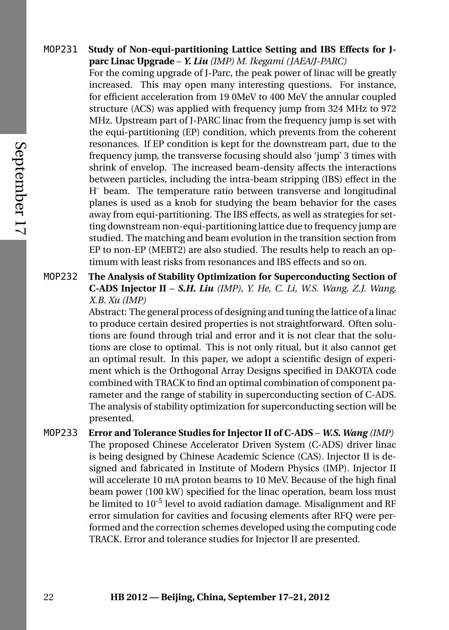MOP231 **Study of Non-equi-partitioning Lattice Setting and IBS Effects for Jparc Linac Upgrade** – *Y. Liu (IMP) M. Ikegami (JAEA/J-PARC)*

> For the coming upgrade of J-Parc, the peak power of linac will be greatly increased. This may open many interesting questions. For instance, for efficient acceleration from 19 0MeV to 400 MeV the annular coupled structure (ACS) was applied with frequency jump from 324 MHz to 972 MHz. Upstream part of J-PARC linac from the frequency jump is set with the equi-partitioning (EP) condition, which prevents from the coherent resonances. If EP condition is kept for the downstream part, due to the frequency jump, the transverse focusing should also 'jump' 3 times with shrink of envelop. The increased beam-density affects the interactions between particles, including the intra-beam stripping (IBS) effect in the H- beam. The temperature ratio between transverse and longitudinal planes is used as a knob for studying the beam behavior for the cases away from equi-partitioning. The IBS effects, as well as strategies for setting downstream non-equi-partitioning lattice due to frequency jump are studied. The matching and beam evolution in the transition section from EP to non-EP (MEBT2) are also studied. The results help to reach an optimum with least risks from resonances and IBS effects and so on.

MOP232 **The Analysis of Stability Optimization for Superconducting Section of C-ADS Injector II** – *S.H. Liu (IMP), Y. He, C. Li, W.S. Wang, Z.J. Wang, X.B. Xu (IMP)*

> Abstract: The general process of designing and tuning the lattice of a linac to produce certain desired properties is not straightforward. Often solutions are found through trial and error and it is not clear that the solutions are close to optimal. This is not only ritual, but it also cannot get an optimal result. In this paper, we adopt a scientific design of experiment which is the Orthogonal Array Designs specified in DAKOTA code combined with TRACK to find an optimal combination of component parameter and the range of stability in superconducting section of C-ADS. The analysis of stability optimization for superconducting section will be presented.

MOP233 **Error and Tolerance Studies for Injector II of C-ADS** – *W.S. Wang (IMP)* The proposed Chinese Accelerator Driven System (C-ADS) driver linac is being designed by Chinese Academic Science (CAS). Injector II is designed and fabricated in Institute of Modern Physics (IMP). Injector II will accelerate 10 mA proton beams to 10 MeV. Because of the high final beam power (100 kW) specified for the linac operation, beam loss must be limited to 10<sup>-5</sup> level to avoid radiation damage. Misalignment and RF error simulation for cavities and focusing elements after RFQ were performed and the correction schemes developed using the computing code TRACK. Error and tolerance studies for Injector II are presented.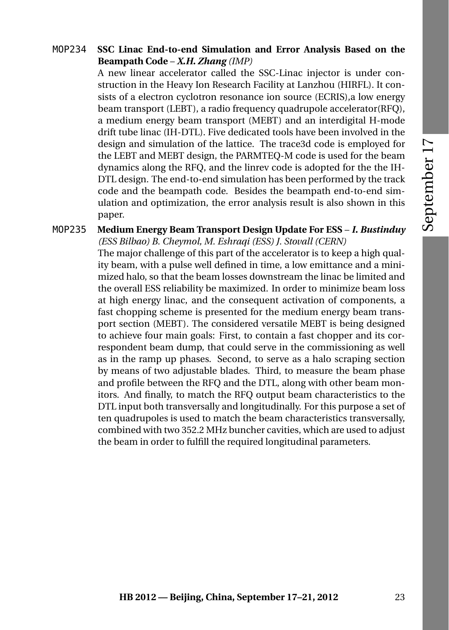## MOP234 **SSC Linac End-to-end Simulation and Error Analysis Based on the Beampath Code** – *X.H. Zhang (IMP)*

A new linear accelerator called the SSC-Linac injector is under construction in the Heavy Ion Research Facility at Lanzhou (HIRFL). It consists of a electron cyclotron resonance ion source (ECRIS),a low energy beam transport (LEBT), a radio frequency quadrupole accelerator(RFQ), a medium energy beam transport (MEBT) and an interdigital H-mode drift tube linac (IH-DTL). Five dedicated tools have been involved in the design and simulation of the lattice. The trace3d code is employed for the LEBT and MEBT design, the PARMTEQ-M code is used for the beam dynamics along the RFQ, and the linrev code is adopted for the the IH-DTL design. The end-to-end simulation has been performed by the track code and the beampath code. Besides the beampath end-to-end simulation and optimization, the error analysis result is also shown in this paper.

## MOP235 **Medium Energy Beam Transport Design Update For ESS** – *I. Bustinduy (ESS Bilbao) B. Cheymol, M. Eshraqi (ESS) J. Stovall (CERN)* The major challenge of this part of the accelerator is to keep a high qual-

ity beam, with a pulse well defined in time, a low emittance and a minimized halo, so that the beam losses downstream the linac be limited and the overall ESS reliability be maximized. In order to minimize beam loss at high energy linac, and the consequent activation of components, a fast chopping scheme is presented for the medium energy beam transport section (MEBT). The considered versatile MEBT is being designed to achieve four main goals: First, to contain a fast chopper and its correspondent beam dump, that could serve in the commissioning as well as in the ramp up phases. Second, to serve as a halo scraping section by means of two adjustable blades. Third, to measure the beam phase and profile between the RFQ and the DTL, along with other beam monitors. And finally, to match the RFQ output beam characteristics to the DTL input both transversally and longitudinally. For this purpose a set of ten quadrupoles is used to match the beam characteristics transversally, combined with two 352.2 MHz buncher cavities, which are used to adjust the beam in order to fulfill the required longitudinal parameters.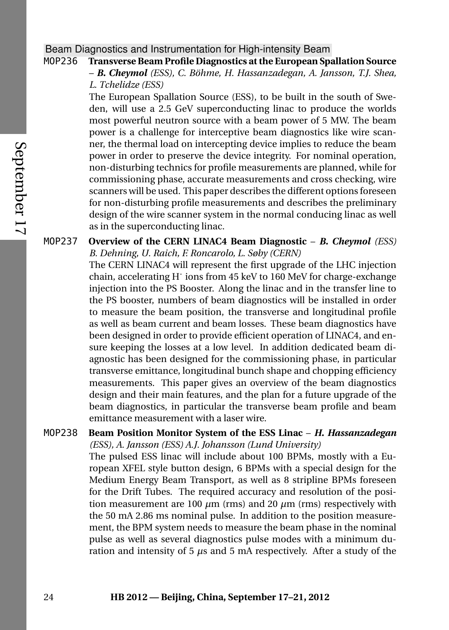# Beam Diagnostics and Instrumentation for High-intensity Beam

# MOP236 **Transverse Beam Profile Diagnostics at the European Spallation Source**

– *B. Cheymol (ESS), C. Böhme, H. Hassanzadegan, A. Jansson, T.J. Shea, L. Tchelidze (ESS)*

The European Spallation Source (ESS), to be built in the south of Sweden, will use a 2.5 GeV superconducting linac to produce the worlds most powerful neutron source with a beam power of 5 MW. The beam power is a challenge for interceptive beam diagnostics like wire scanner, the thermal load on intercepting device implies to reduce the beam power in order to preserve the device integrity. For nominal operation, non-disturbing technics for profile measurements are planned, while for commissioning phase, accurate measurements and cross checking, wire scanners will be used. This paper describes the different options foreseen for non-disturbing profile measurements and describes the preliminary design of the wire scanner system in the normal conducing linac as well as in the superconducting linac.

## MOP237 **Overview of the CERN LINAC4 Beam Diagnostic** – *B. Cheymol (ESS) B. Dehning, U. Raich, F. Roncarolo, L. Søby (CERN)*

The CERN LINAC4 will represent the first upgrade of the LHC injection chain, accelerating H<sup>-</sup> ions from 45 keV to 160 MeV for charge-exchange injection into the PS Booster. Along the linac and in the transfer line to the PS booster, numbers of beam diagnostics will be installed in order to measure the beam position, the transverse and longitudinal profile as well as beam current and beam losses. These beam diagnostics have been designed in order to provide efficient operation of LINAC4, and ensure keeping the losses at a low level. In addition dedicated beam diagnostic has been designed for the commissioning phase, in particular transverse emittance, longitudinal bunch shape and chopping efficiency measurements. This paper gives an overview of the beam diagnostics design and their main features, and the plan for a future upgrade of the beam diagnostics, in particular the transverse beam profile and beam emittance measurement with a laser wire.

## MOP238 **Beam Position Monitor System of the ESS Linac** – *H. Hassanzadegan (ESS), A. Jansson (ESS) A.J. Johansson (Lund University)*

The pulsed ESS linac will include about 100 BPMs, mostly with a European XFEL style button design, 6 BPMs with a special design for the Medium Energy Beam Transport, as well as 8 stripline BPMs foreseen for the Drift Tubes. The required accuracy and resolution of the position measurement are 100  $\mu$ m (rms) and 20  $\mu$ m (rms) respectively with the 50 mA 2.86 ms nominal pulse. In addition to the position measurement, the BPM system needs to measure the beam phase in the nominal pulse as well as several diagnostics pulse modes with a minimum duration and intensity of 5 *µ*s and 5 mA respectively. After a study of the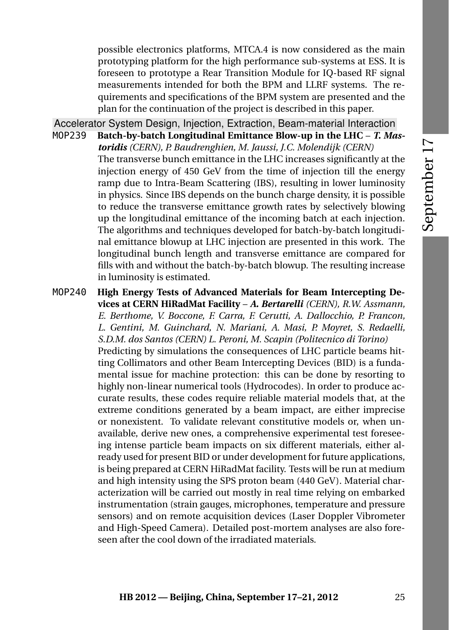possible electronics platforms, MTCA.4 is now considered as the main prototyping platform for the high performance sub-systems at ESS. It is foreseen to prototype a Rear Transition Module for IQ-based RF signal measurements intended for both the BPM and LLRF systems. The requirements and specifications of the BPM system are presented and the plan for the continuation of the project is described in this paper.

Accelerator System Design, Injection, Extraction, Beam-material Interaction

MOP239 **Batch-by-batch Longitudinal Emittance Blow-up in the LHC** – *T. Mastoridis (CERN), P. Baudrenghien, M. Jaussi, J.C. Molendijk (CERN)* The transverse bunch emittance in the LHC increases significantly at the injection energy of 450 GeV from the time of injection till the energy ramp due to Intra-Beam Scattering (IBS), resulting in lower luminosity in physics. Since IBS depends on the bunch charge density, it is possible to reduce the transverse emittance growth rates by selectively blowing up the longitudinal emittance of the incoming batch at each injection. The algorithms and techniques developed for batch-by-batch longitudinal emittance blowup at LHC injection are presented in this work. The longitudinal bunch length and transverse emittance are compared for fills with and without the batch-by-batch blowup. The resulting increase in luminosity is estimated.

MOP240 **High Energy Tests of Advanced Materials for Beam Intercepting Devices at CERN HiRadMat Facility** – *A. Bertarelli (CERN), R.W. Assmann, E. Berthome, V. Boccone, F. Carra, F. Cerutti, A. Dallocchio, P. Francon, L. Gentini, M. Guinchard, N. Mariani, A. Masi, P. Moyret, S. Redaelli, S.D.M. dos Santos (CERN) L. Peroni, M. Scapin (Politecnico di Torino)* Predicting by simulations the consequences of LHC particle beams hitting Collimators and other Beam Intercepting Devices (BID) is a fundamental issue for machine protection: this can be done by resorting to highly non-linear numerical tools (Hydrocodes). In order to produce accurate results, these codes require reliable material models that, at the extreme conditions generated by a beam impact, are either imprecise or nonexistent. To validate relevant constitutive models or, when unavailable, derive new ones, a comprehensive experimental test foreseeing intense particle beam impacts on six different materials, either already used for present BID or under development for future applications, is being prepared at CERN HiRadMat facility. Tests will be run at medium and high intensity using the SPS proton beam (440 GeV). Material characterization will be carried out mostly in real time relying on embarked instrumentation (strain gauges, microphones, temperature and pressure sensors) and on remote acquisition devices (Laser Doppler Vibrometer and High-Speed Camera). Detailed post-mortem analyses are also foreseen after the cool down of the irradiated materials.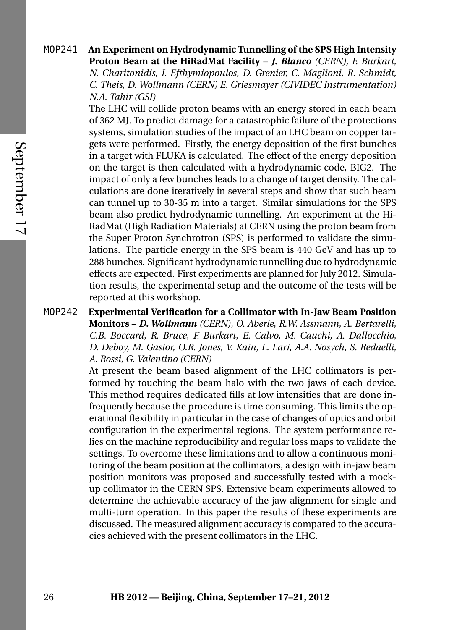# 26 **HB 2012 — Beijing, China, September 17–21, 2012**

MOP241 **An Experiment on Hydrodynamic Tunnelling of the SPS High Intensity Proton Beam at the HiRadMat Facility** – *J. Blanco (CERN), F. Burkart, N. Charitonidis, I. Efthymiopoulos, D. Grenier, C. Maglioni, R. Schmidt,*

*C. Theis, D. Wollmann (CERN) E. Griesmayer (CIVIDEC Instrumentation) N.A. Tahir (GSI)*

The LHC will collide proton beams with an energy stored in each beam of 362 MJ. To predict damage for a catastrophic failure of the protections systems, simulation studies of the impact of an LHC beam on copper targets were performed. Firstly, the energy deposition of the first bunches in a target with FLUKA is calculated. The effect of the energy deposition on the target is then calculated with a hydrodynamic code, BIG2. The impact of only a few bunches leads to a change of target density. The calculations are done iteratively in several steps and show that such beam can tunnel up to 30-35 m into a target. Similar simulations for the SPS beam also predict hydrodynamic tunnelling. An experiment at the Hi-RadMat (High Radiation Materials) at CERN using the proton beam from the Super Proton Synchrotron (SPS) is performed to validate the simulations. The particle energy in the SPS beam is 440 GeV and has up to 288 bunches. Significant hydrodynamic tunnelling due to hydrodynamic effects are expected. First experiments are planned for July 2012. Simulation results, the experimental setup and the outcome of the tests will be reported at this workshop.

MOP242 **Experimental Verification for a Collimator with In-Jaw Beam Position Monitors** – *D. Wollmann (CERN), O. Aberle, R.W. Assmann, A. Bertarelli, C.B. Boccard, R. Bruce, F. Burkart, E. Calvo, M. Cauchi, A. Dallocchio, D. Deboy, M. Gasior, O.R. Jones, V. Kain, L. Lari, A.A. Nosych, S. Redaelli, A. Rossi, G. Valentino (CERN)*

At present the beam based alignment of the LHC collimators is performed by touching the beam halo with the two jaws of each device. This method requires dedicated fills at low intensities that are done infrequently because the procedure is time consuming. This limits the operational flexibility in particular in the case of changes of optics and orbit configuration in the experimental regions. The system performance relies on the machine reproducibility and regular loss maps to validate the settings. To overcome these limitations and to allow a continuous monitoring of the beam position at the collimators, a design with in-jaw beam position monitors was proposed and successfully tested with a mockup collimator in the CERN SPS. Extensive beam experiments allowed to determine the achievable accuracy of the jaw alignment for single and multi-turn operation. In this paper the results of these experiments are discussed. The measured alignment accuracy is compared to the accuracies achieved with the present collimators in the LHC.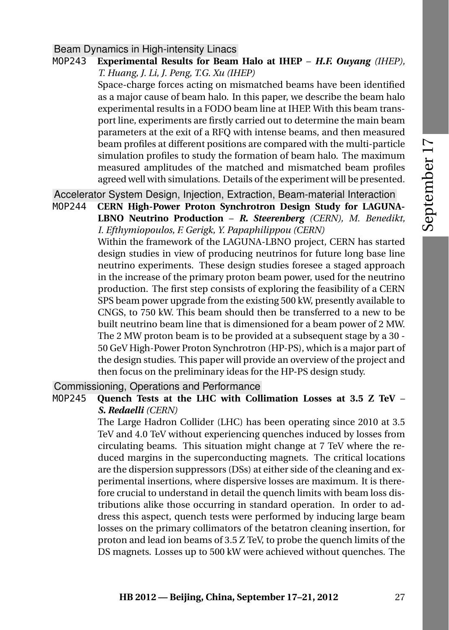## Beam Dynamics in High-intensity Linacs

MOP243 **Experimental Results for Beam Halo at IHEP** – *H.F. Ouyang (IHEP), T. Huang, J. Li, J. Peng, T.G. Xu (IHEP)*

Space-charge forces acting on mismatched beams have been identified as a major cause of beam halo. In this paper, we describe the beam halo experimental results in a FODO beam line at IHEP. With this beam transport line, experiments are firstly carried out to determine the main beam parameters at the exit of a RFQ with intense beams, and then measured beam profiles at different positions are compared with the multi-particle simulation profiles to study the formation of beam halo. The maximum measured amplitudes of the matched and mismatched beam profiles agreed well with simulations. Details of the experiment will be presented.

Accelerator System Design, Injection, Extraction, Beam-material Interaction

MOP244 **CERN High-Power Proton Synchrotron Design Study for LAGUNA-LBNO Neutrino Production** – *R. Steerenberg (CERN), M. Benedikt, I. Efthymiopoulos, F. Gerigk, Y. Papaphilippou (CERN)*

Within the framework of the LAGUNA-LBNO project, CERN has started design studies in view of producing neutrinos for future long base line neutrino experiments. These design studies foresee a staged approach in the increase of the primary proton beam power, used for the neutrino production. The first step consists of exploring the feasibility of a CERN SPS beam power upgrade from the existing 500 kW, presently available to CNGS, to 750 kW. This beam should then be transferred to a new to be built neutrino beam line that is dimensioned for a beam power of 2 MW. The 2 MW proton beam is to be provided at a subsequent stage by a 30 - 50 GeV High-Power Proton Synchrotron (HP-PS), which is a major part of the design studies. This paper will provide an overview of the project and then focus on the preliminary ideas for the HP-PS design study.

Commissioning, Operations and Performance

MOP245 **Quench Tests at the LHC with Collimation Losses at 3.5 Z TeV** – *S. Redaelli (CERN)*

> The Large Hadron Collider (LHC) has been operating since 2010 at 3.5 TeV and 4.0 TeV without experiencing quenches induced by losses from circulating beams. This situation might change at 7 TeV where the reduced margins in the superconducting magnets. The critical locations are the dispersion suppressors (DSs) at either side of the cleaning and experimental insertions, where dispersive losses are maximum. It is therefore crucial to understand in detail the quench limits with beam loss distributions alike those occurring in standard operation. In order to address this aspect, quench tests were performed by inducing large beam losses on the primary collimators of the betatron cleaning insertion, for proton and lead ion beams of 3.5 Z TeV, to probe the quench limits of the DS magnets. Losses up to 500 kW were achieved without quenches. The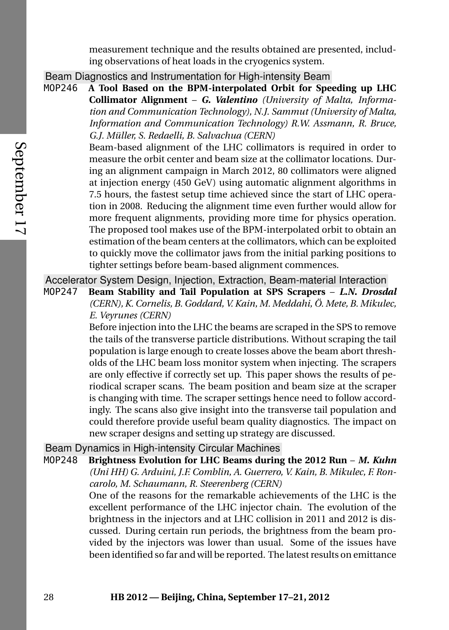measurement technique and the results obtained are presented, including observations of heat loads in the cryogenics system.

Beam Diagnostics and Instrumentation for High-intensity Beam

MOP246 **A Tool Based on the BPM-interpolated Orbit for Speeding up LHC Collimator Alignment** – *G. Valentino (University of Malta, Information and Communication Technology), N.J. Sammut (University of Malta, Information and Communication Technology) R.W. Assmann, R. Bruce, G.J. Müller, S. Redaelli, B. Salvachua (CERN)*

> Beam-based alignment of the LHC collimators is required in order to measure the orbit center and beam size at the collimator locations. During an alignment campaign in March 2012, 80 collimators were aligned at injection energy (450 GeV) using automatic alignment algorithms in 7.5 hours, the fastest setup time achieved since the start of LHC operation in 2008. Reducing the alignment time even further would allow for more frequent alignments, providing more time for physics operation. The proposed tool makes use of the BPM-interpolated orbit to obtain an estimation of the beam centers at the collimators, which can be exploited to quickly move the collimator jaws from the initial parking positions to tighter settings before beam-based alignment commences.

Accelerator System Design, Injection, Extraction, Beam-material Interaction

MOP247 **Beam Stability and Tail Population at SPS Scrapers** – *L.N. Drosdal (CERN), K. Cornelis, B. Goddard, V. Kain, M. Meddahi, Ö. Mete, B. Mikulec, E. Veyrunes (CERN)*

> Before injection into the LHC the beams are scraped in the SPS to remove the tails of the transverse particle distributions. Without scraping the tail population is large enough to create losses above the beam abort thresholds of the LHC beam loss monitor system when injecting. The scrapers are only effective if correctly set up. This paper shows the results of periodical scraper scans. The beam position and beam size at the scraper is changing with time. The scraper settings hence need to follow accordingly. The scans also give insight into the transverse tail population and could therefore provide useful beam quality diagnostics. The impact on new scraper designs and setting up strategy are discussed.

Beam Dynamics in High-intensity Circular Machines

MOP248 **Brightness Evolution for LHC Beams during the 2012 Run** – *M. Kuhn (Uni HH) G. Arduini, J.F. Comblin, A. Guerrero, V. Kain, B. Mikulec, F. Roncarolo, M. Schaumann, R. Steerenberg (CERN)* One of the reasons for the remarkable achievements of the LHC is the

excellent performance of the LHC injector chain. The evolution of the brightness in the injectors and at LHC collision in 2011 and 2012 is discussed. During certain run periods, the brightness from the beam provided by the injectors was lower than usual. Some of the issues have been identified so far and will be reported. The latest results on emittance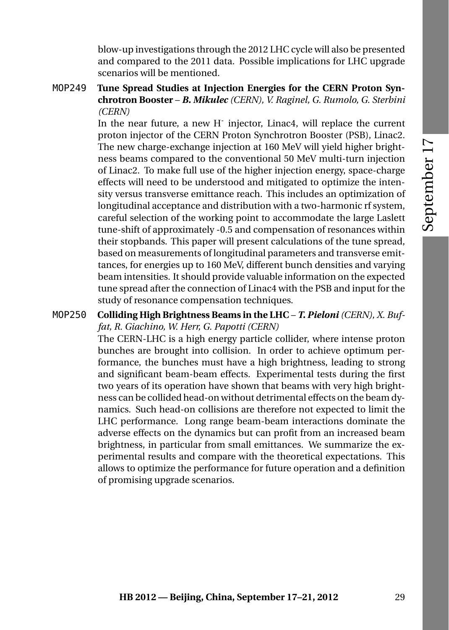blow-up investigations through the 2012 LHC cycle will also be presented and compared to the 2011 data. Possible implications for LHC upgrade scenarios will be mentioned.

MOP249 **Tune Spread Studies at Injection Energies for the CERN Proton Synchrotron Booster** – *B. Mikulec (CERN), V. Raginel, G. Rumolo, G. Sterbini (CERN)*

In the near future, a new H<sup>-</sup> injector, Linac4, will replace the current proton injector of the CERN Proton Synchrotron Booster (PSB), Linac2. The new charge-exchange injection at 160 MeV will yield higher brightness beams compared to the conventional 50 MeV multi-turn injection of Linac2. To make full use of the higher injection energy, space-charge effects will need to be understood and mitigated to optimize the intensity versus transverse emittance reach. This includes an optimization of longitudinal acceptance and distribution with a two-harmonic rf system, careful selection of the working point to accommodate the large Laslett tune-shift of approximately -0.5 and compensation of resonances within their stopbands. This paper will present calculations of the tune spread, based on measurements of longitudinal parameters and transverse emittances, for energies up to 160 MeV, different bunch densities and varying beam intensities. It should provide valuable information on the expected tune spread after the connection of Linac4 with the PSB and input for the study of resonance compensation techniques.

## MOP250 **Colliding High Brightness Beams in the LHC** – *T. Pieloni (CERN), X. Buffat, R. Giachino, W. Herr, G. Papotti (CERN)*

The CERN-LHC is a high energy particle collider, where intense proton bunches are brought into collision. In order to achieve optimum performance, the bunches must have a high brightness, leading to strong and significant beam-beam effects. Experimental tests during the first two years of its operation have shown that beams with very high brightness can be collided head-on without detrimental effects on the beam dynamics. Such head-on collisions are therefore not expected to limit the LHC performance. Long range beam-beam interactions dominate the adverse effects on the dynamics but can profit from an increased beam brightness, in particular from small emittances. We summarize the experimental results and compare with the theoretical expectations. This allows to optimize the performance for future operation and a definition of promising upgrade scenarios.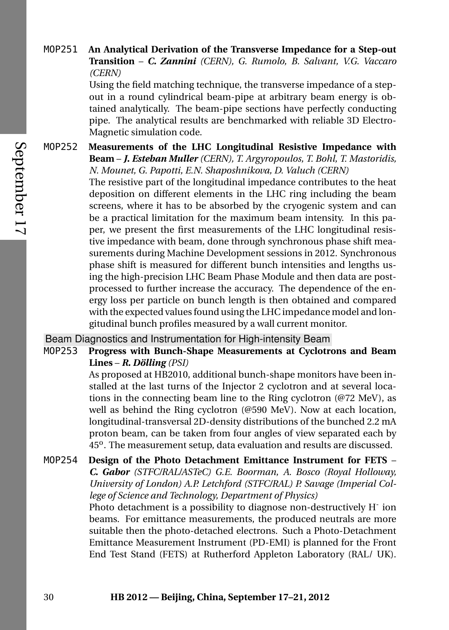## MOP251 **An Analytical Derivation of the Transverse Impedance for a Step-out Transition** – *C. Zannini (CERN), G. Rumolo, B. Salvant, V.G. Vaccaro (CERN)*

Using the field matching technique, the transverse impedance of a stepout in a round cylindrical beam-pipe at arbitrary beam energy is obtained analytically. The beam-pipe sections have perfectly conducting pipe. The analytical results are benchmarked with reliable 3D Electro-Magnetic simulation code.

MOP252 **Measurements of the LHC Longitudinal Resistive Impedance with Beam** – *J. Esteban Muller (CERN), T. Argyropoulos, T. Bohl, T. Mastoridis, N. Mounet, G. Papotti, E.N. Shaposhnikova, D. Valuch (CERN)*

The resistive part of the longitudinal impedance contributes to the heat deposition on different elements in the LHC ring including the beam screens, where it has to be absorbed by the cryogenic system and can be a practical limitation for the maximum beam intensity. In this paper, we present the first measurements of the LHC longitudinal resistive impedance with beam, done through synchronous phase shift measurements during Machine Development sessions in 2012. Synchronous phase shift is measured for different bunch intensities and lengths using the high-precision LHC Beam Phase Module and then data are postprocessed to further increase the accuracy. The dependence of the energy loss per particle on bunch length is then obtained and compared with the expected values found using the LHC impedance model and longitudinal bunch profiles measured by a wall current monitor.

Beam Diagnostics and Instrumentation for High-intensity Beam

MOP253 **Progress with Bunch-Shape Measurements at Cyclotrons and Beam Lines** – *R. Dölling (PSI)*

> As proposed at HB2010, additional bunch-shape monitors have been installed at the last turns of the Injector 2 cyclotron and at several locations in the connecting beam line to the Ring cyclotron (@72 MeV), as well as behind the Ring cyclotron (@590 MeV). Now at each location, longitudinal-transversal 2D-density distributions of the bunched 2.2 mA proton beam, can be taken from four angles of view separated each by 45<sup>o</sup>. The measurement setup, data evaluation and results are discussed.

MOP254 **Design of the Photo Detachment Emittance Instrument for FETS** – *C. Gabor (STFC/RAL/ASTeC) G.E. Boorman, A. Bosco (Royal Holloway, University of London) A.P. Letchford (STFC/RAL) P. Savage (Imperial College of Science and Technology, Department of Physics)*

Photo detachment is a possibility to diagnose non-destructively H<sup>-</sup> ion beams. For emittance measurements, the produced neutrals are more suitable then the photo-detached electrons. Such a Photo-Detachment Emittance Measurement Instrument (PD-EMI) is planned for the Front End Test Stand (FETS) at Rutherford Appleton Laboratory (RAL/ UK).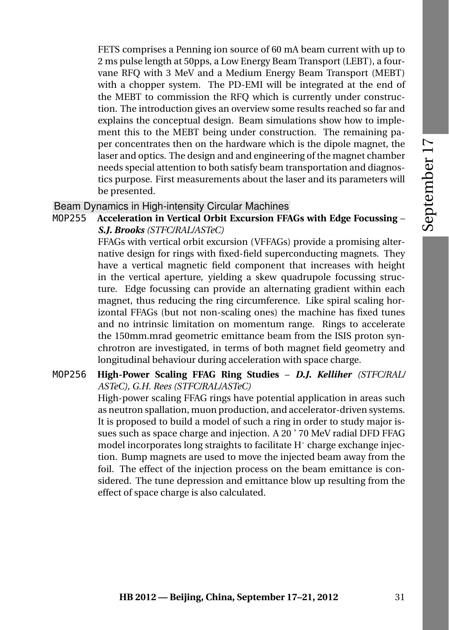FETS comprises a Penning ion source of 60 mA beam current with up to 2 ms pulse length at 50pps, a Low Energy Beam Transport (LEBT), a fourvane RFQ with 3 MeV and a Medium Energy Beam Transport (MEBT) with a chopper system. The PD-EMI will be integrated at the end of the MEBT to commission the RFQ which is currently under construction. The introduction gives an overview some results reached so far and explains the conceptual design. Beam simulations show how to implement this to the MEBT being under construction. The remaining paper concentrates then on the hardware which is the dipole magnet, the laser and optics. The design and and engineering of the magnet chamber needs special attention to both satisfy beam transportation and diagnostics purpose. First measurements about the laser and its parameters will be presented.

## Beam Dynamics in High-intensity Circular Machines

MOP255 **Acceleration in Vertical Orbit Excursion FFAGs with Edge Focussing** – *S.J. Brooks (STFC/RAL/ASTeC)*

> FFAGs with vertical orbit excursion (VFFAGs) provide a promising alternative design for rings with fixed-field superconducting magnets. They have a vertical magnetic field component that increases with height in the vertical aperture, yielding a skew quadrupole focussing structure. Edge focussing can provide an alternating gradient within each magnet, thus reducing the ring circumference. Like spiral scaling horizontal FFAGs (but not non-scaling ones) the machine has fixed tunes and no intrinsic limitation on momentum range. Rings to accelerate the 150mm.mrad geometric emittance beam from the ISIS proton synchrotron are investigated, in terms of both magnet field geometry and longitudinal behaviour during acceleration with space charge.

## MOP256 **High-Power Scaling FFAG Ring Studies** – *D.J. Kelliher (STFC/RAL/ ASTeC), G.H. Rees (STFC/RAL/ASTeC)*

High-power scaling FFAG rings have potential application in areas such as neutron spallation, muon production, and accelerator-driven systems. It is proposed to build a model of such a ring in order to study major issues such as space charge and injection. A 20 ' 70 MeV radial DFD FFAG model incorporates long straights to facilitate H<sup>-</sup> charge exchange injection. Bump magnets are used to move the injected beam away from the foil. The effect of the injection process on the beam emittance is considered. The tune depression and emittance blow up resulting from the effect of space charge is also calculated.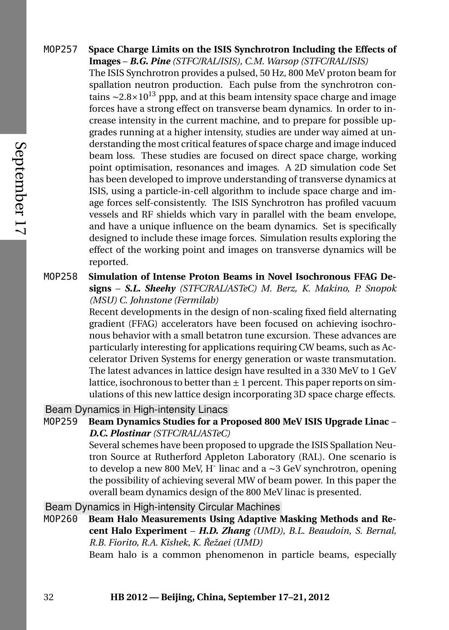- MOP257 **Space Charge Limits on the ISIS Synchrotron Including the Effects of Images** – *B.G. Pine (STFC/RAL/ISIS), C.M. Warsop (STFC/RAL/ISIS)* The ISIS Synchrotron provides a pulsed, 50 Hz, 800 MeV proton beam for spallation neutron production. Each pulse from the synchrotron contains ~2.8×10<sup>13</sup> ppp, and at this beam intensity space charge and image forces have a strong effect on transverse beam dynamics. In order to increase intensity in the current machine, and to prepare for possible upgrades running at a higher intensity, studies are under way aimed at understanding the most critical features of space charge and image induced beam loss. These studies are focused on direct space charge, working point optimisation, resonances and images. A 2D simulation code Set has been developed to improve understanding of transverse dynamics at ISIS, using a particle-in-cell algorithm to include space charge and image forces self-consistently. The ISIS Synchrotron has profiled vacuum vessels and RF shields which vary in parallel with the beam envelope, and have a unique influence on the beam dynamics. Set is specifically designed to include these image forces. Simulation results exploring the effect of the working point and images on transverse dynamics will be reported.
	- MOP258 **Simulation of Intense Proton Beams in Novel Isochronous FFAG Designs** – *S.L. Sheehy (STFC/RAL/ASTeC) M. Berz, K. Makino, P. Snopok (MSU) C. Johnstone (Fermilab)*

Recent developments in the design of non-scaling fixed field alternating gradient (FFAG) accelerators have been focused on achieving isochronous behavior with a small betatron tune excursion. These advances are particularly interesting for applications requiring CW beams, such as Accelerator Driven Systems for energy generation or waste transmutation. The latest advances in lattice design have resulted in a 330 MeV to 1 GeV lattice, isochronous to better than  $\pm 1$  percent. This paper reports on simulations of this new lattice design incorporating 3D space charge effects.

Beam Dynamics in High-intensity Linacs

MOP259 **Beam Dynamics Studies for a Proposed 800 MeV ISIS Upgrade Linac** – *D.C. Plostinar (STFC/RAL/ASTeC)*

> Several schemes have been proposed to upgrade the ISIS Spallation Neutron Source at Rutherford Appleton Laboratory (RAL). One scenario is to develop a new 800 MeV, H-linac and a ∼3 GeV synchrotron, opening the possibility of achieving several MW of beam power. In this paper the overall beam dynamics design of the 800 MeV linac is presented.

Beam Dynamics in High-intensity Circular Machines

MOP260 **Beam Halo Measurements Using Adaptive Masking Methods and Recent Halo Experiment** – *H.D. Zhang (UMD), B.L. Beaudoin, S. Bernal, R.B. Fiorito, R.A. Kishek, K. Režaei (UMD) ˇ*

Beam halo is a common phenomenon in particle beams, especially

September 17

September 17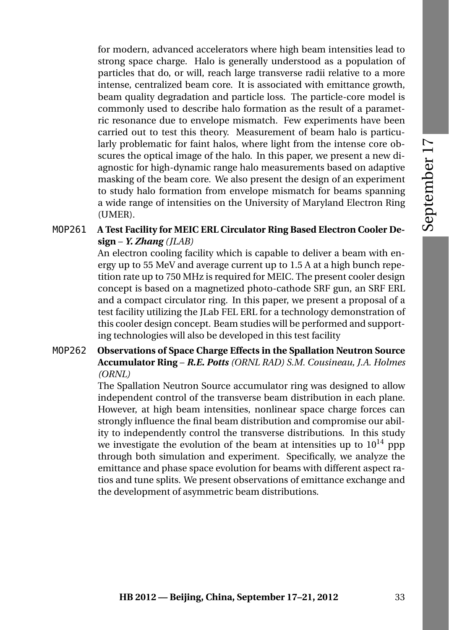for modern, advanced accelerators where high beam intensities lead to strong space charge. Halo is generally understood as a population of particles that do, or will, reach large transverse radii relative to a more intense, centralized beam core. It is associated with emittance growth, beam quality degradation and particle loss. The particle-core model is commonly used to describe halo formation as the result of a parametric resonance due to envelope mismatch. Few experiments have been carried out to test this theory. Measurement of beam halo is particularly problematic for faint halos, where light from the intense core obscures the optical image of the halo. In this paper, we present a new diagnostic for high-dynamic range halo measurements based on adaptive masking of the beam core. We also present the design of an experiment to study halo formation from envelope mismatch for beams spanning a wide range of intensities on the University of Maryland Electron Ring (UMER).

# MOP261 **A Test Facility for MEIC ERL Circulator Ring Based Electron Cooler Design** – *Y. Zhang (JLAB)*

An electron cooling facility which is capable to deliver a beam with energy up to 55 MeV and average current up to 1.5 A at a high bunch repetition rate up to 750 MHz is required for MEIC. The present cooler design concept is based on a magnetized photo-cathode SRF gun, an SRF ERL and a compact circulator ring. In this paper, we present a proposal of a test facility utilizing the JLab FEL ERL for a technology demonstration of this cooler design concept. Beam studies will be performed and supporting technologies will also be developed in this test facility

## MOP262 **Observations of Space Charge Effects in the Spallation Neutron Source Accumulator Ring** – *R.E. Potts (ORNL RAD) S.M. Cousineau, J.A. Holmes (ORNL)*

The Spallation Neutron Source accumulator ring was designed to allow independent control of the transverse beam distribution in each plane. However, at high beam intensities, nonlinear space charge forces can strongly influence the final beam distribution and compromise our ability to independently control the transverse distributions. In this study we investigate the evolution of the beam at intensities up to  $10^{14}$  ppp through both simulation and experiment. Specifically, we analyze the emittance and phase space evolution for beams with different aspect ratios and tune splits. We present observations of emittance exchange and the development of asymmetric beam distributions.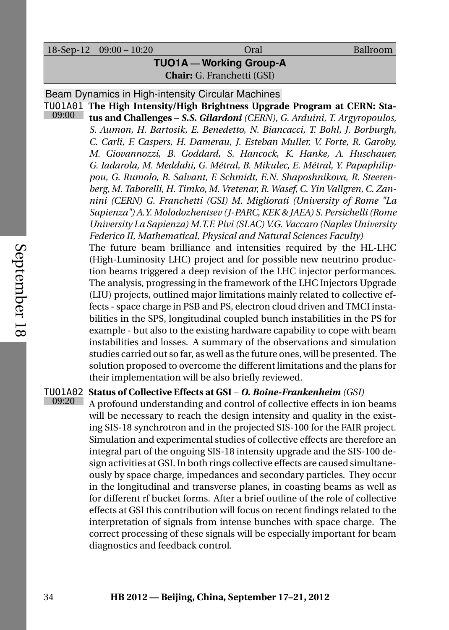18-Sep-12 09:00 – 10:20 Oral Ballroom

**TUO1A — Working Group-A Chair:** G. Franchetti (GSI)

Beam Dynamics in High-intensity Circular Machines

TUO1A01 **The High Intensity/High Brightness Upgrade Program at CERN: Sta-**09:00 **tus and Challenges** – *S.S. Gilardoni (CERN), G. Arduini, T. Argyropoulos, S. Aumon, H. Bartosik, E. Benedetto, N. Biancacci, T. Bohl, J. Borburgh, C. Carli, F. Caspers, H. Damerau, J. Esteban Muller, V. Forte, R. Garoby, M. Giovannozzi, B. Goddard, S. Hancock, K. Hanke, A. Huschauer, G. Iadarola, M. Meddahi, G. Métral, B. Mikulec, E. Métral, Y. Papaphilippou, G. Rumolo, B. Salvant, F. Schmidt, E.N. Shaposhnikova, R. Steerenberg, M. Taborelli, H. Timko, M. Vretenar, R. Wasef, C. Yin Vallgren, C. Zannini (CERN) G. Franchetti (GSI) M. Migliorati (University of Rome "La Sapienza") A.Y. Molodozhentsev (J-PARC, KEK & JAEA) S. Persichelli (Rome University La Sapienza) M.T.F. Pivi (SLAC) V.G. Vaccaro (Naples University Federico II, Mathematical, Physical and Natural Sciences Faculty)*

The future beam brilliance and intensities required by the HL-LHC (High-Luminosity LHC) project and for possible new neutrino production beams triggered a deep revision of the LHC injector performances. The analysis, progressing in the framework of the LHC Injectors Upgrade (LIU) projects, outlined major limitations mainly related to collective effects - space charge in PSB and PS, electron cloud driven and TMCI instabilities in the SPS, longitudinal coupled bunch instabilities in the PS for example - but also to the existing hardware capability to cope with beam instabilities and losses. A summary of the observations and simulation studies carried out so far, as well as the future ones, will be presented. The solution proposed to overcome the different limitations and the plans for their implementation will be also briefly reviewed.

## TUO1A02 **Status of Collective Effects at GSI** – *O. Boine-Frankenheim (GSI)* 09:20

A profound understanding and control of collective effects in ion beams will be necessary to reach the design intensity and quality in the existing SIS-18 synchrotron and in the projected SIS-100 for the FAIR project. Simulation and experimental studies of collective effects are therefore an integral part of the ongoing SIS-18 intensity upgrade and the SIS-100 design activities at GSI. In both rings collective effects are caused simultaneously by space charge, impedances and secondary particles. They occur in the longitudinal and transverse planes, in coasting beams as well as for different rf bucket forms. After a brief outline of the role of collective effects at GSI this contribution will focus on recent findings related to the interpretation of signals from intense bunches with space charge. The correct processing of these signals will be especially important for beam diagnostics and feedback control.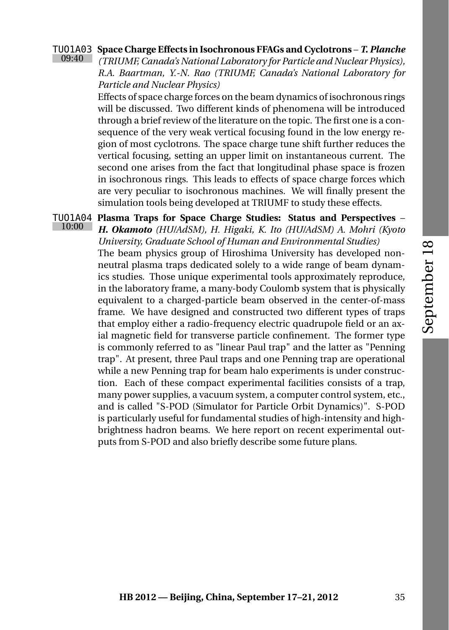#### TUO1A03 09:40 **Space Charge Effects in Isochronous FFAGs and Cyclotrons** – *T. Planche*

*(TRIUMF, Canada's National Laboratory for Particle and Nuclear Physics), R.A. Baartman, Y.-N. Rao (TRIUMF, Canada's National Laboratory for Particle and Nuclear Physics)*

Effects of space charge forces on the beam dynamics of isochronous rings will be discussed. Two different kinds of phenomena will be introduced through a brief review of the literature on the topic. The first one is a consequence of the very weak vertical focusing found in the low energy region of most cyclotrons. The space charge tune shift further reduces the vertical focusing, setting an upper limit on instantaneous current. The second one arises from the fact that longitudinal phase space is frozen in isochronous rings. This leads to effects of space charge forces which are very peculiar to isochronous machines. We will finally present the simulation tools being developed at TRIUMF to study these effects.

TUO1A04 **Plasma Traps for Space Charge Studies: Status and Perspectives** – 10:00 *H. Okamoto (HU/AdSM), H. Higaki, K. Ito (HU/AdSM) A. Mohri (Kyoto University, Graduate School of Human and Environmental Studies)* The beam physics group of Hiroshima University has developed nonneutral plasma traps dedicated solely to a wide range of beam dynamics studies. Those unique experimental tools approximately reproduce, in the laboratory frame, a many-body Coulomb system that is physically equivalent to a charged-particle beam observed in the center-of-mass frame. We have designed and constructed two different types of traps that employ either a radio-frequency electric quadrupole field or an axial magnetic field for transverse particle confinement. The former type is commonly referred to as "linear Paul trap" and the latter as "Penning trap". At present, three Paul traps and one Penning trap are operational while a new Penning trap for beam halo experiments is under construction. Each of these compact experimental facilities consists of a trap, many power supplies, a vacuum system, a computer control system, etc., and is called "S-POD (Simulator for Particle Orbit Dynamics)". S-POD is particularly useful for fundamental studies of high-intensity and highbrightness hadron beams. We here report on recent experimental outputs from S-POD and also briefly describe some future plans.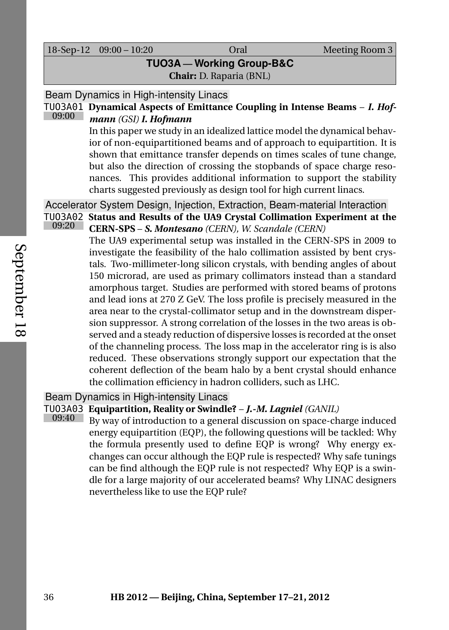18-Sep-12 09:00 – 10:20 Oral Meeting Room 3

# **TUO3A — Working Group-B&C**

**Chair:** D. Raparia (BNL)

## Beam Dynamics in High-intensity Linacs

#### TUO3A01 **Dynamical Aspects of Emittance Coupling in Intense Beams** – *I. Hof-*09:00 *mann (GSI) I. Hofmann*

In this paper we study in an idealized lattice model the dynamical behavior of non-equipartitioned beams and of approach to equipartition. It is shown that emittance transfer depends on times scales of tune change, but also the direction of crossing the stopbands of space charge resonances. This provides additional information to support the stability charts suggested previously as design tool for high current linacs.

# Accelerator System Design, Injection, Extraction, Beam-material Interaction

TUO3A02 **Status and Results of the UA9 Crystal Collimation Experiment at the** 09:20 **CERN-SPS** – *S. Montesano (CERN), W. Scandale (CERN)*

> The UA9 experimental setup was installed in the CERN-SPS in 2009 to investigate the feasibility of the halo collimation assisted by bent crystals. Two-millimeter-long silicon crystals, with bending angles of about 150 microrad, are used as primary collimators instead than a standard amorphous target. Studies are performed with stored beams of protons and lead ions at 270 Z GeV. The loss profile is precisely measured in the area near to the crystal-collimator setup and in the downstream dispersion suppressor. A strong correlation of the losses in the two areas is observed and a steady reduction of dispersive losses is recorded at the onset of the channeling process. The loss map in the accelerator ring is is also reduced. These observations strongly support our expectation that the coherent deflection of the beam halo by a bent crystal should enhance the collimation efficiency in hadron colliders, such as LHC.

## Beam Dynamics in High-intensity Linacs

## TUO3A03 **Equipartition, Reality or Swindle?** – *J.-M. Lagniel (GANIL)* 09:40

By way of introduction to a general discussion on space-charge induced energy equipartition (EQP), the following questions will be tackled: Why the formula presently used to define EQP is wrong? Why energy exchanges can occur although the EQP rule is respected? Why safe tunings can be find although the EQP rule is not respected? Why EQP is a swindle for a large majority of our accelerated beams? Why LINAC designers nevertheless like to use the EQP rule?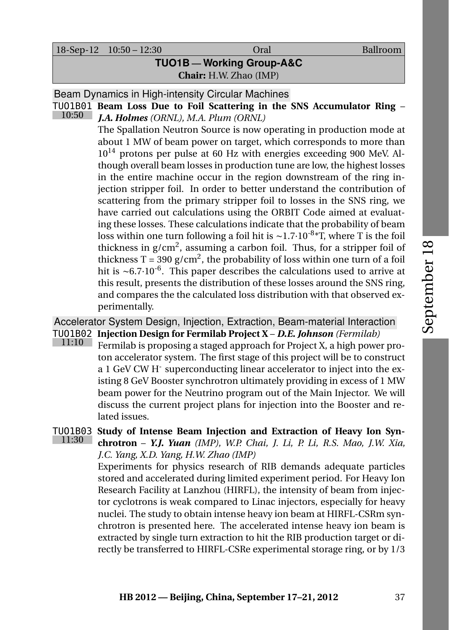18-Sep-12 10:50 – 12:30 Oral Ballroom

# **TUO1B — Working Group-A&C Chair:** H.W. Zhao (IMP)

Beam Dynamics in High-intensity Circular Machines

TUO1B01 **Beam Loss Due to Foil Scattering in the SNS Accumulator Ring** – 10:50 *J.A. Holmes (ORNL), M.A. Plum (ORNL)*

The Spallation Neutron Source is now operating in production mode at about 1 MW of beam power on target, which corresponds to more than  $10^{14}$  protons per pulse at 60 Hz with energies exceeding 900 MeV. Although overall beam losses in production tune are low, the highest losses in the entire machine occur in the region downstream of the ring injection stripper foil. In order to better understand the contribution of scattering from the primary stripper foil to losses in the SNS ring, we have carried out calculations using the ORBIT Code aimed at evaluating these losses. These calculations indicate that the probability of beam loss within one turn following a foil hit is ~1.7·10<sup>-8</sup>\*T, where T is the foil thickness in  $g/cm^2$ , assuming a carbon foil. Thus, for a stripper foil of thickness T = 390 g/cm<sup>2</sup>, the probability of loss within one turn of a foil hit is ~6.7 $\cdot$ 10<sup>-6</sup>. This paper describes the calculations used to arrive at this result, presents the distribution of these losses around the SNS ring, and compares the the calculated loss distribution with that observed experimentally.

# Accelerator System Design, Injection, Extraction, Beam-material Interaction TUO1B02 **Injection Design for Fermilab Project X** – *D.E. Johnson (Fermilab)*

11:10 Fermilab is proposing a staged approach for Project X, a high power proton accelerator system. The first stage of this project will be to construct a 1 GeV CW H<sup>-</sup> superconducting linear accelerator to inject into the existing 8 GeV Booster synchrotron ultimately providing in excess of 1 MW beam power for the Neutrino program out of the Main Injector. We will discuss the current project plans for injection into the Booster and related issues.

## TUO1B03 **Study of Intense Beam Injection and Extraction of Heavy Ion Syn-**11:30 **chrotron** – *Y.J. Yuan (IMP), W.P. Chai, J. Li, P. Li, R.S. Mao, J.W. Xia, J.C. Yang, X.D. Yang, H.W. Zhao (IMP)*

Experiments for physics research of RIB demands adequate particles stored and accelerated during limited experiment period. For Heavy Ion Research Facility at Lanzhou (HIRFL), the intensity of beam from injector cyclotrons is weak compared to Linac injectors, especially for heavy nuclei. The study to obtain intense heavy ion beam at HIRFL-CSRm synchrotron is presented here. The accelerated intense heavy ion beam is extracted by single turn extraction to hit the RIB production target or directly be transferred to HIRFL-CSRe experimental storage ring, or by 1/3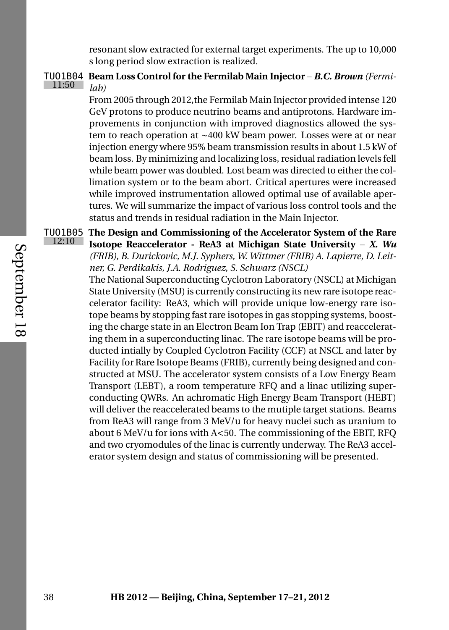resonant slow extracted for external target experiments. The up to 10,000 s long period slow extraction is realized.

#### TUO1B04 **Beam Loss Control for the Fermilab Main Injector** – *B.C. Brown (Fermi-* $11:50$ *lab)*

From 2005 through 2012,the Fermilab Main Injector provided intense 120 GeV protons to produce neutrino beams and antiprotons. Hardware improvements in conjunction with improved diagnostics allowed the system to reach operation at ∼400 kW beam power. Losses were at or near injection energy where 95% beam transmission results in about 1.5 kW of beam loss. By minimizing and localizing loss, residual radiation levels fell while beam power was doubled. Lost beam was directed to either the collimation system or to the beam abort. Critical apertures were increased while improved instrumentation allowed optimal use of available apertures. We will summarize the impact of various loss control tools and the status and trends in residual radiation in the Main Injector.

TUO1B05 **The Design and Commissioning of the Accelerator System of the Rare** 12:10 **Isotope Reaccelerator - ReA3 at Michigan State University** – *X. Wu (FRIB), B. Durickovic, M.J. Syphers, W. Wittmer (FRIB) A. Lapierre, D. Leitner, G. Perdikakis, J.A. Rodriguez, S. Schwarz (NSCL)*

The National Superconducting Cyclotron Laboratory (NSCL) at Michigan State University (MSU) is currently constructing its new rare isotope reaccelerator facility: ReA3, which will provide unique low-energy rare isotope beams by stopping fast rare isotopes in gas stopping systems, boosting the charge state in an Electron Beam Ion Trap (EBIT) and reaccelerating them in a superconducting linac. The rare isotope beams will be producted intially by Coupled Cyclotron Facility (CCF) at NSCL and later by Facility for Rare Isotope Beams (FRIB), currently being designed and constructed at MSU. The accelerator system consists of a Low Energy Beam Transport (LEBT), a room temperature RFQ and a linac utilizing superconducting QWRs. An achromatic High Energy Beam Transport (HEBT) will deliver the reaccelerated beams to the mutiple target stations. Beams from ReA3 will range from 3 MeV/u for heavy nuclei such as uranium to about 6 MeV/u for ions with A<50. The commissioning of the EBIT, RFQ and two cryomodules of the linac is currently underway. The ReA3 accelerator system design and status of commissioning will be presented.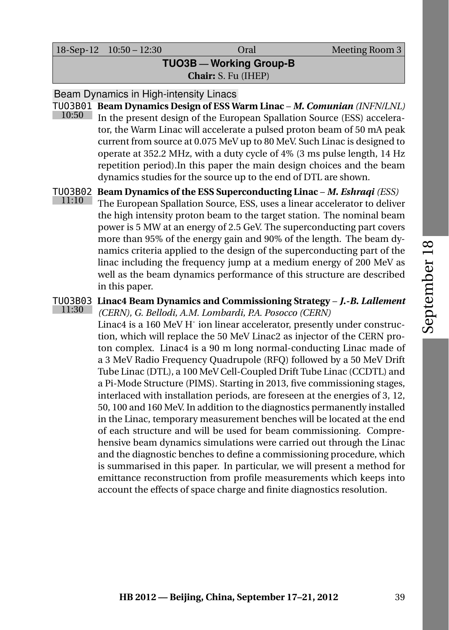18-Sep-12 10:50 – 12:30 Oral Meeting Room 3

# **TUO3B — Working Group-B Chair:** S. Fu (IHEP)

Beam Dynamics in High-intensity Linacs

- TUO3B01 **Beam Dynamics Design of ESS Warm Linac** *M. Comunian (INFN/LNL)* 10:50 In the present design of the European Spallation Source (ESS) accelerator, the Warm Linac will accelerate a pulsed proton beam of 50 mA peak current from source at 0.075 MeV up to 80 MeV. Such Linac is designed to operate at 352.2 MHz, with a duty cycle of 4% (3 ms pulse length, 14 Hz repetition period).In this paper the main design choices and the beam dynamics studies for the source up to the end of DTL are shown.
- TUO3B02 **Beam Dynamics of the ESS Superconducting Linac** *M. Eshraqi (ESS)* 11:10 The European Spallation Source, ESS, uses a linear accelerator to deliver the high intensity proton beam to the target station. The nominal beam power is 5 MW at an energy of 2.5 GeV. The superconducting part covers more than 95% of the energy gain and 90% of the length. The beam dynamics criteria applied to the design of the superconducting part of the linac including the frequency jump at a medium energy of 200 MeV as well as the beam dynamics performance of this structure are described in this paper.

## TUO3B03 **Linac4 Beam Dynamics and Commissioning Strategy** – *J.-B. Lallement* 11:30

*(CERN), G. Bellodi, A.M. Lombardi, P.A. Posocco (CERN)* Linac4 is a 160 MeV H<sup>-</sup> ion linear accelerator, presently under construction, which will replace the 50 MeV Linac2 as injector of the CERN proton complex. Linac4 is a 90 m long normal-conducting Linac made of a 3 MeV Radio Frequency Quadrupole (RFQ) followed by a 50 MeV Drift Tube Linac (DTL), a 100 MeV Cell-Coupled Drift Tube Linac (CCDTL) and a Pi-Mode Structure (PIMS). Starting in 2013, five commissioning stages, interlaced with installation periods, are foreseen at the energies of 3, 12, 50, 100 and 160 MeV. In addition to the diagnostics permanently installed in the Linac, temporary measurement benches will be located at the end of each structure and will be used for beam commissioning. Comprehensive beam dynamics simulations were carried out through the Linac and the diagnostic benches to define a commissioning procedure, which is summarised in this paper. In particular, we will present a method for emittance reconstruction from profile measurements which keeps into account the effects of space charge and finite diagnostics resolution.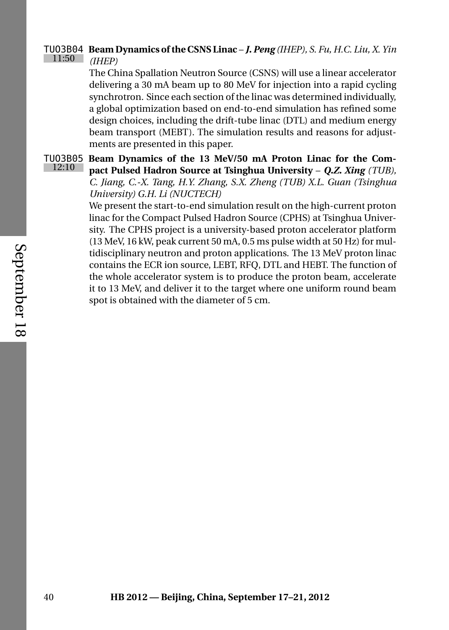#### TUO3B04 **Beam Dynamics of the CSNS Linac** – *J. Peng (IHEP), S. Fu, H.C. Liu, X. Yin* 11:50 *(IHEP)*

The China Spallation Neutron Source (CSNS) will use a linear accelerator delivering a 30 mA beam up to 80 MeV for injection into a rapid cycling synchrotron. Since each section of the linac was determined individually, a global optimization based on end-to-end simulation has refined some design choices, including the drift-tube linac (DTL) and medium energy beam transport (MEBT). The simulation results and reasons for adjustments are presented in this paper.

TUO3B05 **Beam Dynamics of the 13 MeV/50 mA Proton Linac for the Com-**12:10 **pact Pulsed Hadron Source at Tsinghua University** – *Q.Z. Xing (TUB), C. Jiang, C.-X. Tang, H.Y. Zhang, S.X. Zheng (TUB) X.L. Guan (Tsinghua University) G.H. Li (NUCTECH)*

> We present the start-to-end simulation result on the high-current proton linac for the Compact Pulsed Hadron Source (CPHS) at Tsinghua University. The CPHS project is a university-based proton accelerator platform (13 MeV, 16 kW, peak current 50 mA, 0.5 ms pulse width at 50 Hz) for multidisciplinary neutron and proton applications. The 13 MeV proton linac contains the ECR ion source, LEBT, RFQ, DTL and HEBT. The function of the whole accelerator system is to produce the proton beam, accelerate it to 13 MeV, and deliver it to the target where one uniform round beam spot is obtained with the diameter of 5 cm.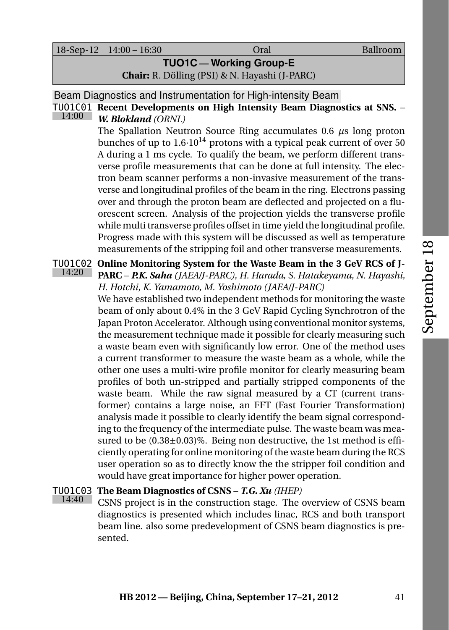18-Sep-12 14:00 – 16:30 Oral Ballroom

**TUO1C — Working Group-E**

**Chair:** R. Dölling (PSI) & N. Hayashi (J-PARC)

Beam Diagnostics and Instrumentation for High-intensity Beam



TUO1C01 **Recent Developments on High Intensity Beam Diagnostics at SNS.** – *W. Blokland (ORNL)*

The Spallation Neutron Source Ring accumulates 0.6 *µ*s long proton bunches of up to  $1.6 \cdot 10^{14}$  protons with a typical peak current of over 50 A during a 1 ms cycle. To qualify the beam, we perform different transverse profile measurements that can be done at full intensity. The electron beam scanner performs a non-invasive measurement of the transverse and longitudinal profiles of the beam in the ring. Electrons passing over and through the proton beam are deflected and projected on a fluorescent screen. Analysis of the projection yields the transverse profile while multi transverse profiles offset in time yield the longitudinal profile. Progress made with this system will be discussed as well as temperature measurements of the stripping foil and other transverse measurements.

14:20

TUO1C02 **Online Monitoring System for the Waste Beam in the 3 GeV RCS of J-PARC** – *P.K. Saha (JAEA/J-PARC), H. Harada, S. Hatakeyama, N. Hayashi, H. Hotchi, K. Yamamoto, M. Yoshimoto (JAEA/J-PARC)*

We have established two independent methods for monitoring the waste beam of only about 0.4% in the 3 GeV Rapid Cycling Synchrotron of the Japan Proton Accelerator. Although using conventional monitor systems, the measurement technique made it possible for clearly measuring such a waste beam even with significantly low error. One of the method uses a current transformer to measure the waste beam as a whole, while the other one uses a multi-wire profile monitor for clearly measuring beam profiles of both un-stripped and partially stripped components of the waste beam. While the raw signal measured by a CT (current transformer) contains a large noise, an FFT (Fast Fourier Transformation) analysis made it possible to clearly identify the beam signal corresponding to the frequency of the intermediate pulse. The waste beam was measured to be  $(0.38\pm0.03)\%$ . Being non destructive, the 1st method is efficiently operating for online monitoring of the waste beam during the RCS user operation so as to directly know the the stripper foil condition and would have great importance for higher power operation.

## TUO1C03 **The Beam Diagnostics of CSNS** – *T.G. Xu (IHEP)* 14:40

CSNS project is in the construction stage. The overview of CSNS beam diagnostics is presented which includes linac, RCS and both transport beam line. also some predevelopment of CSNS beam diagnostics is presented.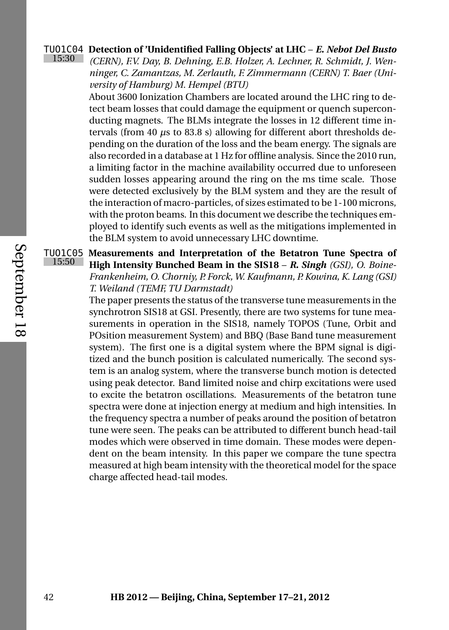## TUO1C04 **Detection of 'Unidentified Falling Objects' at LHC** – *E. Nebot Del Busto* 15:30

*(CERN), F.V. Day, B. Dehning, E.B. Holzer, A. Lechner, R. Schmidt, J. Wenninger, C. Zamantzas, M. Zerlauth, F. Zimmermann (CERN) T. Baer (University of Hamburg) M. Hempel (BTU)*

About 3600 Ionization Chambers are located around the LHC ring to detect beam losses that could damage the equipment or quench superconducting magnets. The BLMs integrate the losses in 12 different time intervals (from 40 *µ*s to 83.8 s) allowing for different abort thresholds depending on the duration of the loss and the beam energy. The signals are also recorded in a database at 1 Hz for offline analysis. Since the 2010 run, a limiting factor in the machine availability occurred due to unforeseen sudden losses appearing around the ring on the ms time scale. Those were detected exclusively by the BLM system and they are the result of the interaction of macro-particles, of sizes estimated to be 1-100 microns, with the proton beams. In this document we describe the techniques employed to identify such events as well as the mitigations implemented in the BLM system to avoid unnecessary LHC downtime.

TUO1C05 **Measurements and Interpretation of the Betatron Tune Spectra of** 15:50 **High Intensity Bunched Beam in the SIS18** – *R. Singh (GSI), O. Boine-Frankenheim, O. Chorniy, P. Forck, W. Kaufmann, P. Kowina, K. Lang (GSI) T. Weiland (TEMF, TU Darmstadt)*

> The paper presents the status of the transverse tune measurements in the synchrotron SIS18 at GSI. Presently, there are two systems for tune measurements in operation in the SIS18, namely TOPOS (Tune, Orbit and POsition measurement System) and BBQ (Base Band tune measurement system). The first one is a digital system where the BPM signal is digitized and the bunch position is calculated numerically. The second system is an analog system, where the transverse bunch motion is detected using peak detector. Band limited noise and chirp excitations were used to excite the betatron oscillations. Measurements of the betatron tune spectra were done at injection energy at medium and high intensities. In the frequency spectra a number of peaks around the position of betatron tune were seen. The peaks can be attributed to different bunch head-tail modes which were observed in time domain. These modes were dependent on the beam intensity. In this paper we compare the tune spectra measured at high beam intensity with the theoretical model for the space charge affected head-tail modes.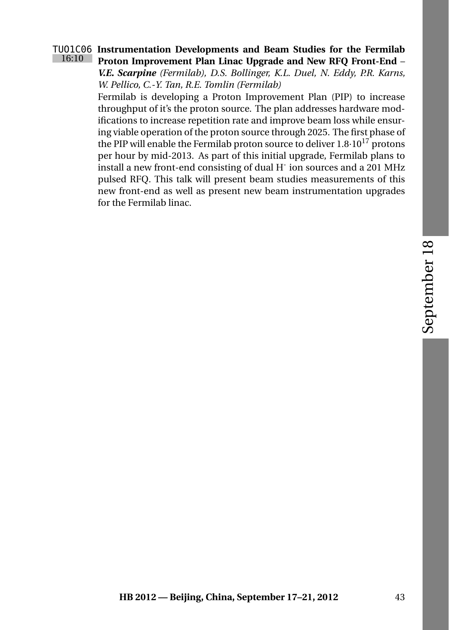# September 18

## TUO1C06 **Instrumentation Developments and Beam Studies for the Fermilab** 16:10 **Proton Improvement Plan Linac Upgrade and New RFQ Front-End** – *V.E. Scarpine (Fermilab), D.S. Bollinger, K.L. Duel, N. Eddy, P.R. Karns,*

*W. Pellico, C.-Y. Tan, R.E. Tomlin (Fermilab)*

Fermilab is developing a Proton Improvement Plan (PIP) to increase throughput of it's the proton source. The plan addresses hardware modifications to increase repetition rate and improve beam loss while ensuring viable operation of the proton source through 2025. The first phase of the PIP will enable the Fermilab proton source to deliver  $1.8 \cdot 10^{17}$  protons per hour by mid-2013. As part of this initial upgrade, Fermilab plans to install a new front-end consisting of dual H<sup>-</sup> ion sources and a 201 MHz pulsed RFQ. This talk will present beam studies measurements of this new front-end as well as present new beam instrumentation upgrades for the Fermilab linac.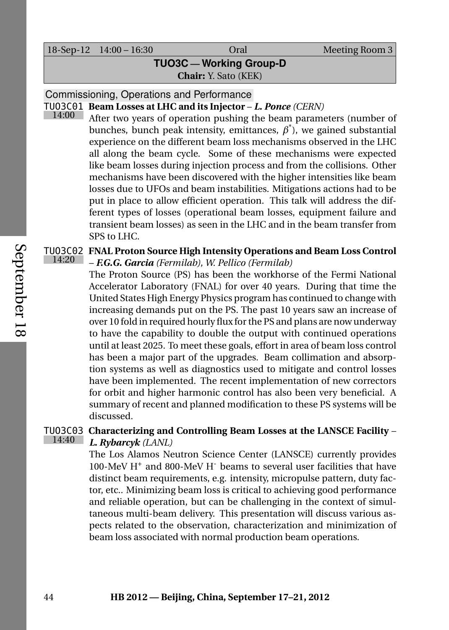18-Sep-12 14:00 – 16:30 Oral Meeting Room 3

**TUO3C — Working Group-D**

**Chair:** Y. Sato (KEK)

Commissioning, Operations and Performance

TUO3C01 **Beam Losses at LHC and its Injector** – *L. Ponce (CERN)* 14:00

After two years of operation pushing the beam parameters (number of bunches, bunch peak intensity, emittances,  $\beta^*$ ), we gained substantial experience on the different beam loss mechanisms observed in the LHC all along the beam cycle. Some of these mechanisms were expected like beam losses during injection process and from the collisions. Other mechanisms have been discovered with the higher intensities like beam losses due to UFOs and beam instabilities. Mitigations actions had to be put in place to allow efficient operation. This talk will address the different types of losses (operational beam losses, equipment failure and transient beam losses) as seen in the LHC and in the beam transfer from SPS to LHC.

TUO3C02 **FNAL Proton Source High Intensity Operations and Beam Loss Control** 14:20 – *F.G.G. Garcia (Fermilab), W. Pellico (Fermilab)*

The Proton Source (PS) has been the workhorse of the Fermi National Accelerator Laboratory (FNAL) for over 40 years. During that time the United States High Energy Physics program has continued to change with increasing demands put on the PS. The past 10 years saw an increase of over 10 fold in required hourly flux for the PS and plans are now underway to have the capability to double the output with continued operations until at least 2025. To meet these goals, effort in area of beam loss control has been a major part of the upgrades. Beam collimation and absorption systems as well as diagnostics used to mitigate and control losses have been implemented. The recent implementation of new correctors for orbit and higher harmonic control has also been very beneficial. A summary of recent and planned modification to these PS systems will be discussed.

TUO3C03 **Characterizing and Controlling Beam Losses at the LANSCE Facility** – 14:40 *L. Rybarcyk (LANL)*

The Los Alamos Neutron Science Center (LANSCE) currently provides 100-MeV H<sup>+</sup> and 800-MeV H<sup>-</sup> beams to several user facilities that have distinct beam requirements, e.g. intensity, micropulse pattern, duty factor, etc.. Minimizing beam loss is critical to achieving good performance and reliable operation, but can be challenging in the context of simultaneous multi-beam delivery. This presentation will discuss various aspects related to the observation, characterization and minimization of beam loss associated with normal production beam operations.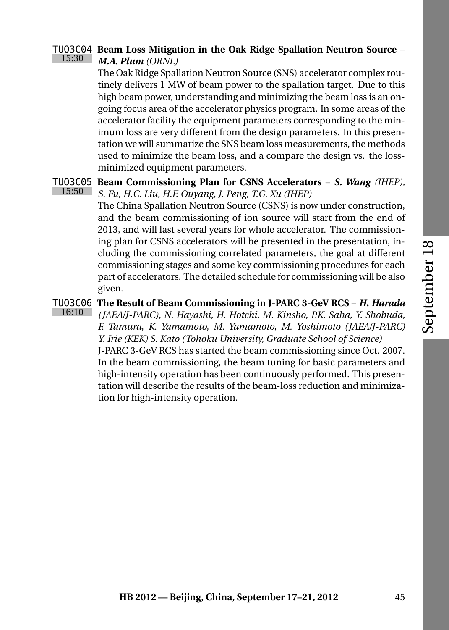#### TUO3C04 **Beam Loss Mitigation in the Oak Ridge Spallation Neutron Source** – 15:30 *M.A. Plum (ORNL)*

The Oak Ridge Spallation Neutron Source (SNS) accelerator complex routinely delivers 1 MW of beam power to the spallation target. Due to this high beam power, understanding and minimizing the beam loss is an ongoing focus area of the accelerator physics program. In some areas of the accelerator facility the equipment parameters corresponding to the minimum loss are very different from the design parameters. In this presentation we will summarize the SNS beam loss measurements, the methods used to minimize the beam loss, and a compare the design vs. the lossminimized equipment parameters.

#### TUO3C05 **Beam Commissioning Plan for CSNS Accelerators** – *S. Wang (IHEP),* 15:50 *S. Fu, H.C. Liu, H.F. Ouyang, J. Peng, T.G. Xu (IHEP)*

The China Spallation Neutron Source (CSNS) is now under construction, and the beam commissioning of ion source will start from the end of 2013, and will last several years for whole accelerator. The commissioning plan for CSNS accelerators will be presented in the presentation, including the commissioning correlated parameters, the goal at different commissioning stages and some key commissioning procedures for each part of accelerators. The detailed schedule for commissioning will be also given.

## TUO3C06 **The Result of Beam Commissioning in J-PARC 3-GeV RCS** – *H. Harada* 16:10

*(JAEA/J-PARC), N. Hayashi, H. Hotchi, M. Kinsho, P.K. Saha, Y. Shobuda, F. Tamura, K. Yamamoto, M. Yamamoto, M. Yoshimoto (JAEA/J-PARC) Y. Irie (KEK) S. Kato (Tohoku University, Graduate School of Science)*

J-PARC 3-GeV RCS has started the beam commissioning since Oct. 2007. In the beam commissioning, the beam tuning for basic parameters and high-intensity operation has been continuously performed. This presentation will describe the results of the beam-loss reduction and minimization for high-intensity operation.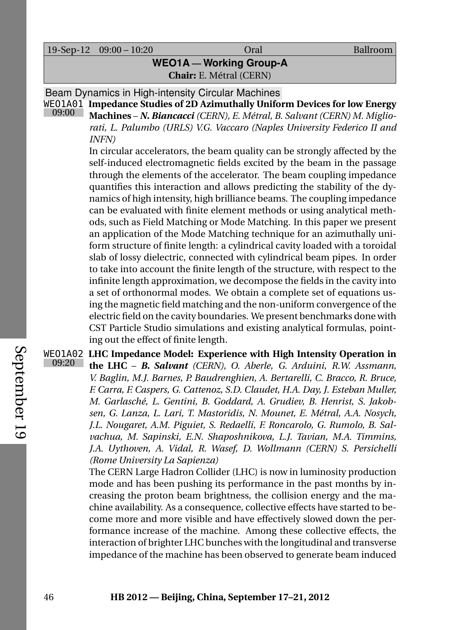19-Sep-12 09:00 – 10:20 Oral Ballroom

**WEO1A — Working Group-A Chair:** E. Métral (CERN)

Beam Dynamics in High-intensity Circular Machines

WEO1A01 **Impedance Studies of 2D Azimuthally Uniform Devices for low Energy** 09:00 **Machines** – *N. Biancacci (CERN), E. Métral, B. Salvant (CERN) M. Miglio-*

*rati, L. Palumbo (URLS) V.G. Vaccaro (Naples University Federico II and INFN)*

In circular accelerators, the beam quality can be strongly affected by the self-induced electromagnetic fields excited by the beam in the passage through the elements of the accelerator. The beam coupling impedance quantifies this interaction and allows predicting the stability of the dynamics of high intensity, high brilliance beams. The coupling impedance can be evaluated with finite element methods or using analytical methods, such as Field Matching or Mode Matching. In this paper we present an application of the Mode Matching technique for an azimuthally uniform structure of finite length: a cylindrical cavity loaded with a toroidal slab of lossy dielectric, connected with cylindrical beam pipes. In order to take into account the finite length of the structure, with respect to the infinite length approximation, we decompose the fields in the cavity into a set of orthonormal modes. We obtain a complete set of equations using the magnetic field matching and the non-uniform convergence of the electric field on the cavity boundaries. We present benchmarks done with CST Particle Studio simulations and existing analytical formulas, pointing out the effect of finite length.

WEO1A02 **LHC Impedance Model: Experience with High Intensity Operation in** 09:20 **the LHC** – *B. Salvant (CERN), O. Aberle, G. Arduini, R.W. Assmann, V. Baglin, M.J. Barnes, P. Baudrenghien, A. Bertarelli, C. Bracco, R. Bruce, F. Carra, F. Caspers, G. Cattenoz, S.D. Claudet, H.A. Day, J. Esteban Muller, M. Garlasché, L. Gentini, B. Goddard, A. Grudiev, B. Henrist, S. Jakobsen, G. Lanza, L. Lari, T. Mastoridis, N. Mounet, E. Métral, A.A. Nosych, J.L. Nougaret, A.M. Piguiet, S. Redaelli, F. Roncarolo, G. Rumolo, B. Salvachua, M. Sapinski, E.N. Shaposhnikova, L.J. Tavian, M.A. Timmins, J.A. Uythoven, A. Vidal, R. Wasef, D. Wollmann (CERN) S. Persichelli (Rome University La Sapienza)*

> The CERN Large Hadron Collider (LHC) is now in luminosity production mode and has been pushing its performance in the past months by increasing the proton beam brightness, the collision energy and the machine availability. As a consequence, collective effects have started to become more and more visible and have effectively slowed down the performance increase of the machine. Among these collective effects, the interaction of brighter LHC bunches with the longitudinal and transverse impedance of the machine has been observed to generate beam induced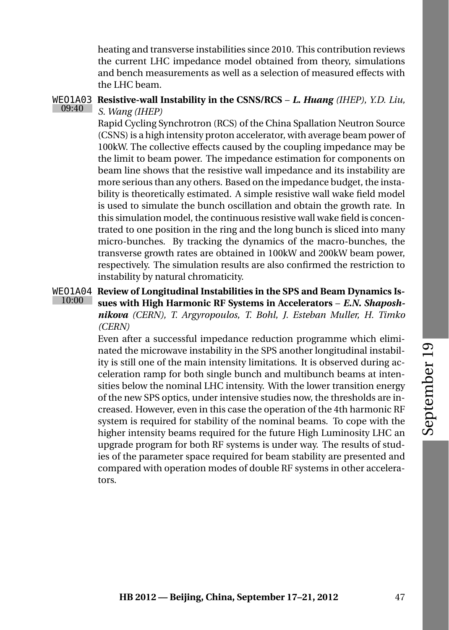heating and transverse instabilities since 2010. This contribution reviews the current LHC impedance model obtained from theory, simulations and bench measurements as well as a selection of measured effects with the LHC beam.

#### WEO1A03 **Resistive-wall Instability in the CSNS/RCS** – *L. Huang (IHEP), Y.D. Liu,* 09:40 *S. Wang (IHEP)*

Rapid Cycling Synchrotron (RCS) of the China Spallation Neutron Source (CSNS) is a high intensity proton accelerator, with average beam power of 100kW. The collective effects caused by the coupling impedance may be the limit to beam power. The impedance estimation for components on beam line shows that the resistive wall impedance and its instability are more serious than any others. Based on the impedance budget, the instability is theoretically estimated. A simple resistive wall wake field model is used to simulate the bunch oscillation and obtain the growth rate. In this simulation model, the continuous resistive wall wake field is concentrated to one position in the ring and the long bunch is sliced into many micro-bunches. By tracking the dynamics of the macro-bunches, the transverse growth rates are obtained in 100kW and 200kW beam power, respectively. The simulation results are also confirmed the restriction to instability by natural chromaticity.

## WEO1A04 **Review of Longitudinal Instabilities in the SPS and Beam Dynamics Is-**10:00 **sues with High Harmonic RF Systems in Accelerators** – *E.N. Shaposhnikova (CERN), T. Argyropoulos, T. Bohl, J. Esteban Muller, H. Timko (CERN)*

Even after a successful impedance reduction programme which eliminated the microwave instability in the SPS another longitudinal instability is still one of the main intensity limitations. It is observed during acceleration ramp for both single bunch and multibunch beams at intensities below the nominal LHC intensity. With the lower transition energy of the new SPS optics, under intensive studies now, the thresholds are increased. However, even in this case the operation of the 4th harmonic RF system is required for stability of the nominal beams. To cope with the higher intensity beams required for the future High Luminosity LHC an upgrade program for both RF systems is under way. The results of studies of the parameter space required for beam stability are presented and compared with operation modes of double RF systems in other accelerators.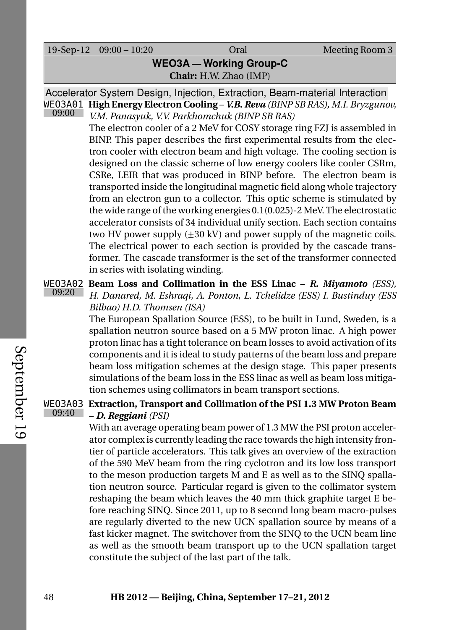19-Sep-12 09:00 – 10:20 Oral Meeting Room 3

# **WEO3A — Working Group-C Chair:** H.W. Zhao (IMP)

Accelerator System Design, Injection, Extraction, Beam-material Interaction WEO3A01 **High Energy Electron Cooling** – *V.B. Reva (BINP SB RAS), M.I. Bryzgunov,* 09:00 *V.M. Panasyuk, V.V. Parkhomchuk (BINP SB RAS)*

The electron cooler of a 2 MeV for COSY storage ring FZJ is assembled in BINP. This paper describes the first experimental results from the electron cooler with electron beam and high voltage. The cooling section is designed on the classic scheme of low energy coolers like cooler CSRm, CSRe, LEIR that was produced in BINP before. The electron beam is transported inside the longitudinal magnetic field along whole trajectory from an electron gun to a collector. This optic scheme is stimulated by the wide range of the working energies 0.1(0.025)-2 MeV. The electrostatic accelerator consists of 34 individual unify section. Each section contains two HV power supply  $(\pm 30 \text{ kV})$  and power supply of the magnetic coils. The electrical power to each section is provided by the cascade transformer. The cascade transformer is the set of the transformer connected in series with isolating winding.

## WEO3A02 **Beam Loss and Collimation in the ESS Linac** – *R. Miyamoto (ESS),* 09:20 *H. Danared, M. Eshraqi, A. Ponton, L. Tchelidze (ESS) I. Bustinduy (ESS Bilbao) H.D. Thomsen (ISA)*

The European Spallation Source (ESS), to be built in Lund, Sweden, is a spallation neutron source based on a 5 MW proton linac. A high power proton linac has a tight tolerance on beam losses to avoid activation of its components and it is ideal to study patterns of the beam loss and prepare beam loss mitigation schemes at the design stage. This paper presents simulations of the beam loss in the ESS linac as well as beam loss mitigation schemes using collimators in beam transport sections.

## WEO3A03 **Extraction, Transport and Collimation of the PSI 1.3 MW Proton Beam** 09:40 – *D. Reggiani (PSI)*

With an average operating beam power of 1.3 MW the PSI proton accelerator complex is currently leading the race towards the high intensity frontier of particle accelerators. This talk gives an overview of the extraction of the 590 MeV beam from the ring cyclotron and its low loss transport to the meson production targets M and E as well as to the SINQ spallation neutron source. Particular regard is given to the collimator system reshaping the beam which leaves the 40 mm thick graphite target E before reaching SINQ. Since 2011, up to 8 second long beam macro-pulses are regularly diverted to the new UCN spallation source by means of a fast kicker magnet. The switchover from the SINQ to the UCN beam line as well as the smooth beam transport up to the UCN spallation target constitute the subject of the last part of the talk.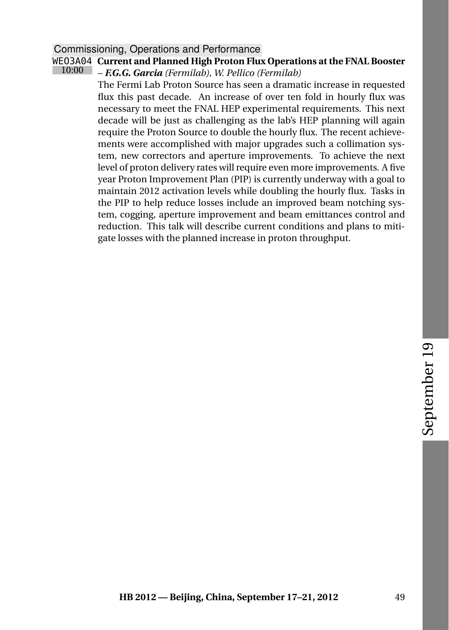## Commissioning, Operations and Performance

## WEO3A04 **Current and Planned High Proton Flux Operations at the FNAL Booster**

10:00 – *F.G.G. Garcia (Fermilab), W. Pellico (Fermilab)*

> The Fermi Lab Proton Source has seen a dramatic increase in requested flux this past decade. An increase of over ten fold in hourly flux was necessary to meet the FNAL HEP experimental requirements. This next decade will be just as challenging as the lab's HEP planning will again require the Proton Source to double the hourly flux. The recent achievements were accomplished with major upgrades such a collimation system, new correctors and aperture improvements. To achieve the next level of proton delivery rates will require even more improvements. A five year Proton Improvement Plan (PIP) is currently underway with a goal to maintain 2012 activation levels while doubling the hourly flux. Tasks in the PIP to help reduce losses include an improved beam notching system, cogging, aperture improvement and beam emittances control and reduction. This talk will describe current conditions and plans to mitigate losses with the planned increase in proton throughput.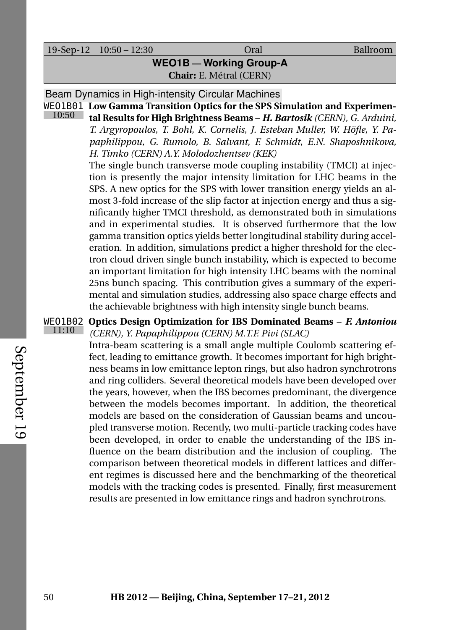19-Sep-12 10:50 – 12:30 Oral Ballroom

## **WEO1B — Working Group-A Chair:** E. Métral (CERN)

Beam Dynamics in High-intensity Circular Machines

WEO1B01 **Low Gamma Transition Optics for the SPS Simulation and Experimen-**10:50 **tal Results for High Brightness Beams** – *H. Bartosik (CERN), G. Arduini, T. Argyropoulos, T. Bohl, K. Cornelis, J. Esteban Muller, W. Höfle, Y. Papaphilippou, G. Rumolo, B. Salvant, F. Schmidt, E.N. Shaposhnikova, H. Timko (CERN) A.Y. Molodozhentsev (KEK)*

> The single bunch transverse mode coupling instability (TMCI) at injection is presently the major intensity limitation for LHC beams in the SPS. A new optics for the SPS with lower transition energy yields an almost 3-fold increase of the slip factor at injection energy and thus a significantly higher TMCI threshold, as demonstrated both in simulations and in experimental studies. It is observed furthermore that the low gamma transition optics yields better longitudinal stability during acceleration. In addition, simulations predict a higher threshold for the electron cloud driven single bunch instability, which is expected to become an important limitation for high intensity LHC beams with the nominal 25ns bunch spacing. This contribution gives a summary of the experimental and simulation studies, addressing also space charge effects and the achievable brightness with high intensity single bunch beams.

#### WEO1B02 **Optics Design Optimization for IBS Dominated Beams** – *F. Antoniou* 11:10 *(CERN), Y. Papaphilippou (CERN) M.T.F. Pivi (SLAC)*

Intra-beam scattering is a small angle multiple Coulomb scattering effect, leading to emittance growth. It becomes important for high brightness beams in low emittance lepton rings, but also hadron synchrotrons and ring colliders. Several theoretical models have been developed over the years, however, when the IBS becomes predominant, the divergence between the models becomes important. In addition, the theoretical models are based on the consideration of Gaussian beams and uncoupled transverse motion. Recently, two multi-particle tracking codes have been developed, in order to enable the understanding of the IBS influence on the beam distribution and the inclusion of coupling. The comparison between theoretical models in different lattices and different regimes is discussed here and the benchmarking of the theoretical models with the tracking codes is presented. Finally, first measurement results are presented in low emittance rings and hadron synchrotrons.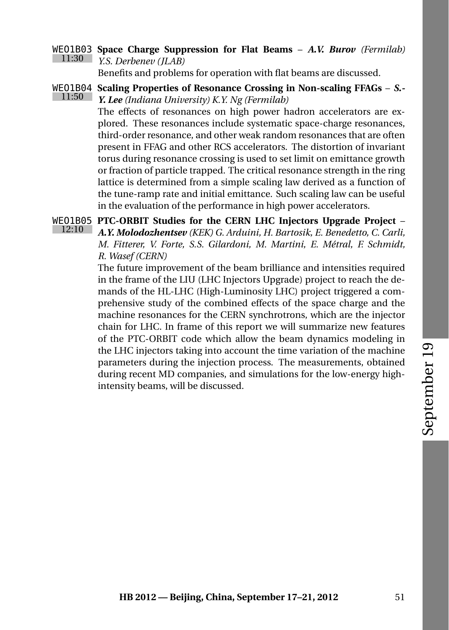## WEO1B03 **Space Charge Suppression for Flat Beams** – *A.V. Burov (Fermilab)* 11:30 *Y.S. Derbenev (JLAB)*

Benefits and problems for operation with flat beams are discussed.

WEO1B04 **Scaling Properties of Resonance Crossing in Non-scaling FFAGs** – *S.-* 11:50 *Y. Lee (Indiana University) K.Y. Ng (Fermilab)*

> The effects of resonances on high power hadron accelerators are explored. These resonances include systematic space-charge resonances, third-order resonance, and other weak random resonances that are often present in FFAG and other RCS accelerators. The distortion of invariant torus during resonance crossing is used to set limit on emittance growth or fraction of particle trapped. The critical resonance strength in the ring lattice is determined from a simple scaling law derived as a function of the tune-ramp rate and initial emittance. Such scaling law can be useful in the evaluation of the performance in high power accelerators.

WEO1B05 **PTC-ORBIT Studies for the CERN LHC Injectors Upgrade Project** –  $12:10$ *A.Y. Molodozhentsev (KEK) G. Arduini, H. Bartosik, E. Benedetto, C. Carli, M. Fitterer, V. Forte, S.S. Gilardoni, M. Martini, E. Métral, F. Schmidt, R. Wasef (CERN)*

> The future improvement of the beam brilliance and intensities required in the frame of the LIU (LHC Injectors Upgrade) project to reach the demands of the HL-LHC (High-Luminosity LHC) project triggered a comprehensive study of the combined effects of the space charge and the machine resonances for the CERN synchrotrons, which are the injector chain for LHC. In frame of this report we will summarize new features of the PTC-ORBIT code which allow the beam dynamics modeling in the LHC injectors taking into account the time variation of the machine parameters during the injection process. The measurements, obtained during recent MD companies, and simulations for the low-energy highintensity beams, will be discussed.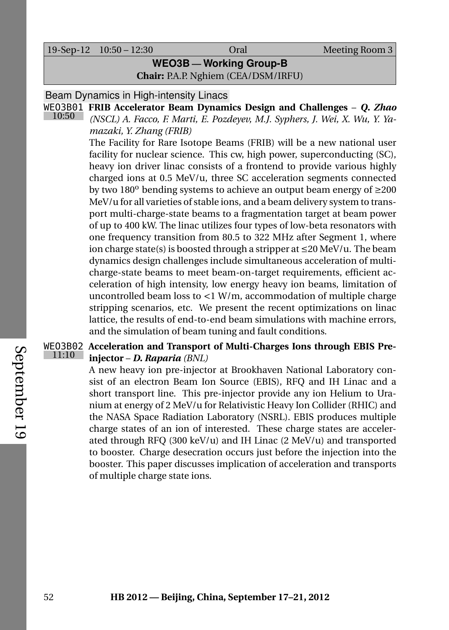19-Sep-12 10:50 – 12:30 Oral Meeting Room 3

## **WEO3B — Working Group-B**

**Chair:** P.A.P. Nghiem (CEA/DSM/IRFU)

## Beam Dynamics in High-intensity Linacs

WEO3B01 **FRIB Accelerator Beam Dynamics Design and Challenges** – *Q. Zhao* 10:50 *(NSCL) A. Facco, F. Marti, E. Pozdeyev, M.J. Syphers, J. Wei, X. Wu, Y. Yamazaki, Y. Zhang (FRIB)*

> The Facility for Rare Isotope Beams (FRIB) will be a new national user facility for nuclear science. This cw, high power, superconducting (SC), heavy ion driver linac consists of a frontend to provide various highly charged ions at 0.5 MeV/u, three SC acceleration segments connected by two 180 $^{\circ}$  bending systems to achieve an output beam energy of  $\geq 200$ MeV/u for all varieties of stable ions, and a beam delivery system to transport multi-charge-state beams to a fragmentation target at beam power of up to 400 kW. The linac utilizes four types of low-beta resonators with one frequency transition from 80.5 to 322 MHz after Segment 1, where ion charge state(s) is boosted through a stripper at ≤20 MeV/u. The beam dynamics design challenges include simultaneous acceleration of multicharge-state beams to meet beam-on-target requirements, efficient acceleration of high intensity, low energy heavy ion beams, limitation of uncontrolled beam loss to <1 W/m, accommodation of multiple charge stripping scenarios, etc. We present the recent optimizations on linac lattice, the results of end-to-end beam simulations with machine errors, and the simulation of beam tuning and fault conditions.

## WEO3B02 **Acceleration and Transport of Multi-Charges Ions through EBIS Pre-**11:10 **injector** – *D. Raparia (BNL)*

A new heavy ion pre-injector at Brookhaven National Laboratory consist of an electron Beam Ion Source (EBIS), RFQ and IH Linac and a short transport line. This pre-injector provide any ion Helium to Uranium at energy of 2 MeV/u for Relativistic Heavy Ion Collider (RHIC) and the NASA Space Radiation Laboratory (NSRL). EBIS produces multiple charge states of an ion of interested. These charge states are accelerated through RFQ (300 keV/u) and IH Linac (2 MeV/u) and transported to booster. Charge desecration occurs just before the injection into the booster. This paper discusses implication of acceleration and transports of multiple charge state ions.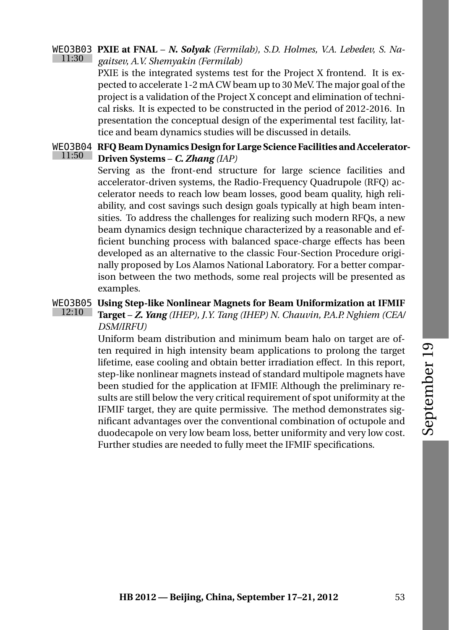#### <span id="page-72-1"></span>WEO3B03 **PXIE at FNAL** – *N. Solyak (Fermilab), S.D. Holmes, V.A. Lebedev, S. Na-*11:30 *gaitsev, A.V. Shemyakin (Fermilab)*

PXIE is the integrated systems test for the Project X frontend. It is expected to accelerate 1-2 mA CW beam up to 30 MeV. The major goal of the project is a validation of the Project X concept and elimination of technical risks. It is expected to be constructed in the period of 2012-2016. In presentation the conceptual design of the experimental test facility, lattice and beam dynamics studies will be discussed in details.

#### <span id="page-72-2"></span>WEO3B04 **RFQ Beam Dynamics Design for Large Science Facilities and Accelerator-**11:50 **Driven Systems** – *C. Zhang (IAP)*

Serving as the front-end structure for large science facilities and accelerator-driven systems, the Radio-Frequency Quadrupole (RFQ) accelerator needs to reach low beam losses, good beam quality, high reliability, and cost savings such design goals typically at high beam intensities. To address the challenges for realizing such modern RFQs, a new beam dynamics design technique characterized by a reasonable and efficient bunching process with balanced space-charge effects has been developed as an alternative to the classic Four-Section Procedure originally proposed by Los Alamos National Laboratory. For a better comparison between the two methods, some real projects will be presented as examples.

#### <span id="page-72-0"></span>WEO3B05 **Using Step-like Nonlinear Magnets for Beam Uniformization at IFMIF** 12:10 **Target** – *Z. Yang (IHEP), J.Y. Tang (IHEP) N. Chauvin, P.A.P. Nghiem (CEA/ DSM/IRFU)*

Uniform beam distribution and minimum beam halo on target are often required in high intensity beam applications to prolong the target lifetime, ease cooling and obtain better irradiation effect. In this report, step-like nonlinear magnets instead of standard multipole magnets have been studied for the application at IFMIF. Although the preliminary results are still below the very critical requirement of spot uniformity at the IFMIF target, they are quite permissive. The method demonstrates significant advantages over the conventional combination of octupole and duodecapole on very low beam loss, better uniformity and very low cost. Further studies are needed to fully meet the IFMIF specifications.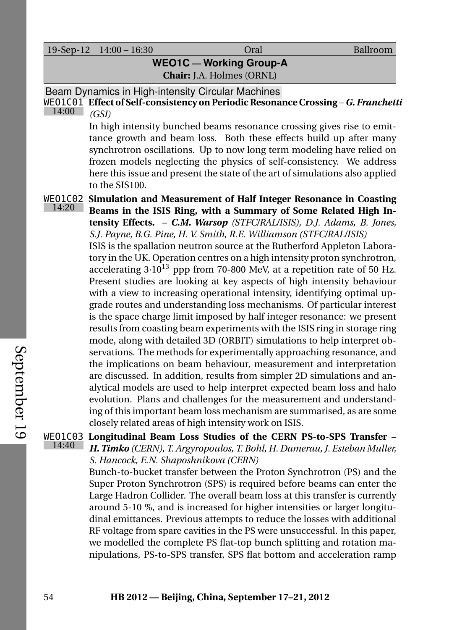19-Sep-12 14:00 – 16:30 Oral Ballroom

**WEO1C — Working Group-A**

**Chair:** J.A. Holmes (ORNL)

Beam Dynamics in High-intensity Circular Machines

WEO1C01 **Effect of Self-consistency on Periodic Resonance Crossing** – *G. Franchetti* 14:00 *(GSI)*

> <span id="page-73-2"></span>In high intensity bunched beams resonance crossing gives rise to emittance growth and beam loss. Both these effects build up after many synchrotron oscillations. Up to now long term modeling have relied on frozen models neglecting the physics of self-consistency. We address here this issue and present the state of the art of simulations also applied to the SIS100.

<span id="page-73-0"></span>14:20

WEO1C02 **Simulation and Measurement of Half Integer Resonance in Coasting Beams in the ISIS Ring, with a Summary of Some Related High Intensity Effects.** – *C.M. Warsop (STFC/RAL/ISIS), D.J. Adams, B. Jones, S.J. Payne, B.G. Pine, H. V. Smith, R.E. Williamson (STFC/RAL/ISIS)* ISIS is the spallation neutron source at the Rutherford Appleton Laboratory in the UK. Operation centres on a high intensity proton synchrotron, accelerating  $3 \cdot 10^{13}$  ppp from 70-800 MeV, at a repetition rate of 50 Hz. Present studies are looking at key aspects of high intensity behaviour with a view to increasing operational intensity, identifying optimal upgrade routes and understanding loss mechanisms. Of particular interest is the space charge limit imposed by half integer resonance: we present results from coasting beam experiments with the ISIS ring in storage ring mode, along with detailed 3D (ORBIT) simulations to help interpret observations. The methods for experimentally approaching resonance, and the implications on beam behaviour, measurement and interpretation are discussed. In addition, results from simpler 2D simulations and analytical models are used to help interpret expected beam loss and halo evolution. Plans and challenges for the measurement and understanding of this important beam loss mechanism are summarised, as are some closely related areas of high intensity work on ISIS.

<span id="page-73-1"></span>WEO1C03 **Longitudinal Beam Loss Studies of the CERN PS-to-SPS Transfer** – 14:40 *H. Timko (CERN), T. Argyropoulos, T. Bohl, H. Damerau, J. Esteban Muller, S. Hancock, E.N. Shaposhnikova (CERN)*

Bunch-to-bucket transfer between the Proton Synchrotron (PS) and the Super Proton Synchrotron (SPS) is required before beams can enter the Large Hadron Collider. The overall beam loss at this transfer is currently around 5-10 %, and is increased for higher intensities or larger longitudinal emittances. Previous attempts to reduce the losses with additional RF voltage from spare cavities in the PS were unsuccessful. In this paper, we modelled the complete PS flat-top bunch splitting and rotation manipulations, PS-to-SPS transfer, SPS flat bottom and acceleration ramp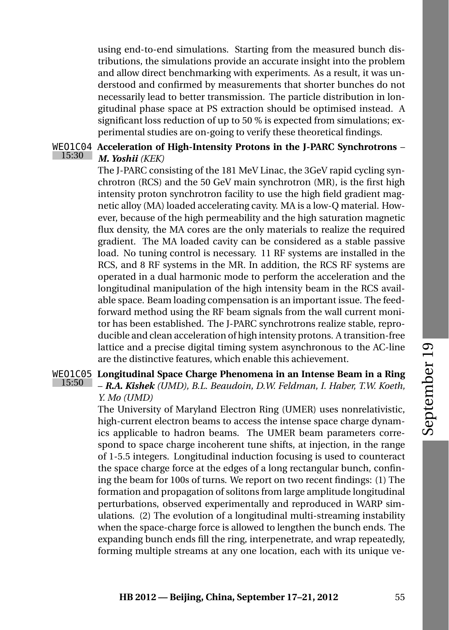using end-to-end simulations. Starting from the measured bunch distributions, the simulations provide an accurate insight into the problem and allow direct benchmarking with experiments. As a result, it was understood and confirmed by measurements that shorter bunches do not necessarily lead to better transmission. The particle distribution in longitudinal phase space at PS extraction should be optimised instead. A significant loss reduction of up to 50 % is expected from simulations; experimental studies are on-going to verify these theoretical findings.

#### <span id="page-74-1"></span>WEO1C04 **Acceleration of High-Intensity Protons in the J-PARC Synchrotrons** – 15:30 *M. Yoshii (KEK)*

The J-PARC consisting of the 181 MeV Linac, the 3GeV rapid cycling synchrotron (RCS) and the 50 GeV main synchrotron (MR), is the first high intensity proton synchrotron facility to use the high field gradient magnetic alloy (MA) loaded accelerating cavity. MA is a low-Q material. However, because of the high permeability and the high saturation magnetic flux density, the MA cores are the only materials to realize the required gradient. The MA loaded cavity can be considered as a stable passive load. No tuning control is necessary. 11 RF systems are installed in the RCS, and 8 RF systems in the MR. In addition, the RCS RF systems are operated in a dual harmonic mode to perform the acceleration and the longitudinal manipulation of the high intensity beam in the RCS available space. Beam loading compensation is an important issue. The feedforward method using the RF beam signals from the wall current monitor has been established. The J-PARC synchrotrons realize stable, reproducible and clean acceleration of high intensity protons. A transition-free lattice and a precise digital timing system asynchronous to the AC-line are the distinctive features, which enable this achievement.

#### <span id="page-74-0"></span>WEO1C05 **Longitudinal Space Charge Phenomena in an Intense Beam in a Ring** 15:50 – *R.A. Kishek (UMD), B.L. Beaudoin, D.W. Feldman, I. Haber, T.W. Koeth, Y. Mo (UMD)*

The University of Maryland Electron Ring (UMER) uses nonrelativistic, high-current electron beams to access the intense space charge dynamics applicable to hadron beams. The UMER beam parameters correspond to space charge incoherent tune shifts, at injection, in the range of 1-5.5 integers. Longitudinal induction focusing is used to counteract the space charge force at the edges of a long rectangular bunch, confining the beam for 100s of turns. We report on two recent findings: (1) The formation and propagation of solitons from large amplitude longitudinal perturbations, observed experimentally and reproduced in WARP simulations. (2) The evolution of a longitudinal multi-streaming instability when the space-charge force is allowed to lengthen the bunch ends. The expanding bunch ends fill the ring, interpenetrate, and wrap repeatedly, forming multiple streams at any one location, each with its unique ve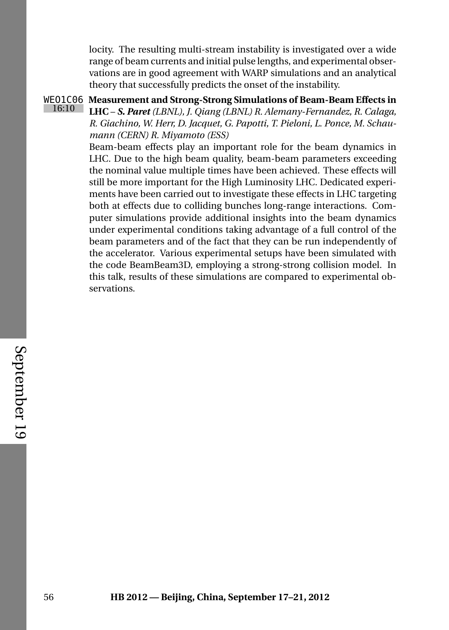locity. The resulting multi-stream instability is investigated over a wide range of beam currents and initial pulse lengths, and experimental observations are in good agreement with WARP simulations and an analytical theory that successfully predicts the onset of the instability.

<span id="page-75-0"></span>WEO1C06 **Measurement and Strong-Strong Simulations of Beam-Beam Effects in** 16:10 **LHC** – *S. Paret (LBNL), J. Qiang (LBNL) R. Alemany-Fernandez, R. Calaga, R. Giachino, W. Herr, D. Jacquet, G. Papotti, T. Pieloni, L. Ponce, M. Schaumann (CERN) R. Miyamoto (ESS)*

> Beam-beam effects play an important role for the beam dynamics in LHC. Due to the high beam quality, beam-beam parameters exceeding the nominal value multiple times have been achieved. These effects will still be more important for the High Luminosity LHC. Dedicated experiments have been carried out to investigate these effects in LHC targeting both at effects due to colliding bunches long-range interactions. Computer simulations provide additional insights into the beam dynamics under experimental conditions taking advantage of a full control of the beam parameters and of the fact that they can be run independently of the accelerator. Various experimental setups have been simulated with the code BeamBeam3D, employing a strong-strong collision model. In this talk, results of these simulations are compared to experimental observations.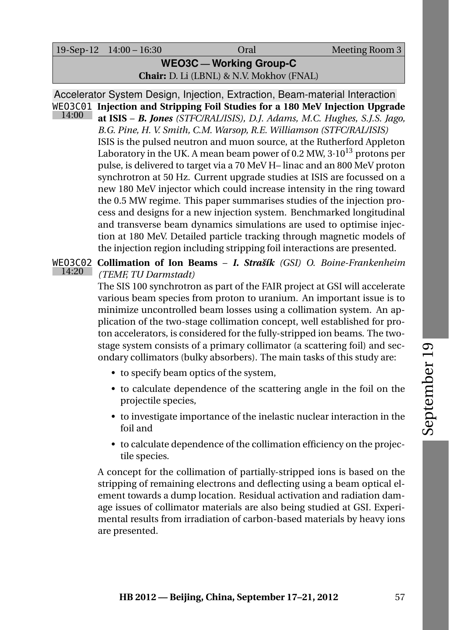### **WEO3C — Working Group-C Chair:** D. Li (LBNL) & N.V. Mokhov (FNAL)

Accelerator System Design, Injection, Extraction, Beam-material Interaction WEO3C01 **Injection and Stripping Foil Studies for a 180 MeV Injection Upgrade** 14:00 **at ISIS** – *B. Jones (STFC/RAL/ISIS), D.J. Adams, M.C. Hughes, S.J.S. Jago,*

<span id="page-76-0"></span>*B.G. Pine, H. V. Smith, C.M. Warsop, R.E. Williamson (STFC/RAL/ISIS)* ISIS is the pulsed neutron and muon source, at the Rutherford Appleton Laboratory in the UK. A mean beam power of 0.2 MW,  $3 \cdot 10^{13}$  protons per pulse, is delivered to target via a 70 MeV H– linac and an 800 MeV proton synchrotron at 50 Hz. Current upgrade studies at ISIS are focussed on a new 180 MeV injector which could increase intensity in the ring toward the 0.5 MW regime. This paper summarises studies of the injection process and designs for a new injection system. Benchmarked longitudinal and transverse beam dynamics simulations are used to optimise injection at 180 MeV. Detailed particle tracking through magnetic models of the injection region including stripping foil interactions are presented.

#### <span id="page-76-1"></span>WEO3C02 **Collimation of Ion Beams** – *I. Strašík (GSI) O. Boine-Frankenheim* 14:20 *(TEMF, TU Darmstadt)*

The SIS 100 synchrotron as part of the FAIR project at GSI will accelerate various beam species from proton to uranium. An important issue is to minimize uncontrolled beam losses using a collimation system. An application of the two-stage collimation concept, well established for proton accelerators, is considered for the fully-stripped ion beams. The twostage system consists of a primary collimator (a scattering foil) and secondary collimators (bulky absorbers). The main tasks of this study are:

- to specify beam optics of the system,
- to calculate dependence of the scattering angle in the foil on the projectile species,
- to investigate importance of the inelastic nuclear interaction in the foil and
- to calculate dependence of the collimation efficiency on the projectile species.

A concept for the collimation of partially-stripped ions is based on the stripping of remaining electrons and deflecting using a beam optical element towards a dump location. Residual activation and radiation damage issues of collimator materials are also being studied at GSI. Experimental results from irradiation of carbon-based materials by heavy ions are presented.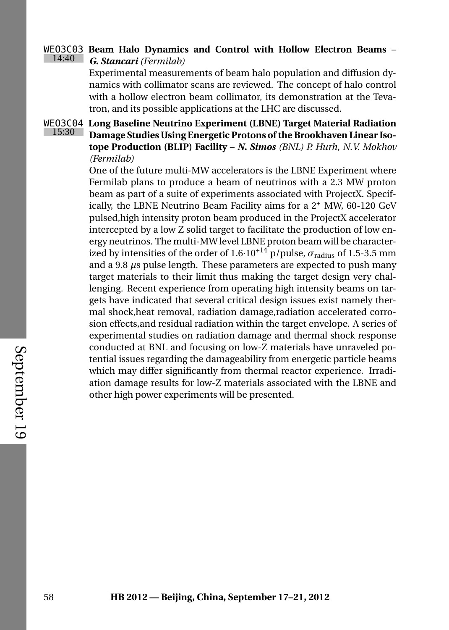#### <span id="page-77-1"></span>WEO3C03 **Beam Halo Dynamics and Control with Hollow Electron Beams** – 14:40 *G. Stancari (Fermilab)*

Experimental measurements of beam halo population and diffusion dynamics with collimator scans are reviewed. The concept of halo control with a hollow electron beam collimator, its demonstration at the Tevatron, and its possible applications at the LHC are discussed.

15:30

<span id="page-77-0"></span>WEO3C04 **Long Baseline Neutrino Experiment (LBNE) Target Material Radiation Damage Studies Using Energetic Protons of the Brookhaven Linear Isotope Production (BLIP) Facility** – *N. Simos (BNL) P. Hurh, N.V. Mokhov (Fermilab)*

> One of the future multi-MW accelerators is the LBNE Experiment where Fermilab plans to produce a beam of neutrinos with a 2.3 MW proton beam as part of a suite of experiments associated with ProjectX. Specifically, the LBNE Neutrino Beam Facility aims for a  $2^+$  MW, 60-120 GeV pulsed,high intensity proton beam produced in the ProjectX accelerator intercepted by a low Z solid target to facilitate the production of low energy neutrinos. The multi-MW level LBNE proton beam will be characterized by intensities of the order of  $1.6 \cdot 10^{+14}$  p/pulse,  $\sigma_{\text{radius}}$  of 1.5-3.5 mm and a 9.8 *µ*s pulse length. These parameters are expected to push many target materials to their limit thus making the target design very challenging. Recent experience from operating high intensity beams on targets have indicated that several critical design issues exist namely thermal shock,heat removal, radiation damage,radiation accelerated corrosion effects,and residual radiation within the target envelope. A series of experimental studies on radiation damage and thermal shock response conducted at BNL and focusing on low-Z materials have unraveled potential issues regarding the damageability from energetic particle beams which may differ significantly from thermal reactor experience. Irradiation damage results for low-Z materials associated with the LBNE and other high power experiments will be presented.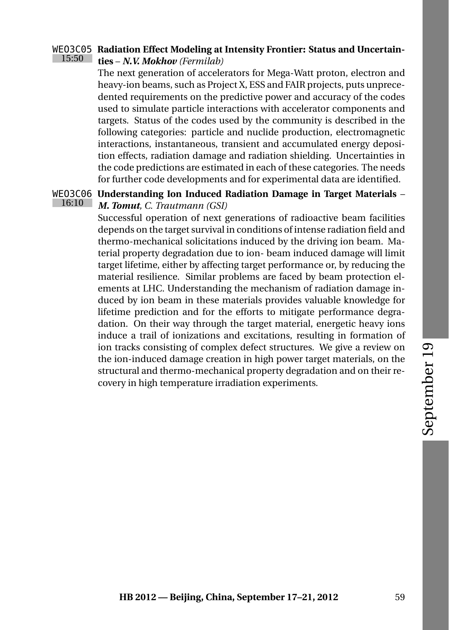#### <span id="page-78-0"></span>WEO3C05 **Radiation Effect Modeling at Intensity Frontier: Status and Uncertain-**15:50 **ties** – *N.V. Mokhov (Fermilab)*

The next generation of accelerators for Mega-Watt proton, electron and heavy-ion beams, such as Project X, ESS and FAIR projects, puts unprecedented requirements on the predictive power and accuracy of the codes used to simulate particle interactions with accelerator components and targets. Status of the codes used by the community is described in the following categories: particle and nuclide production, electromagnetic interactions, instantaneous, transient and accumulated energy deposition effects, radiation damage and radiation shielding. Uncertainties in the code predictions are estimated in each of these categories. The needs for further code developments and for experimental data are identified.

#### <span id="page-78-1"></span>WEO3C06 **Understanding Ion Induced Radiation Damage in Target Materials** – 16:10 *M. Tomut, C. Trautmann (GSI)*

Successful operation of next generations of radioactive beam facilities depends on the target survival in conditions of intense radiation field and thermo-mechanical solicitations induced by the driving ion beam. Material property degradation due to ion- beam induced damage will limit target lifetime, either by affecting target performance or, by reducing the material resilience. Similar problems are faced by beam protection elements at LHC. Understanding the mechanism of radiation damage induced by ion beam in these materials provides valuable knowledge for lifetime prediction and for the efforts to mitigate performance degradation. On their way through the target material, energetic heavy ions induce a trail of ionizations and excitations, resulting in formation of ion tracks consisting of complex defect structures. We give a review on the ion-induced damage creation in high power target materials, on the structural and thermo-mechanical property degradation and on their recovery in high temperature irradiation experiments.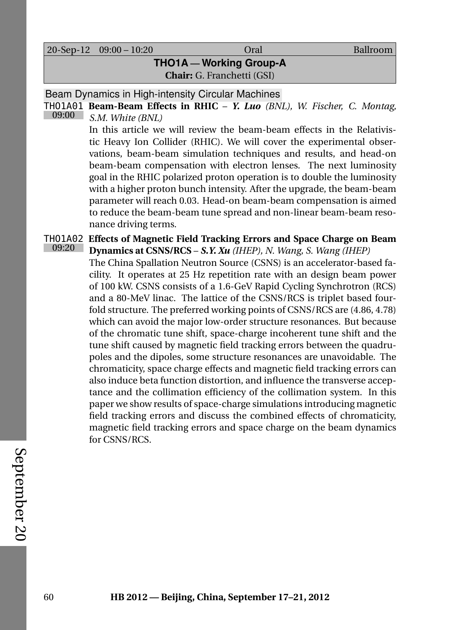20-Sep-12 09:00 – 10:20 Oral Ballroom

# **THO1A — Working Group-A Chair:** G. Franchetti (GSI)

Beam Dynamics in High-intensity Circular Machines

THO1A01 **Beam-Beam Effects in RHIC** – *Y. Luo (BNL), W. Fischer, C. Montag,* 09:00 *S.M. White (BNL)*

> <span id="page-79-0"></span>In this article we will review the beam-beam effects in the Relativistic Heavy Ion Collider (RHIC). We will cover the experimental observations, beam-beam simulation techniques and results, and head-on beam-beam compensation with electron lenses. The next luminosity goal in the RHIC polarized proton operation is to double the luminosity with a higher proton bunch intensity. After the upgrade, the beam-beam parameter will reach 0.03. Head-on beam-beam compensation is aimed to reduce the beam-beam tune spread and non-linear beam-beam resonance driving terms.

<span id="page-79-1"></span>THO1A02 **Effects of Magnetic Field Tracking Errors and Space Charge on Beam** 09:20 **Dynamics at CSNS/RCS** – *S.Y. Xu (IHEP), N. Wang, S. Wang (IHEP)*

The China Spallation Neutron Source (CSNS) is an accelerator-based facility. It operates at 25 Hz repetition rate with an design beam power of 100 kW. CSNS consists of a 1.6-GeV Rapid Cycling Synchrotron (RCS) and a 80-MeV linac. The lattice of the CSNS/RCS is triplet based fourfold structure. The preferred working points of CSNS/RCS are (4.86, 4.78) which can avoid the major low-order structure resonances. But because of the chromatic tune shift, space-charge incoherent tune shift and the tune shift caused by magnetic field tracking errors between the quadrupoles and the dipoles, some structure resonances are unavoidable. The chromaticity, space charge effects and magnetic field tracking errors can also induce beta function distortion, and influence the transverse acceptance and the collimation efficiency of the collimation system. In this paper we show results of space-charge simulations introducing magnetic field tracking errors and discuss the combined effects of chromaticity, magnetic field tracking errors and space charge on the beam dynamics for CSNS/RCS.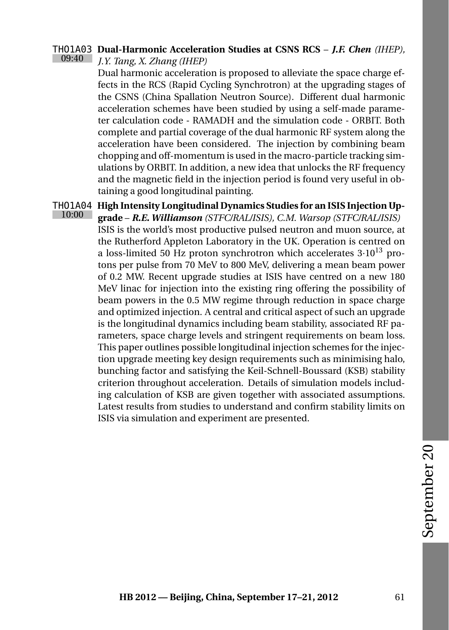#### <span id="page-80-0"></span>THO1A03 **Dual-Harmonic Acceleration Studies at CSNS RCS** – *J.F. Chen (IHEP),* 09:40 *J.Y. Tang, X. Zhang (IHEP)*

Dual harmonic acceleration is proposed to alleviate the space charge effects in the RCS (Rapid Cycling Synchrotron) at the upgrading stages of the CSNS (China Spallation Neutron Source). Different dual harmonic acceleration schemes have been studied by using a self-made parameter calculation code - RAMADH and the simulation code - ORBIT. Both complete and partial coverage of the dual harmonic RF system along the acceleration have been considered. The injection by combining beam chopping and off-momentum is used in the macro-particle tracking simulations by ORBIT. In addition, a new idea that unlocks the RF frequency and the magnetic field in the injection period is found very useful in obtaining a good longitudinal painting.

<span id="page-80-1"></span>THO1A04 **High Intensity Longitudinal Dynamics Studies for an ISIS Injection Up-**10:00 **grade** – *R.E. Williamson (STFC/RAL/ISIS), C.M. Warsop (STFC/RAL/ISIS)* ISIS is the world's most productive pulsed neutron and muon source, at the Rutherford Appleton Laboratory in the UK. Operation is centred on a loss-limited 50 Hz proton synchrotron which accelerates  $3 \cdot 10^{13}$  protons per pulse from 70 MeV to 800 MeV, delivering a mean beam power of 0.2 MW. Recent upgrade studies at ISIS have centred on a new 180 MeV linac for injection into the existing ring offering the possibility of beam powers in the 0.5 MW regime through reduction in space charge and optimized injection. A central and critical aspect of such an upgrade is the longitudinal dynamics including beam stability, associated RF parameters, space charge levels and stringent requirements on beam loss. This paper outlines possible longitudinal injection schemes for the injection upgrade meeting key design requirements such as minimising halo, bunching factor and satisfying the Keil-Schnell-Boussard (KSB) stability criterion throughout acceleration. Details of simulation models including calculation of KSB are given together with associated assumptions. Latest results from studies to understand and confirm stability limits on ISIS via simulation and experiment are presented.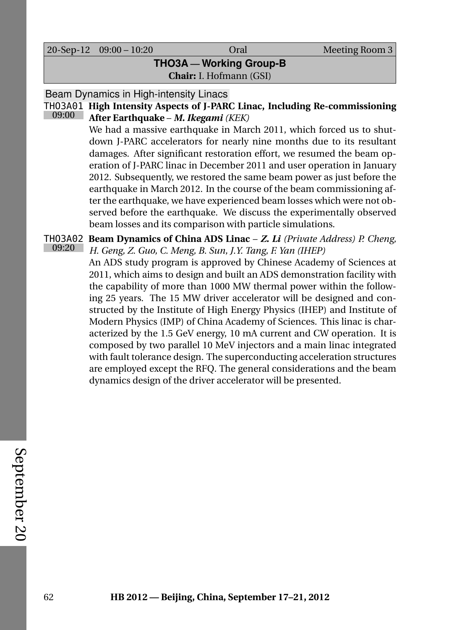20-Sep-12 09:00 – 10:20 Oral Meeting Room 3

**THO3A — Working Group-B Chair:** I. Hofmann (GSI)

Beam Dynamics in High-intensity Linacs

#### THO3A01 **High Intensity Aspects of J-PARC Linac, Including Re-commissioning** 09:00 **After Earthquake** – *M. Ikegami (KEK)*

<span id="page-81-1"></span>We had a massive earthquake in March 2011, which forced us to shutdown J-PARC accelerators for nearly nine months due to its resultant damages. After significant restoration effort, we resumed the beam operation of J-PARC linac in December 2011 and user operation in January 2012. Subsequently, we restored the same beam power as just before the earthquake in March 2012. In the course of the beam commissioning after the earthquake, we have experienced beam losses which were not observed before the earthquake. We discuss the experimentally observed beam losses and its comparison with particle simulations.

<span id="page-81-0"></span>THO3A02 **Beam Dynamics of China ADS Linac** – *Z. Li (Private Address) P. Cheng,* 09:20 *H. Geng, Z. Guo, C. Meng, B. Sun, J.Y. Tang, F. Yan (IHEP)*

An ADS study program is approved by Chinese Academy of Sciences at 2011, which aims to design and built an ADS demonstration facility with the capability of more than 1000 MW thermal power within the following 25 years. The 15 MW driver accelerator will be designed and constructed by the Institute of High Energy Physics (IHEP) and Institute of Modern Physics (IMP) of China Academy of Sciences. This linac is characterized by the 1.5 GeV energy, 10 mA current and CW operation. It is composed by two parallel 10 MeV injectors and a main linac integrated with fault tolerance design. The superconducting acceleration structures are employed except the RFQ. The general considerations and the beam dynamics design of the driver accelerator will be presented.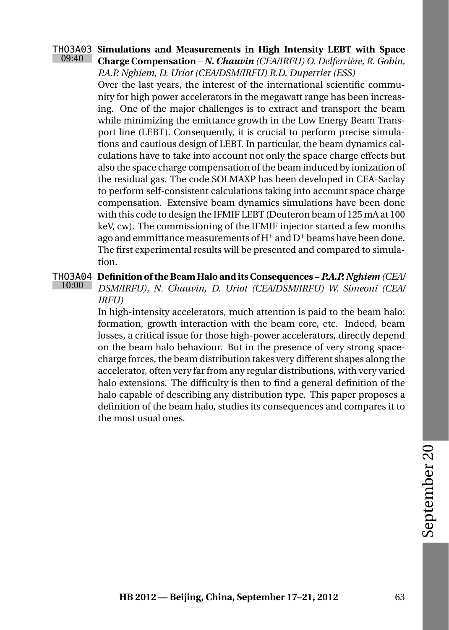#### <span id="page-82-1"></span>THO3A03 **Simulations and Measurements in High Intensity LEBT with Space** 09:40 **Charge Compensation** – *N. Chauvin (CEA/IRFU) O. Delferrière, R. Gobin, P.A.P. Nghiem, D. Uriot (CEA/DSM/IRFU) R.D. Duperrier (ESS)*

Over the last years, the interest of the international scientific community for high power accelerators in the megawatt range has been increasing. One of the major challenges is to extract and transport the beam while minimizing the emittance growth in the Low Energy Beam Transport line (LEBT). Consequently, it is crucial to perform precise simulations and cautious design of LEBT. In particular, the beam dynamics calculations have to take into account not only the space charge effects but also the space charge compensation of the beam induced by ionization of the residual gas. The code SOLMAXP has been developed in CEA-Saclay to perform self-consistent calculations taking into account space charge compensation. Extensive beam dynamics simulations have been done with this code to design the IFMIF LEBT (Deuteron beam of 125 mA at 100 keV, cw). The commissioning of the IFMIF injector started a few months ago and emmittance measurements of  $H^+$  and  $D^+$  beams have been done. The first experimental results will be presented and compared to simulation.

#### <span id="page-82-0"></span>THO3A04 **Definition of the Beam Halo and its Consequences** – *P.A.P. Nghiem (CEA/* 10:00 *DSM/IRFU), N. Chauvin, D. Uriot (CEA/DSM/IRFU) W. Simeoni (CEA/*

### *IRFU)*

In high-intensity accelerators, much attention is paid to the beam halo: formation, growth interaction with the beam core, etc. Indeed, beam losses, a critical issue for those high-power accelerators, directly depend on the beam halo behaviour. But in the presence of very strong spacecharge forces, the beam distribution takes very different shapes along the accelerator, often very far from any regular distributions, with very varied halo extensions. The difficulty is then to find a general definition of the halo capable of describing any distribution type. This paper proposes a definition of the beam halo, studies its consequences and compares it to the most usual ones.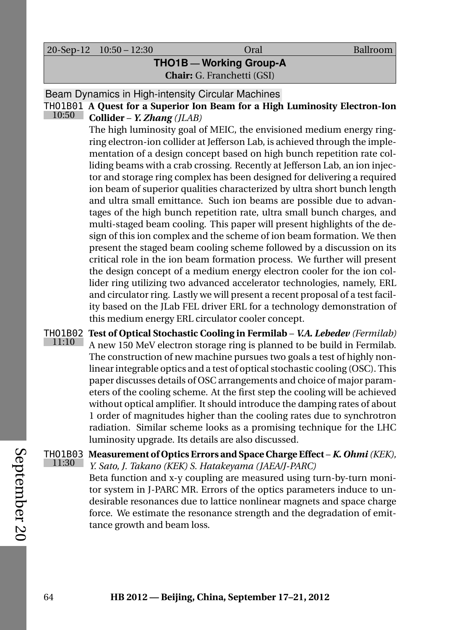20-Sep-12 10:50 – 12:30 Oral Ballroom

# **THO1B — Working Group-A Chair:** G. Franchetti (GSI)

Beam Dynamics in High-intensity Circular Machines

THO1B01 **A Quest for a Superior Ion Beam for a High Luminosity Electron-Ion** 10:50 **Collider** – *Y. Zhang (JLAB)*

> <span id="page-83-2"></span>The high luminosity goal of MEIC, the envisioned medium energy ringring electron-ion collider at Jefferson Lab, is achieved through the implementation of a design concept based on high bunch repetition rate colliding beams with a crab crossing. Recently at Jefferson Lab, an ion injector and storage ring complex has been designed for delivering a required ion beam of superior qualities characterized by ultra short bunch length and ultra small emittance. Such ion beams are possible due to advantages of the high bunch repetition rate, ultra small bunch charges, and multi-staged beam cooling. This paper will present highlights of the design of this ion complex and the scheme of ion beam formation. We then present the staged beam cooling scheme followed by a discussion on its critical role in the ion beam formation process. We further will present the design concept of a medium energy electron cooler for the ion collider ring utilizing two advanced accelerator technologies, namely, ERL and circulator ring. Lastly we will present a recent proposal of a test facility based on the JLab FEL driver ERL for a technology demonstration of this medium energy ERL circulator cooler concept.

<span id="page-83-1"></span>THO1B02 **Test of Optical Stochastic Cooling in Fermilab** – *V.A. Lebedev (Fermilab)* 11:10 A new 150 MeV electron storage ring is planned to be build in Fermilab. The construction of new machine pursues two goals a test of highly nonlinear integrable optics and a test of optical stochastic cooling (OSC). This paper discusses details of OSC arrangements and choice of major parameters of the cooling scheme. At the first step the cooling will be achieved without optical amplifier. It should introduce the damping rates of about 1 order of magnitudes higher than the cooling rates due to synchrotron radiation. Similar scheme looks as a promising technique for the LHC luminosity upgrade. Its details are also discussed.

<span id="page-83-0"></span>THO1B03 **Measurement of Optics Errors and Space Charge Effect** – *K. Ohmi(KEK),* 11:30 *Y. Sato, J. Takano (KEK) S. Hatakeyama (JAEA/J-PARC)* Beta function and x-y coupling are measured using turn-by-turn monitor system in J-PARC MR. Errors of the optics parameters induce to undesirable resonances due to lattice nonlinear magnets and space charge force. We estimate the resonance strength and the degradation of emittance growth and beam loss.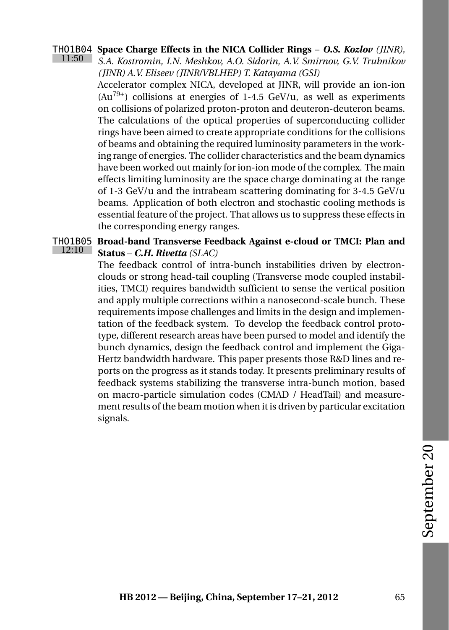#### <span id="page-84-0"></span>THO1B04 **Space Charge Effects in the NICA Collider Rings** – *O.S. Kozlov (JINR),* 11:50 *S.A. Kostromin, I.N. Meshkov, A.O. Sidorin, A.V. Smirnov, G.V. Trubnikov (JINR) A.V. Eliseev (JINR/VBLHEP) T. Katayama (GSI)*

Accelerator complex NICA, developed at JINR, will provide an ion-ion  $(Au^{79+})$  collisions at energies of 1-4.5 GeV/u, as well as experiments on collisions of polarized proton-proton and deuteron-deuteron beams. The calculations of the optical properties of superconducting collider rings have been aimed to create appropriate conditions for the collisions of beams and obtaining the required luminosity parameters in the working range of energies. The collider characteristics and the beam dynamics have been worked out mainly for ion-ion mode of the complex. The main effects limiting luminosity are the space charge dominating at the range of 1-3 GeV/u and the intrabeam scattering dominating for 3-4.5 GeV/u beams. Application of both electron and stochastic cooling methods is essential feature of the project. That allows us to suppress these effects in the corresponding energy ranges.

#### <span id="page-84-1"></span>THO1B05 **Broad-band Transverse Feedback Against e-cloud or TMCI: Plan and** 12:10 **Status** – *C.H. Rivetta (SLAC)*

The feedback control of intra-bunch instabilities driven by electronclouds or strong head-tail coupling (Transverse mode coupled instabilities, TMCI) requires bandwidth sufficient to sense the vertical position and apply multiple corrections within a nanosecond-scale bunch. These requirements impose challenges and limits in the design and implementation of the feedback system. To develop the feedback control prototype, different research areas have been pursed to model and identify the bunch dynamics, design the feedback control and implement the Giga-Hertz bandwidth hardware. This paper presents those R&D lines and reports on the progress as it stands today. It presents preliminary results of feedback systems stabilizing the transverse intra-bunch motion, based on macro-particle simulation codes (CMAD / HeadTail) and measurement results of the beam motion when it is driven by particular excitation signals.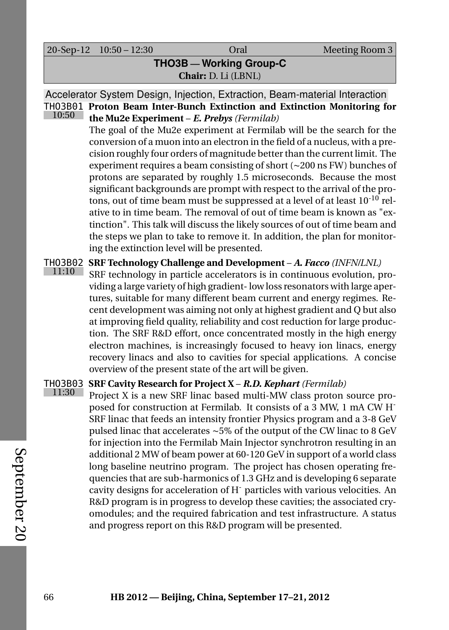20-Sep-12 10:50 – 12:30 Oral Meeting Room 3

## **THO3B — Working Group-C Chair:** D. Li (LBNL)

Accelerator System Design, Injection, Extraction, Beam-material Interaction THO3B01 **Proton Beam Inter-Bunch Extinction and Extinction Monitoring for** 10:50 **the Mu2e Experiment** – *E. Prebys (Fermilab)*

> <span id="page-85-2"></span>The goal of the Mu2e experiment at Fermilab will be the search for the conversion of a muon into an electron in the field of a nucleus, with a precision roughly four orders of magnitude better than the current limit. The experiment requires a beam consisting of short (∼200 ns FW) bunches of protons are separated by roughly 1.5 microseconds. Because the most significant backgrounds are prompt with respect to the arrival of the protons, out of time beam must be suppressed at a level of at least  $10^{-10}$  relative to in time beam. The removal of out of time beam is known as "extinction". This talk will discuss the likely sources of out of time beam and the steps we plan to take to remove it. In addition, the plan for monitoring the extinction level will be presented.

<span id="page-85-0"></span>THO3B02 **SRF Technology Challenge and Development** – *A. Facco (INFN/LNL)*

11:10 SRF technology in particle accelerators is in continuous evolution, providing a large variety of high gradient- low loss resonators with large apertures, suitable for many different beam current and energy regimes. Recent development was aiming not only at highest gradient and Q but also at improving field quality, reliability and cost reduction for large production. The SRF R&D effort, once concentrated mostly in the high energy electron machines, is increasingly focused to heavy ion linacs, energy recovery linacs and also to cavities for special applications. A concise overview of the present state of the art will be given.

#### <span id="page-85-1"></span>THO3B03 **SRF Cavity Research for Project X** – *R.D. Kephart (Fermilab)* 11:30

Project X is a new SRF linac based multi-MW class proton source proposed for construction at Fermilab. It consists of a 3 MW, 1 mA CW H-SRF linac that feeds an intensity frontier Physics program and a 3-8 GeV pulsed linac that accelerates ∼5% of the output of the CW linac to 8 GeV for injection into the Fermilab Main Injector synchrotron resulting in an additional 2 MW of beam power at 60-120 GeV in support of a world class long baseline neutrino program. The project has chosen operating frequencies that are sub-harmonics of 1.3 GHz and is developing 6 separate cavity designs for acceleration of H- particles with various velocities. An R&D program is in progress to develop these cavities; the associated cryomodules; and the required fabrication and test infrastructure. A status and progress report on this R&D program will be presented.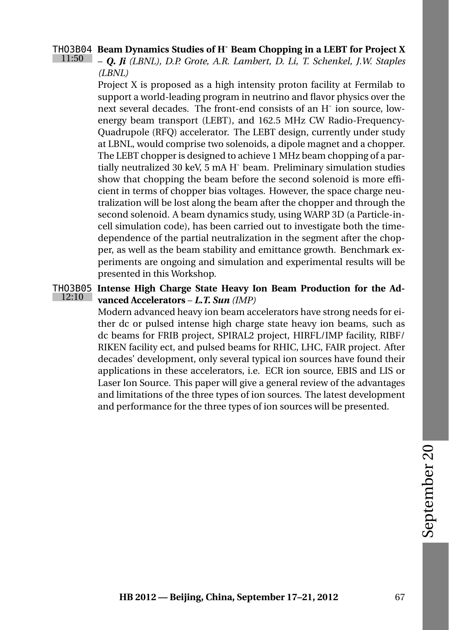#### <span id="page-86-0"></span>THO3B04 **Beam Dynamics Studies of H- Beam Chopping in a LEBT for Project X** 11:50

– *Q. Ji (LBNL), D.P. Grote, A.R. Lambert, D. Li, T. Schenkel, J.W. Staples (LBNL)*

Project X is proposed as a high intensity proton facility at Fermilab to support a world-leading program in neutrino and flavor physics over the next several decades. The front-end consists of an H-ion source, lowenergy beam transport (LEBT), and 162.5 MHz CW Radio-Frequency-Quadrupole (RFQ) accelerator. The LEBT design, currently under study at LBNL, would comprise two solenoids, a dipole magnet and a chopper. The LEBT chopper is designed to achieve 1 MHz beam chopping of a partially neutralized 30 keV, 5 mA H- beam. Preliminary simulation studies show that chopping the beam before the second solenoid is more efficient in terms of chopper bias voltages. However, the space charge neutralization will be lost along the beam after the chopper and through the second solenoid. A beam dynamics study, using WARP 3D (a Particle-incell simulation code), has been carried out to investigate both the timedependence of the partial neutralization in the segment after the chopper, as well as the beam stability and emittance growth. Benchmark experiments are ongoing and simulation and experimental results will be presented in this Workshop.

#### <span id="page-86-1"></span>THO3B05 **Intense High Charge State Heavy Ion Beam Production for the Ad-**12:10 **vanced Accelerators** – *L.T. Sun (IMP)*

Modern advanced heavy ion beam accelerators have strong needs for either dc or pulsed intense high charge state heavy ion beams, such as dc beams for FRIB project, SPIRAL2 project, HIRFL/IMP facility, RIBF/ RIKEN facility ect, and pulsed beams for RHIC, LHC, FAIR project. After decades' development, only several typical ion sources have found their applications in these accelerators, i.e. ECR ion source, EBIS and LIS or Laser Ion Source. This paper will give a general review of the advantages and limitations of the three types of ion sources. The latest development and performance for the three types of ion sources will be presented.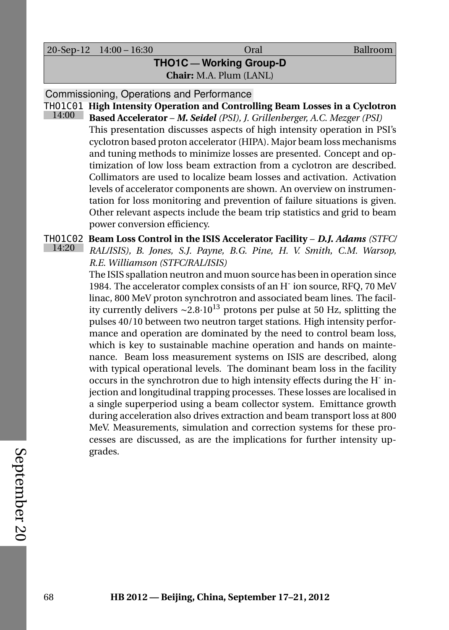20-Sep-12 14:00 – 16:30 Oral Ballroom

### **THO1C — Working Group-D Chair:** M.A. Plum (LANL)

Commissioning, Operations and Performance

<span id="page-87-1"></span>THO1C01 **High Intensity Operation and Controlling Beam Losses in a Cyclotron** 14:00 **Based Accelerator** – *M. Seidel (PSI), J. Grillenberger, A.C. Mezger (PSI)* This presentation discusses aspects of high intensity operation in PSI's cyclotron based proton accelerator (HIPA). Major beam loss mechanisms and tuning methods to minimize losses are presented. Concept and optimization of low loss beam extraction from a cyclotron are described. Collimators are used to localize beam losses and activation. Activation levels of accelerator components are shown. An overview on instrumentation for loss monitoring and prevention of failure situations is given. Other relevant aspects include the beam trip statistics and grid to beam power conversion efficiency.

<span id="page-87-0"></span>THO1C02 **Beam Loss Control in the ISIS Accelerator Facility** – *D.J. Adams (STFC/* 14:20 *RAL/ISIS), B. Jones, S.J. Payne, B.G. Pine, H. V. Smith, C.M. Warsop, R.E. Williamson (STFC/RAL/ISIS)*

The ISIS spallation neutron and muon source has been in operation since 1984. The accelerator complex consists of an H<sup>-</sup> ion source, RFQ, 70 MeV linac, 800 MeV proton synchrotron and associated beam lines. The facility currently delivers ∼2.8·10<sup>13</sup> protons per pulse at 50 Hz, splitting the pulses 40/10 between two neutron target stations. High intensity performance and operation are dominated by the need to control beam loss, which is key to sustainable machine operation and hands on maintenance. Beam loss measurement systems on ISIS are described, along with typical operational levels. The dominant beam loss in the facility occurs in the synchrotron due to high intensity effects during the H<sup>-</sup> injection and longitudinal trapping processes. These losses are localised in a single superperiod using a beam collector system. Emittance growth during acceleration also drives extraction and beam transport loss at 800 MeV. Measurements, simulation and correction systems for these processes are discussed, as are the implications for further intensity upgrades.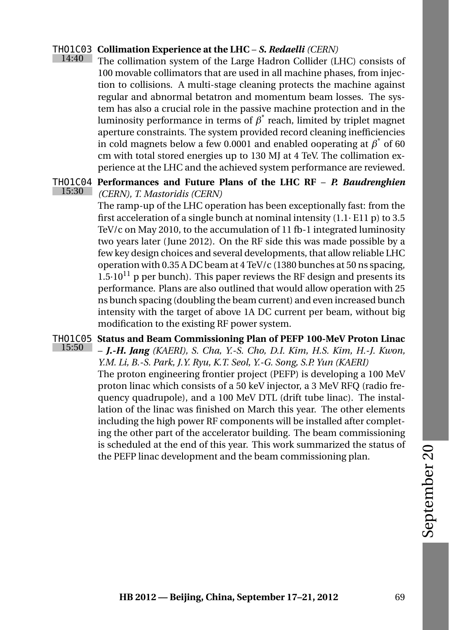#### <span id="page-88-2"></span>THO1C03 **Collimation Experience at the LHC** – *S. Redaelli (CERN)* 14:40

The collimation system of the Large Hadron Collider (LHC) consists of 100 movable collimators that are used in all machine phases, from injection to collisions. A multi-stage cleaning protects the machine against regular and abnormal betatron and momentum beam losses. The system has also a crucial role in the passive machine protection and in the luminosity performance in terms of  $\beta^*$  reach, limited by triplet magnet aperture constraints. The system provided record cleaning inefficiencies in cold magnets below a few 0.0001 and enabled ooperating at  $\beta^*$  of 60 cm with total stored energies up to 130 MJ at 4 TeV. The collimation experience at the LHC and the achieved system performance are reviewed.

#### <span id="page-88-0"></span>THO1C04 **Performances and Future Plans of the LHC RF** – *P. Baudrenghien* 15:30 *(CERN), T. Mastoridis (CERN)*

The ramp-up of the LHC operation has been exceptionally fast: from the first acceleration of a single bunch at nominal intensity  $(1.1 \cdot E11 p)$  to 3.5 TeV/c on May 2010, to the accumulation of 11 fb-1 integrated luminosity two years later (June 2012). On the RF side this was made possible by a few key design choices and several developments, that allow reliable LHC operation with 0.35 A DC beam at 4 TeV/c (1380 bunches at 50 ns spacing,  $1.5 \cdot 10^{11}$  p per bunch). This paper reviews the RF design and presents its performance. Plans are also outlined that would allow operation with 25 ns bunch spacing (doubling the beam current) and even increased bunch intensity with the target of above 1A DC current per beam, without big modification to the existing RF power system.

<span id="page-88-1"></span>THO1C05 **Status and Beam Commissioning Plan of PEFP 100-MeV Proton Linac** 15:50 – *J.-H. Jang (KAERI), S. Cha, Y.-S. Cho, D.I. Kim, H.S. Kim, H.-J. Kwon, Y.M. Li, B.-S. Park, J.Y. Ryu, K.T. Seol, Y.-G. Song, S.P. Yun (KAERI)* The proton engineering frontier project (PEFP) is developing a 100 MeV proton linac which consists of a 50 keV injector, a 3 MeV RFQ (radio frequency quadrupole), and a 100 MeV DTL (drift tube linac). The installation of the linac was finished on March this year. The other elements including the high power RF components will be installed after completing the other part of the accelerator building. The beam commissioning is scheduled at the end of this year. This work summarized the status of the PEFP linac development and the beam commissioning plan.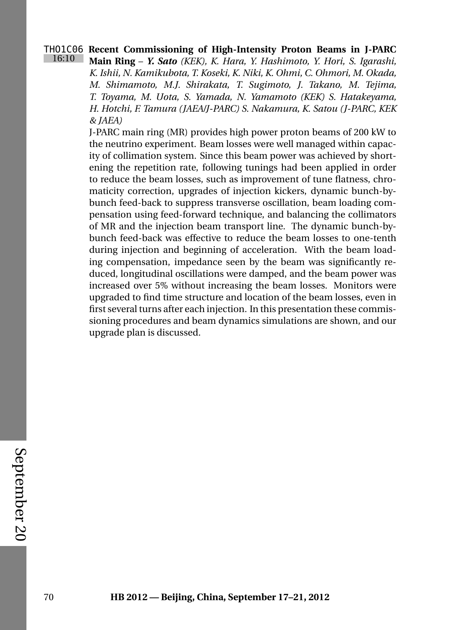### <span id="page-89-0"></span>THO1C06 **Recent Commissioning of High-Intensity Proton Beams in J-PARC** 16:10 **Main Ring** – *Y. Sato (KEK), K. Hara, Y. Hashimoto, Y. Hori, S. Igarashi, K. Ishii, N. Kamikubota, T. Koseki, K. Niki, K. Ohmi, C. Ohmori, M. Okada, M. Shimamoto, M.J. Shirakata, T. Sugimoto, J. Takano, M. Tejima, T. Toyama, M. Uota, S. Yamada, N. Yamamoto (KEK) S. Hatakeyama, H. Hotchi, F. Tamura (JAEA/J-PARC) S. Nakamura, K. Satou (J-PARC, KEK*

*& JAEA)*

J-PARC main ring (MR) provides high power proton beams of 200 kW to the neutrino experiment. Beam losses were well managed within capacity of collimation system. Since this beam power was achieved by shortening the repetition rate, following tunings had been applied in order to reduce the beam losses, such as improvement of tune flatness, chromaticity correction, upgrades of injection kickers, dynamic bunch-bybunch feed-back to suppress transverse oscillation, beam loading compensation using feed-forward technique, and balancing the collimators of MR and the injection beam transport line. The dynamic bunch-bybunch feed-back was effective to reduce the beam losses to one-tenth during injection and beginning of acceleration. With the beam loading compensation, impedance seen by the beam was significantly reduced, longitudinal oscillations were damped, and the beam power was increased over 5% without increasing the beam losses. Monitors were upgraded to find time structure and location of the beam losses, even in first several turns after each injection. In this presentation these commissioning procedures and beam dynamics simulations are shown, and our upgrade plan is discussed.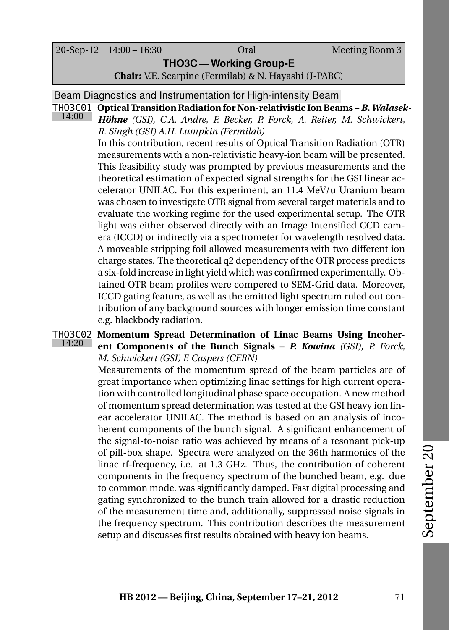20-Sep-12 14:00 – 16:30 Oral Meeting Room 3

**THO3C — Working Group-E**

<span id="page-90-0"></span>**Chair:** V.E. Scarpine (Fermilab) & N. Hayashi (J-PARC)

Beam Diagnostics and Instrumentation for High-intensity Beam

THO3C01 **Optical Transition Radiation for Non-relativistic Ion Beams** – *B. Walasek-*14:00 *Höhne (GSI), C.A. Andre, F. Becker, P. Forck, A. Reiter, M. Schwickert, R. Singh (GSI) A.H. Lumpkin (Fermilab)*

In this contribution, recent results of Optical Transition Radiation (OTR) measurements with a non-relativistic heavy-ion beam will be presented. This feasibility study was prompted by previous measurements and the theoretical estimation of expected signal strengths for the GSI linear accelerator UNILAC. For this experiment, an 11.4 MeV/u Uranium beam was chosen to investigate OTR signal from several target materials and to evaluate the working regime for the used experimental setup. The OTR light was either observed directly with an Image Intensified CCD camera (ICCD) or indirectly via a spectrometer for wavelength resolved data. A moveable stripping foil allowed measurements with two different ion charge states. The theoretical q2 dependency of the OTR process predicts a six-fold increase in light yield which was confirmed experimentally. Obtained OTR beam profiles were compered to SEM-Grid data. Moreover, ICCD gating feature, as well as the emitted light spectrum ruled out contribution of any background sources with longer emission time constant e.g. blackbody radiation.

#### <span id="page-90-1"></span>THO3C02 **Momentum Spread Determination of Linac Beams Using Incoher-** $14:20$ **ent Components of the Bunch Signals** – *P. Kowina (GSI), P. Forck, M. Schwickert (GSI) F. Caspers (CERN)*

Measurements of the momentum spread of the beam particles are of great importance when optimizing linac settings for high current operation with controlled longitudinal phase space occupation. A new method of momentum spread determination was tested at the GSI heavy ion linear accelerator UNILAC. The method is based on an analysis of incoherent components of the bunch signal. A significant enhancement of the signal-to-noise ratio was achieved by means of a resonant pick-up of pill-box shape. Spectra were analyzed on the 36th harmonics of the linac rf-frequency, i.e. at 1.3 GHz. Thus, the contribution of coherent components in the frequency spectrum of the bunched beam, e.g. due to common mode, was significantly damped. Fast digital processing and gating synchronized to the bunch train allowed for a drastic reduction of the measurement time and, additionally, suppressed noise signals in the frequency spectrum. This contribution describes the measurement setup and discusses first results obtained with heavy ion beams.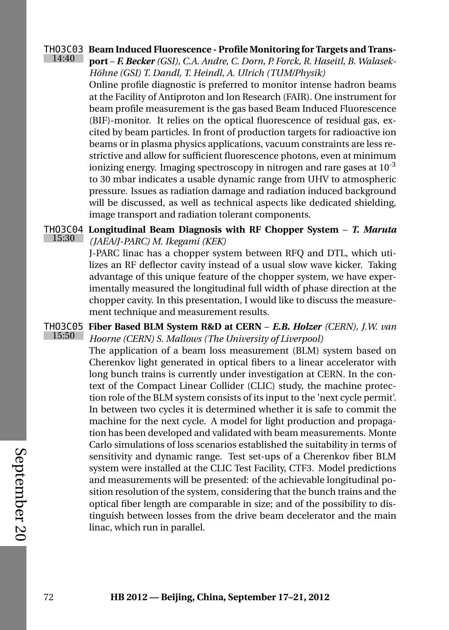### <span id="page-91-0"></span>THO3C03 **Beam Induced Fluorescence - Profile Monitoring for Targets and Trans-**

14:40 **port** – *F. Becker (GSI), C.A. Andre, C. Dorn, P. Forck, R. Haseitl, B. Walasek-Höhne (GSI) T. Dandl, T. Heindl, A. Ulrich (TUM/Physik)*

> Online profile diagnostic is preferred to monitor intense hadron beams at the Facility of Antiproton and Ion Research (FAIR). One instrument for beam profile measurement is the gas based Beam Induced Fluorescence (BIF)-monitor. It relies on the optical fluorescence of residual gas, excited by beam particles. In front of production targets for radioactive ion beams or in plasma physics applications, vacuum constraints are less restrictive and allow for sufficient fluorescence photons, even at minimum ionizing energy. Imaging spectroscopy in nitrogen and rare gases at  $10^{-3}$ to 30 mbar indicates a usable dynamic range from UHV to atmospheric pressure. Issues as radiation damage and radiation induced background will be discussed, as well as technical aspects like dedicated shielding, image transport and radiation tolerant components.

#### <span id="page-91-2"></span>THO3C04 15:30 **Longitudinal Beam Diagnosis with RF Chopper System** – *T. Maruta (JAEA/J-PARC) M. Ikegami (KEK)*

J-PARC linac has a chopper system between RFQ and DTL, which utilizes an RF deflector cavity instead of a usual slow wave kicker. Taking advantage of this unique feature of the chopper system, we have experimentally measured the longitudinal full width of phase direction at the chopper cavity. In this presentation, I would like to discuss the measurement technique and measurement results.

<span id="page-91-1"></span>THO3C05 **Fiber Based BLM System R&D at CERN** – *E.B. Holzer (CERN), J.W. van*  $15:50$ *Hoorne (CERN) S. Mallows (The University of Liverpool)*

The application of a beam loss measurement (BLM) system based on Cherenkov light generated in optical fibers to a linear accelerator with long bunch trains is currently under investigation at CERN. In the context of the Compact Linear Collider (CLIC) study, the machine protection role of the BLM system consists of its input to the 'next cycle permit'. In between two cycles it is determined whether it is safe to commit the machine for the next cycle. A model for light production and propagation has been developed and validated with beam measurements. Monte Carlo simulations of loss scenarios established the suitability in terms of sensitivity and dynamic range. Test set-ups of a Cherenkov fiber BLM system were installed at the CLIC Test Facility, CTF3. Model predictions and measurements will be presented: of the achievable longitudinal position resolution of the system, considering that the bunch trains and the optical fiber length are comparable in size; and of the possibility to distinguish between losses from the drive beam decelerator and the main linac, which run in parallel.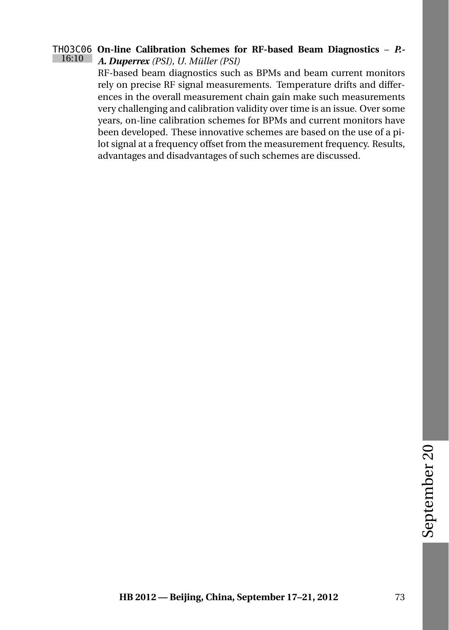#### <span id="page-92-0"></span>THO3C06 **On-line Calibration Schemes for RF-based Beam Diagnostics** – *P.-* 16:10 *A. Duperrex (PSI), U. Müller (PSI)*

RF-based beam diagnostics such as BPMs and beam current monitors rely on precise RF signal measurements. Temperature drifts and differences in the overall measurement chain gain make such measurements very challenging and calibration validity over time is an issue. Over some years, on-line calibration schemes for BPMs and current monitors have been developed. These innovative schemes are based on the use of a pilot signal at a frequency offset from the measurement frequency. Results, advantages and disadvantages of such schemes are discussed.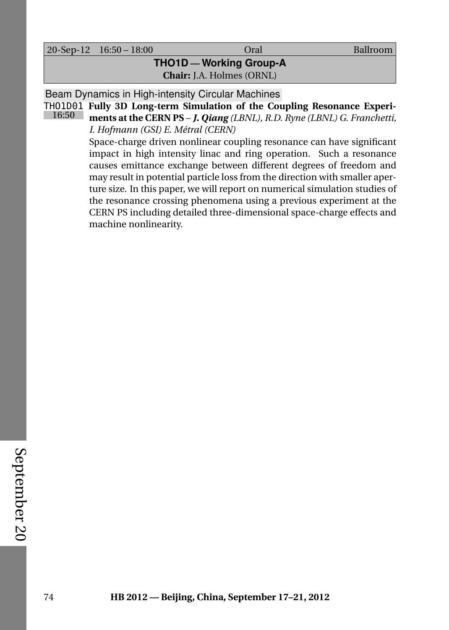20-Sep-12 16:50 – 18:00 Oral Ballroom

# **THO1D — Working Group-A Chair:** J.A. Holmes (ORNL)

Beam Dynamics in High-intensity Circular Machines

THO1D01 **Fully 3D Long-term Simulation of the Coupling Resonance Experi-**16:50

<span id="page-93-0"></span>**ments at the CERN PS** – *J. Qiang (LBNL), R.D. Ryne (LBNL) G. Franchetti, I. Hofmann (GSI) E. Métral (CERN)*

Space-charge driven nonlinear coupling resonance can have significant impact in high intensity linac and ring operation. Such a resonance causes emittance exchange between different degrees of freedom and may result in potential particle loss from the direction with smaller aperture size. In this paper, we will report on numerical simulation studies of the resonance crossing phenomena using a previous experiment at the CERN PS including detailed three-dimensional space-charge effects and machine nonlinearity.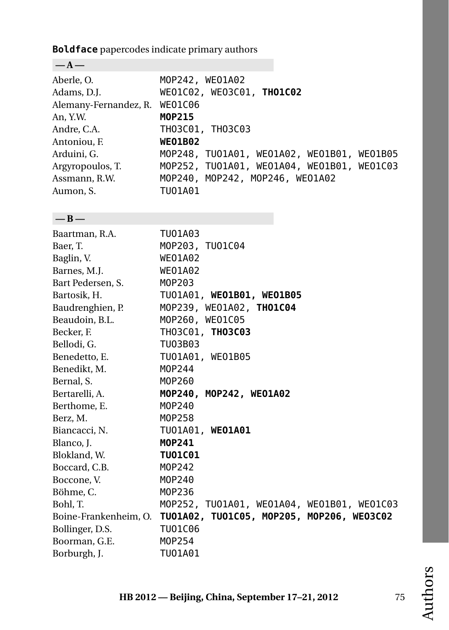**Boldface** papercodes indicate primary authors

| $-A-$                 |                                            |
|-----------------------|--------------------------------------------|
| Aberle, O.            | MOP242, WE01A02                            |
| Adams, D.J.           | WE01C02, WE03C01, THO1C02                  |
| Alemany-Fernandez, R. | <b>WEO1C06</b>                             |
| An, Y.W.              | M0P215                                     |
| Andre, C.A.           | TH03C01, TH03C03                           |
| Antoniou, F.          | <b>WEO1B02</b>                             |
| Arduini, G.           | MOP248, TU01A01, WE01A02, WE01B01, WE01B05 |
| Argyropoulos, T.      | MOP252, TU01A01, WE01A04, WE01B01, WE01C03 |
| Assmann, R.W.         | MOP240, MOP242, MOP246, WE01A02            |
| Aumon, S.             | TU01A01                                    |
|                       |                                            |
| $-B-$                 |                                            |
| Baartman, R.A.        | TU01A03                                    |
| Baer, T.              | MOP203, TU01C04                            |
| Baglin, V.            | <b>WEO1A02</b>                             |
| Barnes, M.J.          | <b>WEO1A02</b>                             |
| Bart Pedersen, S.     | M0P203                                     |
| Bartosik, H.          | TU01A01, WE01B01, WE01B05                  |
| Baudrenghien, P.      | MOP239, WE01A02, THO1C04                   |
| Beaudoin, B.L.        | MOP260, WE01C05                            |
| Becker, F.            | TH03C01, TH03C03                           |
| Bellodi, G.           | TU03B03                                    |
| Benedetto, E.         | TU01A01, WE01B05                           |
| Benedikt, M.          | M0P244                                     |
| Bernal, S.            | M0P260                                     |
| Bertarelli, A.        | MOP240, MOP242, WE01A02                    |
| Berthome, E.          | M0P240                                     |
| Berz, M.              | M0P258                                     |
| Biancacci, N.         | TU01A01, WE01A01                           |
| Blanco, J.            | M0P241                                     |
| Blokland, W.          | <b>TU01C01</b>                             |
| Boccard, C.B.         | M0P242                                     |
| Boccone, V.           | M0P240                                     |
| Böhme, C.             | M0P236                                     |
| Bohl, T.              | M0P252, TU01A01, WE01A04, WE01B01, WE01C03 |
| Boine-Frankenheim, O. | TU01A02, TU01C05, MOP205, MOP206, WE03C02  |
| Bollinger, D.S.       | TU01C06                                    |
| Boorman, G.E.         | M0P254                                     |
| Borburgh, J.          | TU01A01                                    |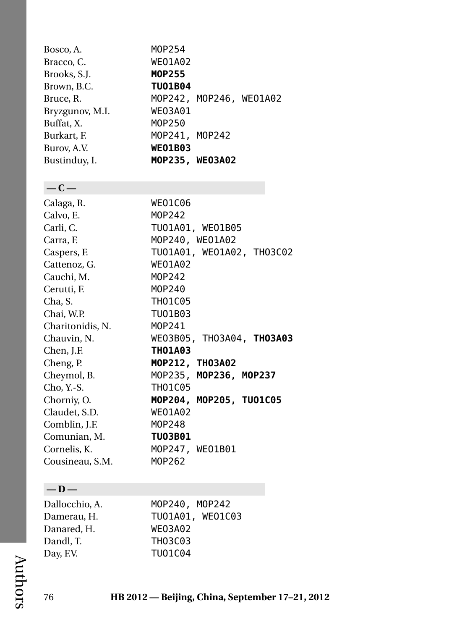| Bosco, A.       | M0P254                  |  |
|-----------------|-------------------------|--|
| Bracco, C.      | <b>WEO1A02</b>          |  |
| Brooks, S.J.    | MOP255                  |  |
| Brown, B.C.     | <b>TU01B04</b>          |  |
| Bruce, R.       | MOP242, MOP246, WE01A02 |  |
| Bryzgunov, M.I. | <b>WE03A01</b>          |  |
| Buffat, X.      | M0P250                  |  |
| Burkart, F.     | MOP241, MOP242          |  |
| Burov, A.V.     | <b>WEO1B03</b>          |  |
| Bustinduy, I.   | MOP235, WE03A02         |  |
|                 |                         |  |
|                 |                         |  |

### **— C —**

| Calaga, R.       | <b>WEO1C06</b>            |
|------------------|---------------------------|
| Calvo, E.        | M0P242                    |
| Carli, C.        | TU01A01, WE01B05          |
| Carra, F.        | MOP240, WEO1A02           |
| Caspers, F.      | TU01A01, WE01A02, TH03C02 |
| Cattenoz, G.     | <b>WEO1A02</b>            |
| Cauchi, M.       | M0P242                    |
| Cerutti, F.      | M0P240                    |
| Cha, S.          | <b>THO1C05</b>            |
| Chai, W.P.       | TU01B03                   |
| Charitonidis, N. | M0P241                    |
| Chauvin, N.      | WE03B05, TH03A04, TH03A03 |
| Chen, J.F.       | <b>THO1A03</b>            |
| Cheng, P.        | MOP212, TH03A02           |
| Cheymol, B.      | MOP235, MOP236, MOP237    |
| Cho, Y.-S.       | <b>THO1C05</b>            |
| Chorniy, O.      | MOP204, MOP205, TU01C05   |
| Claudet, S.D.    | <b>WEO1A02</b>            |
| Comblin, J.F.    | M0P248                    |
| Comunian, M.     | <b>TU03B01</b>            |
| Cornelis, K.     | MOP247, WEO1B01           |
| Cousineau, S.M.  | M0P262                    |

## **— D —**

| MOP240, MOP242   |
|------------------|
| TU01A01, WE01C03 |
| <b>WE03A02</b>   |
| TH03C03          |
| TU01C04          |
|                  |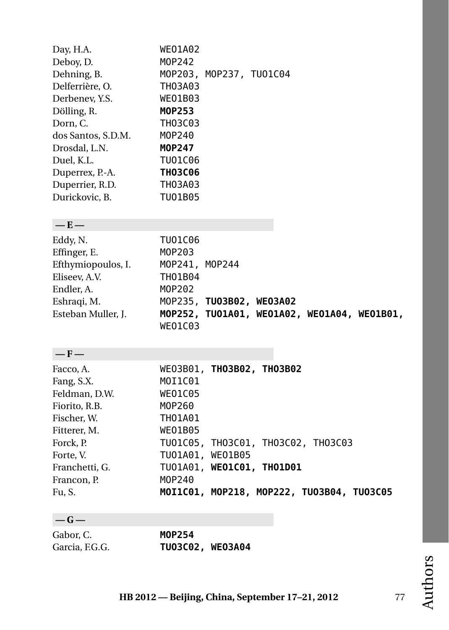| Day, H.A.<br>Deboy, D.<br>Dehning, B.<br>Delferrière, O.<br>Derbenev, Y.S.<br>Dölling, R.<br>Dorn, C.<br>dos Santos, S.D.M.<br>Drosdal, L.N.<br>Duel, K.L.<br>Duperrex, P.-A.<br>Duperrier, R.D.<br>Durickovic, B. | <b>WEO1A02</b><br>M0P242<br>MOP203, MOP237, TU01C04<br>TH03A03<br>WE01B03<br>MOP253<br>TH03C03<br>M0P240<br><b>MOP247</b><br>TU01C06<br><b>TH03C06</b><br>TH03A03<br>TU01B05 |
|--------------------------------------------------------------------------------------------------------------------------------------------------------------------------------------------------------------------|------------------------------------------------------------------------------------------------------------------------------------------------------------------------------|
| $-E-$                                                                                                                                                                                                              |                                                                                                                                                                              |
| Eddy, N.<br>Effinger, E.<br>Efthymiopoulos, I.<br>Eliseev, A.V.<br>Endler, A.<br>Eshraqi, M.<br>Esteban Muller, J.                                                                                                 | TU01C06<br>M0P203<br>MOP241, MOP244<br>TH01B04<br>M0P202<br>MOP235, TU03B02, WE03A02<br>MOP252, TU01A01, WE01A02, WE01A04, WE01B01,<br>WEO1C03                               |
| $-F-$                                                                                                                                                                                                              |                                                                                                                                                                              |
| Facco, A.<br>Fang, S.X.<br>Feldman, D.W.<br>Fiorito, R.B.<br>Fischer, W.<br>Fitterer, M.                                                                                                                           | WE03B01, TH03B02, TH03B02<br>MOI1C01<br><b>WEO1C05</b><br>M0P260<br>TH01A01<br>WE01B05                                                                                       |
| Forck, P.                                                                                                                                                                                                          | TU01C05, TH03C01, TH03C02, TH03C03                                                                                                                                           |
| Forte, V.<br>Franchetti, G.                                                                                                                                                                                        | TU01A01, WE01B05<br>TU01A01, WE01C01, TH01D01                                                                                                                                |
| Francon, P.                                                                                                                                                                                                        | M0P240                                                                                                                                                                       |
| Fu, S.                                                                                                                                                                                                             | MOI1C01, MOP218, MOP222, TU03B04, TU03C05                                                                                                                                    |
| $-G-$                                                                                                                                                                                                              |                                                                                                                                                                              |
| Gabor, C.                                                                                                                                                                                                          | M0P254                                                                                                                                                                       |
| Garcia, F.G.G.                                                                                                                                                                                                     | TU03C02, WE03A04                                                                                                                                                             |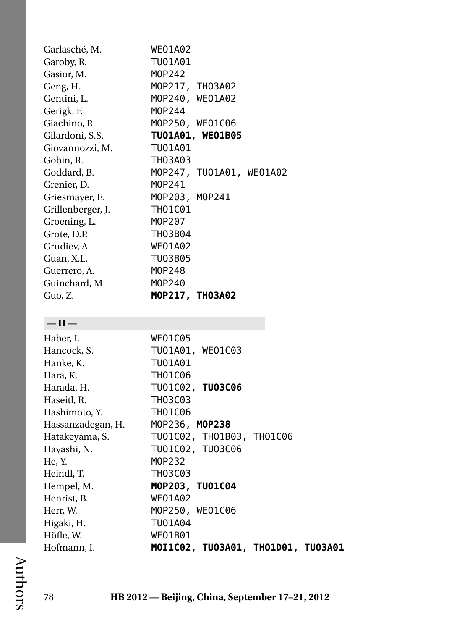| Garlasché, M.     | <b>WEO1A02</b>            |
|-------------------|---------------------------|
| Garoby, R.        | TU01A01                   |
| Gasior, M.        | M0P242                    |
| Geng, H.          | MOP217, TH03A02           |
| Gentini, L.       | MOP240, WEO1A02           |
| Gerigk, F.        | M0P244                    |
| Giachino, R.      | MOP250, WEO1C06           |
| Gilardoni, S.S.   | TU01A01, WE01B05          |
| Giovannozzi, M.   | TU01A01                   |
| Gobin, R.         | TH03A03                   |
| Goddard, B.       | MOP247, TU01A01, WE01A02  |
| Grenier, D.       | M0P241                    |
| Griesmayer, E.    | MOP203, MOP241            |
| Grillenberger, J. | TH01C01                   |
| Groening, L.      | M0P207                    |
| Grote, D.P.       | <b>TH03B04</b>            |
| Grudiev, A.       | <b>WEO1A02</b>            |
| Guan, X.L.        | TU03B05                   |
| Guerrero, A.      | M0P248                    |
| Guinchard, M.     | M0P240                    |
| Guo, Z.           | MOP217, TH03A02           |
|                   |                           |
| $-H-$             |                           |
| Haber, I.         | WE01C05                   |
| Hancock, S.       | TU01A01, WE01C03          |
| Hanke, K.         | TU01A01                   |
| Hara, K.          | TH01C06                   |
| Harada, H.        | TU01C02, TU03C06          |
| Haseitl, R.       | TH03C03                   |
| Hashimoto, Y.     | THO1C06                   |
| Hassanzadegan, H. | MOP236, MOP238            |
| Hatakeyama, S.    | TU01C02, TH01B03, TH01C06 |
| Hayashi, N.       | TU01C02, TU03C06          |
| He, Y.            | M0P232                    |
| Heindl, T.        | TH03C03                   |
| Hempel, M.        | MOP203, TU01C04           |
| Henrist, B.       | <b>WEO1A02</b>            |
| Herr, W.          | MOP250, WE01C06           |

Higaki, H. [TUO1A04](#page-54-0)<br>Höfle, W. WEO1B01 Höfle, W. [WEO1B01](#page-69-1)<br>Hofmann, I. **MOI1C02** Hofmann, I. **[MOI1C02,](#page-29-1) [TUO3A01,](#page-55-0) [THO1D01,](#page-93-0) [TUO3A01](#page-55-0)**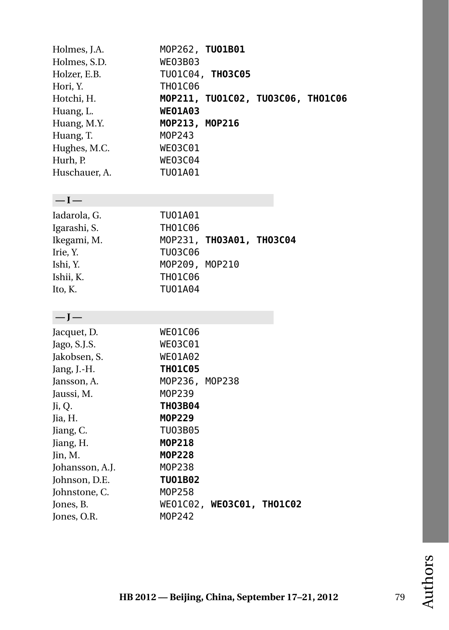| Holmes, J.A.<br>Holmes, S.D.<br>Holzer, E.B. | <b>WE03B03</b>                   | MOP262, TU01B01<br>TU01C04, TH03C05 |  |
|----------------------------------------------|----------------------------------|-------------------------------------|--|
| Hori, Y.                                     | <b>TH01C06</b>                   |                                     |  |
| Hotchi, H.                                   |                                  | MOP211, TU01C02, TU03C06, TH01C06   |  |
| Huang, L.<br>Huang, M.Y.                     | <b>WEO1A03</b><br>MOP213, MOP216 |                                     |  |
| Huang, T.                                    | M0P243                           |                                     |  |
| Hughes, M.C.                                 | WE03C01                          |                                     |  |
| Hurh, P.                                     | <b>WE03C04</b>                   |                                     |  |
| Huschauer, A.                                | TU01A01                          |                                     |  |
| $-I-$                                        |                                  |                                     |  |
| Iadarola, G.                                 | TU01A01                          |                                     |  |
| Igarashi, S.                                 | <b>TH01C06</b>                   |                                     |  |
| Ikegami, M.                                  |                                  | МОР231, ТНОЗА01, ТНОЗС04            |  |
| Irie, Y.                                     | TU03C06                          |                                     |  |
| Ishi, Y.                                     | MOP209, MOP210                   |                                     |  |
| Ishii, K.                                    | TH01C06                          |                                     |  |
| Ito, K.                                      | TU01A04                          |                                     |  |
| $-J-$                                        |                                  |                                     |  |
| Jacquet, D.                                  | WEO1C06                          |                                     |  |
| Jago, S.J.S.                                 | WE03C01                          |                                     |  |
| Jakobsen, S.                                 | <b>WEO1A02</b>                   |                                     |  |
| Jang, J.-H.                                  | <b>THO1C05</b>                   |                                     |  |
| Jansson, A.                                  | MOP236, MOP238                   |                                     |  |
| Jaussi, M.                                   | M0P239                           |                                     |  |
| Ji, Q.                                       | <b>TH03B04</b>                   |                                     |  |
| Jia, H.                                      | MOP229                           |                                     |  |
| Jiang, C.<br>Jiang, H.                       | TU03B05<br>MOP218                |                                     |  |
| Jin, M.                                      | M0P228                           |                                     |  |
| Johansson, A.J.                              | M0P238                           |                                     |  |
| Johnson, D.E.                                | <b>TU01B02</b>                   |                                     |  |
| Johnstone, C.                                | M0P258                           |                                     |  |
| Jones, B.                                    |                                  | WE01C02, WE03C01, TH01C02           |  |
| Jones, O.R.                                  | M0P242                           |                                     |  |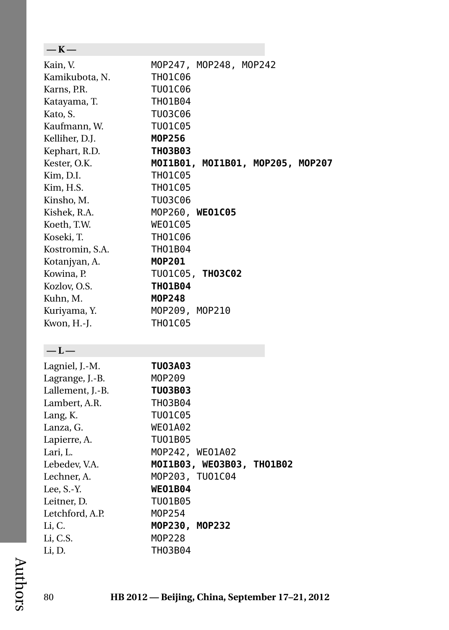| $-K-$            |                                  |
|------------------|----------------------------------|
| Kain, V.         | MOP247, MOP248, MOP242           |
| Kamikubota, N.   | TH01C06                          |
| Karns, P.R.      | TU01C06                          |
| Katayama, T.     | TH01B04                          |
| Kato, S.         | TU03C06                          |
| Kaufmann, W.     | TU01C05                          |
| Kelliher, D.J.   | <b>MOP256</b>                    |
| Kephart, R.D.    | <b>TH03B03</b>                   |
| Kester, O.K.     | MOI1B01, MOI1B01, MOP205, MOP207 |
| Kim, D.I.        | <b>TH01C05</b>                   |
| Kim, H.S.        | TH01C05                          |
| Kinsho, M.       | TU03C06                          |
| Kishek, R.A.     | MOP260, WEO1C05                  |
| Koeth, T.W.      | <b>WEO1C05</b>                   |
| Koseki, T.       | TH01C06                          |
| Kostromin, S.A.  | TH01B04                          |
| Kotanjyan, A.    | MOP201                           |
| Kowina, P.       | TU01C05, TH03C02                 |
| Kozlov, O.S.     | <b>THO1B04</b>                   |
| Kuhn, M.         | <b>MOP248</b>                    |
| Kuriyama, Y.     | MOP209, MOP210                   |
| Kwon, H.-J.      | <b>TH01C05</b>                   |
|                  |                                  |
| $-L-$            |                                  |
| Lagniel, J.-M.   | <b>TU03A03</b>                   |
| Lagrange, J.-B.  | M0P209                           |
| Lallement, J.-B. | <b>TU03B03</b>                   |
| Lambert, A.R.    | TH03B04                          |
| Lang, K.         | TU01C05                          |
| Lanza, G.        | <b>WEO1A02</b>                   |
| Lapierre, A.     | TU01B05                          |
| Lari, L.         | MOP242, WE01A02                  |
| Lebedev, V.A.    | MOI1B03, WE03B03, TH01B02        |
| Lechner, A.      | MOP203, TUO1C04                  |
| Lee, S.-Y.       | <b>WEO1B04</b>                   |
| Leitner, D.      | TU01B05                          |
| Letchford, A.P.  | M0P254                           |
| Li, C.           | MOP230, MOP232                   |
| Li, C.S.         | M0P228                           |
| Li, D.           | TH03B04                          |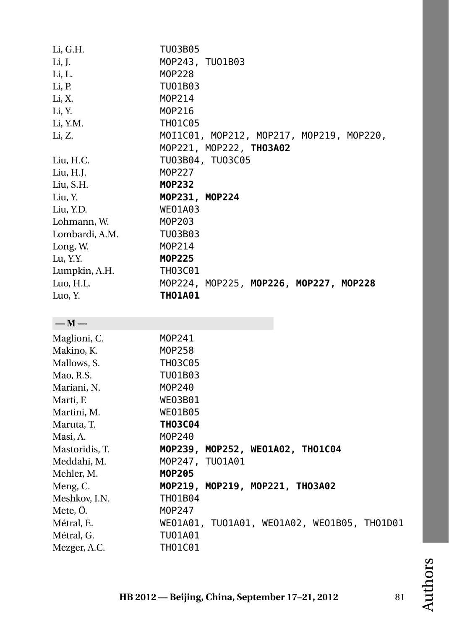| Li, G.H.       | TU03B05                                     |
|----------------|---------------------------------------------|
| Li, J.         | MOP243, TU01B03                             |
| Li, L.         | M0P228                                      |
| Li, P.         | TU01B03                                     |
| Li, X.         | M0P214                                      |
| Li, Y.         | M0P216                                      |
| Li, Y.M.       | <b>TH01C05</b>                              |
| Li, Z.         | MOI1C01, MOP212, MOP217, MOP219, MOP220,    |
|                | MOP221, MOP222, TH03A02                     |
| Liu, H.C.      | TU03B04, TU03C05                            |
| Liu, H.J.      | M0P227                                      |
| Liu, S.H.      | <b>MOP232</b>                               |
| Liu, Y.        | MOP231, MOP224                              |
| Liu, Y.D.      | <b>WEO1A03</b>                              |
| Lohmann, W.    | M0P203                                      |
| Lombardi, A.M. | TU03B03                                     |
| Long, W.       | M0P214                                      |
| Lu, Y.Y.       | <b>MOP225</b>                               |
| Lumpkin, A.H.  | <b>TH03C01</b>                              |
| Luo, H.L.      | MOP224, MOP225, MOP226, MOP227, MOP228      |
| Luo, Y.        | <b>THO1A01</b>                              |
|                |                                             |
| $-M-$          |                                             |
| Maglioni, C.   | M0P241                                      |
| Makino, K.     | M0P258                                      |
| Mallows, S.    | <b>TH03C05</b>                              |
| Mao, R.S.      | TU01B03                                     |
| Mariani, N.    | M0P240                                      |
| Marti, F.      | WE03B01                                     |
| Martini, M.    | <b>WEO1B05</b>                              |
| Maruta, T.     | <b>TH03C04</b>                              |
| Masi, A.       | M0P240                                      |
| Mastoridis, T. | MOP239, MOP252, WE01A02, THO1C04            |
| Meddahi, M.    | MOP247, TUO1A01                             |
| Mehler, M.     | MOP205                                      |
| Meng, C.       | MOP219, MOP219, MOP221, TH03A02             |
| Meshkov, I.N.  | THO1B04                                     |
| Mete, Ö.       | M0P247                                      |
| Métral, E.     | WE01A01, TU01A01, WE01A02, WE01B05, TH01D01 |
| Métral, G.     | TU01A01                                     |
| Mezger, A.C.   | TH01C01                                     |
|                |                                             |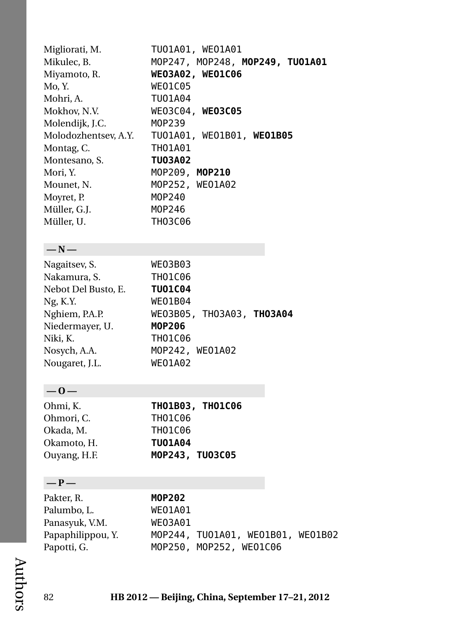| Migliorati, M.       | TU01A01, WE01A01                |
|----------------------|---------------------------------|
| Mikulec, B.          | MOP247, MOP248, MOP249, TUO1A01 |
| Miyamoto, R.         | WE03A02, WE01C06                |
| Mo, Y.               | <b>WEO1C05</b>                  |
| Mohri, A.            | TU01A04                         |
| Mokhov, N.V.         | WE03C04. WE03C05                |
| Molendijk, J.C.      | M0P239                          |
| Molodozhentsev, A.Y. | TU01A01, WE01B01, WE01B05       |
| Montag, C.           | <b>THO1A01</b>                  |
| Montesano, S.        | <b>TU03A02</b>                  |
| Mori, Y.             | MOP209, MOP210                  |
| Mounet, N.           | MOP252, WE01A02                 |
| Moyret, P.           | M0P240                          |
| Müller, G.J.         | M0P246                          |
| Müller, U.           | <b>TH03C06</b>                  |

## **— N —**

| Nagaitsev, S.       | <b>WE03B03</b>            |
|---------------------|---------------------------|
| Nakamura, S.        | <b>THO1C06</b>            |
| Nebot Del Busto, E. | <b>TU01C04</b>            |
| Ng, K.Y.            | <b>WEO1B04</b>            |
| Nghiem, P.A.P.      | WE03B05, TH03A03, TH03A04 |
| Niedermayer, U.     | MOP206                    |
| Niki, K.            | <b>TH01C06</b>            |
| Nosych, A.A.        | MOP242, WEO1A02           |
| Nougaret, J.L.      | <b>WEO1A02</b>            |

# **— O —**

| Ohmi, K.     | <b>THO1B03, THO1C06</b> |
|--------------|-------------------------|
| Ohmori. C.   | TH01C06                 |
| Okada, M.    | TH01C06                 |
| Okamoto, H.  | <b>TU01A04</b>          |
| Ouyang, H.F. | MOP243, TU03C05         |

## **— P —**

| Pakter, R.        | M0P202                            |
|-------------------|-----------------------------------|
| Palumbo. L.       | WEO1A01                           |
| Panasyuk, V.M.    | WE03A01                           |
| Papaphilippou, Y. | MOP244, TUO1A01, WEO1B01, WEO1B02 |
| Papotti, G.       | MOP250, MOP252, WEO1C06           |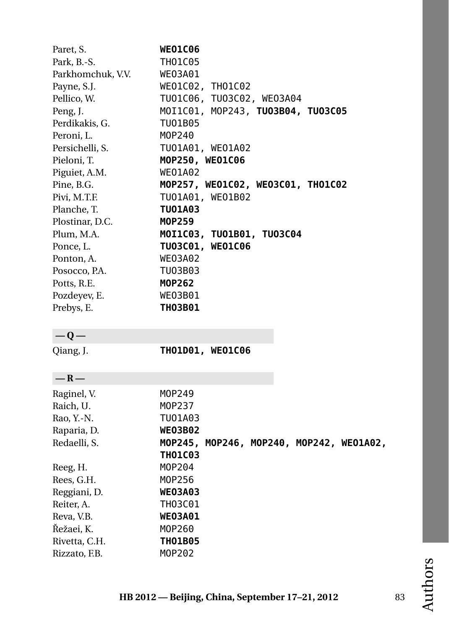| Paret, S.<br>Park, B.-S. | <b>WEO1C06</b><br><b>TH01C05</b>         |
|--------------------------|------------------------------------------|
| Parkhomchuk, V.V.        |                                          |
|                          | WE03A01                                  |
| Payne, S.J.              | WE01C02, TH01C02                         |
| Pellico, W.              | TU01C06, TU03C02, WE03A04                |
| Peng, J.                 | MOI1C01, MOP243, TU03B04, TU03C05        |
| Perdikakis, G.           | TU01B05                                  |
| Peroni, L.               | M0P240                                   |
| Persichelli, S.          | TU01A01, WE01A02                         |
| Pieloni, T.              | MOP250, WEO1C06                          |
| Piguiet, A.M.            | <b>WEO1A02</b>                           |
| Pine, B.G.               | MOP257, WE01C02, WE03C01, TH01C02        |
| Pivi, M.T.F.             | TU01A01, WE01B02                         |
| Planche, T.              | TU01A03                                  |
| Plostinar, D.C.          | MOP259                                   |
| Plum, M.A.               | MOI1C03, TU01B01, TU03C04                |
| Ponce, L.                | TU03C01, WE01C06                         |
| Ponton, A.               | WE03A02                                  |
| Posocco, P.A.            | TU03B03                                  |
| Potts, R.E.              | MOP262                                   |
| Pozdeyev, E.             | <b>WE03B01</b>                           |
| Prebys, E.               | <b>TH03B01</b>                           |
| $-Q-$                    |                                          |
| Qiang, J.                | TH01D01, WE01C06                         |
| $-R-$                    |                                          |
| Raginel, V.              | M0P249                                   |
| Raich, U.                | M0P237                                   |
| Rao, Y.-N.               | TU01A03                                  |
| Raparia, D.              | <b>WEO3B02</b>                           |
| Redaelli, S.             | MOP245, MOP246, MOP240, MOP242, WE01A02, |
|                          | <b>TH01C03</b>                           |
| Reeg, H.                 | M0P204                                   |
| Rees, G.H.               | M0P256                                   |
| Reggiani, D.             | <b>WEO3A03</b>                           |
| Reiter, A.               | TH03C01                                  |
| Reva, V.B.               | <b>WE03A01</b>                           |
| Řežaei, K.               | M0P260                                   |
|                          |                                          |
| Rivetta, C.H.            | <b>TH01B05</b>                           |
| Rizzato, F.B.            | M0P202                                   |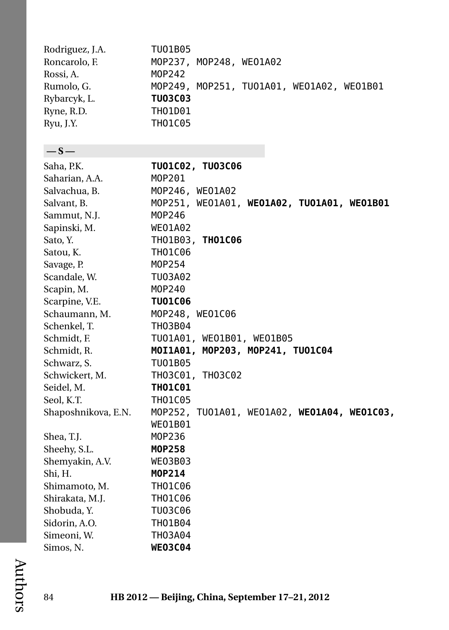| Rodriguez, J.A.     | TU01B05                                     |
|---------------------|---------------------------------------------|
| Roncarolo, F.       | MOP237, MOP248, WE01A02                     |
| Rossi, A.           | M0P242                                      |
| Rumolo, G.          | MOP249, MOP251, TU01A01, WE01A02, WE01B01   |
| Rybarcyk, L.        | <b>TU03C03</b>                              |
| Ryne, R.D.          | TH01D01                                     |
| Ryu, J.Y.           | <b>TH01C05</b>                              |
|                     |                                             |
| $-$ s $-$           |                                             |
| Saha, P.K.          | TU01C02, TU03C06                            |
| Saharian, A.A.      | M0P201                                      |
| Salvachua, B.       | MOP246, WEO1A02                             |
| Salvant, B.         | MOP251, WE01A01, WE01A02, TU01A01, WE01B01  |
| Sammut, N.J.        | M0P246                                      |
| Sapinski, M.        | <b>WEO1A02</b>                              |
| Sato, Y.            | TH01B03, TH01C06                            |
| Satou, K.           | <b>TH01C06</b>                              |
| Savage, P.          | M0P254                                      |
| Scandale, W.        | TU03A02                                     |
| Scapin, M.          | M0P240                                      |
| Scarpine, V.E.      | <b>TU01C06</b>                              |
| Schaumann, M.       | MOP248, WEO1C06                             |
| Schenkel, T.        | <b>TH03B04</b>                              |
| Schmidt, F.         | TU01A01, WE01B01, WE01B05                   |
| Schmidt, R.         | MOI1A01, MOP203, MOP241, TUO1C04            |
| Schwarz, S.         | TU01B05                                     |
| Schwickert, M.      | TH03C01, TH03C02                            |
| Seidel, M.          | <b>THO1C01</b>                              |
| Seol, K.T.          | TH01C05                                     |
| Shaposhnikova, E.N. | MOP252, TU01A01, WE01A02, WE01A04, WE01C03, |
|                     | WEO1B01                                     |
| Shea, T.J.          | M0P236                                      |
| Sheehy, S.L.        | M0P258                                      |
| Shemyakin, A.V.     | WE03B03                                     |
| Shi, H.             | M0P214                                      |
| Shimamoto, M.       | TH01C06                                     |
| Shirakata, M.J.     | TH01C06                                     |
| Shobuda, Y.         | TU03C06                                     |
| Sidorin, A.O.       | TH01B04                                     |
| Simeoni, W.         | TH03A04                                     |
| Simos, N.           | <b>WE03C04</b>                              |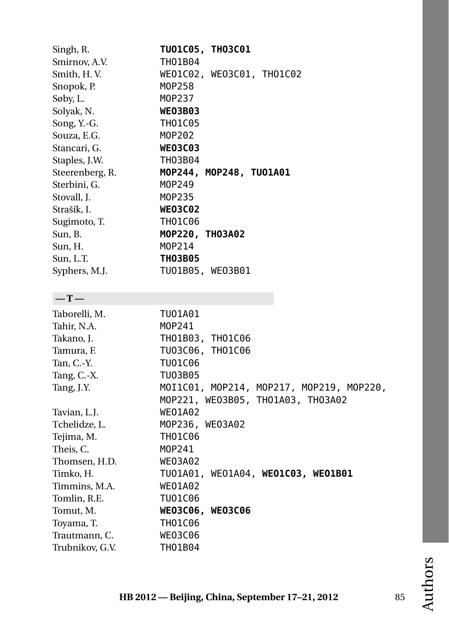| Singh, R.       | <b>TUO1C05, THO3C01</b>                  |
|-----------------|------------------------------------------|
| Smirnov, A.V.   | TH01B04                                  |
| Smith, H.V.     | WE01C02, WE03C01, TH01C02                |
| Snopok, P.      | M0P258                                   |
| Søby, L.        | M0P237                                   |
| Solyak, N.      | <b>WE03B03</b>                           |
| Song, Y.-G.     | <b>TH01C05</b>                           |
| Souza, E.G.     | M0P202                                   |
| Stancari, G.    | <b>WE03C03</b>                           |
| Staples, J.W.   | TH03B04                                  |
| Steerenberg, R. | MOP244, MOP248, TU01A01                  |
| Sterbini, G.    | M0P249                                   |
| Stovall, J.     | M0P235                                   |
| Strašík, I.     | <b>WE03C02</b>                           |
| Sugimoto, T.    | <b>TH01C06</b>                           |
| Sun, B.         | MOP220, THO3A02                          |
| Sun, H.         | M0P214                                   |
| Sun, L.T.       | <b>TH03B05</b>                           |
| Syphers, M.J.   | TU01B05, WE03B01                         |
|                 |                                          |
| $-T-$           |                                          |
| Taborelli, M.   | TU01A01                                  |
| Tahir, N.A.     | M0P241                                   |
| Takano, J.      | TH01B03, TH01C06                         |
| Tamura, F.      | TU03C06,<br>TH01C06                      |
| Tan, C.-Y.      | TU01C06                                  |
| Tang, C.-X.     | TU03B05                                  |
| Tang, J.Y.      | MOI1C01, MOP214, MOP217, MOP219, MOP220, |
|                 | MOP221, WE03B05, TH01A03, TH03A02        |
| Tavian, L.J.    | <b>WEO1A02</b>                           |
| Tchelidze, L.   | MOP236, WE03A02                          |
| Tejima, M.      | <b>TH01C06</b>                           |
| Theis, C.       | M0P241                                   |
| Thomsen, H.D.   | <b>WE03A02</b>                           |
| Timko, H.       | TU01A01, WE01A04, WE01C03, WE01B01       |
| Timmins, M.A.   | <b>WEO1A02</b>                           |
| Tomlin, R.E.    | TU01C06                                  |
| Tomut, M.       | WE03C06, WE03C06                         |
| Toyama, T.      | <b>TH01C06</b>                           |
| Trautmann, C.   | <b>WE03C06</b>                           |
| Trubnikov, G.V. | <b>TH01B04</b>                           |
|                 |                                          |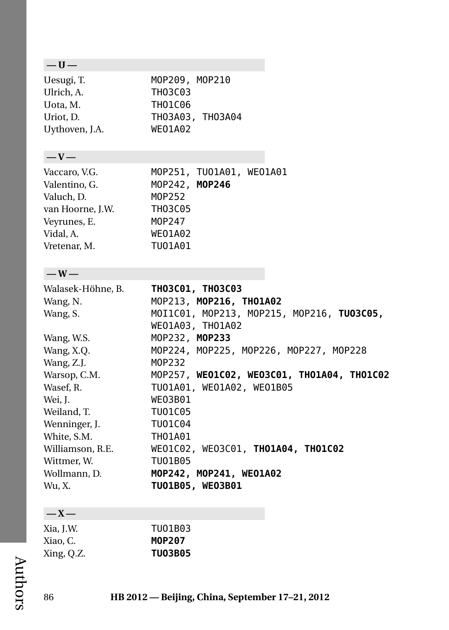# **— U —**

| Uesugi, T.     | MOP209. MOP210   |
|----------------|------------------|
| Ulrich, A.     | TH03C03          |
| Uota, M.       | TH01C06          |
| Uriot. D.      | TH03A03, TH03A04 |
| Uythoven, J.A. | <b>WEO1A02</b>   |

## **— V —**

| Vaccaro, V.G.    |                | MOP251, TU01A01, WE01A01 |  |
|------------------|----------------|--------------------------|--|
| Valentino, G.    | MOP242, MOP246 |                          |  |
| Valuch, D.       | M0P252         |                          |  |
| van Hoorne, J.W. | <b>TH03C05</b> |                          |  |
| Veyrunes, E.     | M0P247         |                          |  |
| Vidal, A.        | <b>WEO1A02</b> |                          |  |
| Vretenar, M.     | TU01A01        |                          |  |

### **— W —**

| Walasek-Höhne, B. | TH03C01, TH03C03                           |
|-------------------|--------------------------------------------|
| Wang, N.          | MOP213, MOP216, THO1A02                    |
| Wang, S.          | MOI1C01, MOP213, MOP215, MOP216, TU03C05,  |
|                   | WE01A03, TH01A02                           |
| Wang, W.S.        | MOP232, MOP233                             |
| Wang, X.Q.        | MOP224, MOP225, MOP226, MOP227, MOP228     |
| Wang, Z.J.        | M0P232                                     |
| Warsop, C.M.      | MOP257, WE01C02, WE03C01, TH01A04, TH01C02 |
| Wasef, R.         | TU01A01, WE01A02, WE01B05                  |
| Wei, J.           | WE03B01                                    |
| Weiland, T.       | TU01C05                                    |
| Wenninger, J.     | TU01C04                                    |
| White, S.M.       | TH01A01                                    |
| Williamson, R.E.  | WE01C02, WE03C01, TH01A04, TH01C02         |
| Wittmer, W.       | TU01B05                                    |
| Wollmann, D.      | MOP242, MOP241, WE01A02                    |
| Wu, X.            | TU01B05, WE03B01                           |

## **— X —**

| Xia, J.W.  | TU01B03        |
|------------|----------------|
| Xiao. C.   | M0P207         |
| Xing, Q.Z. | <b>TU03B05</b> |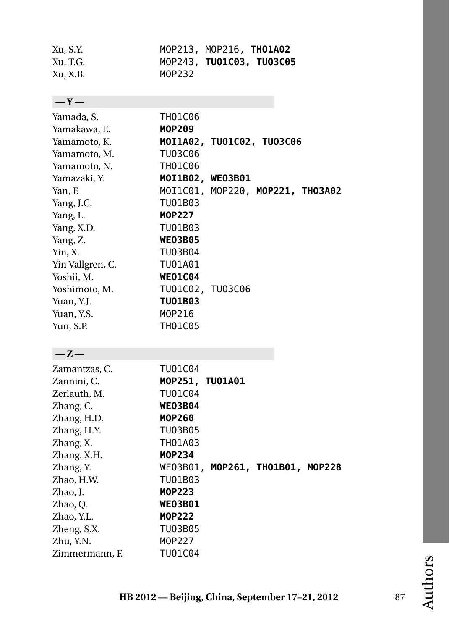| Xu, S.Y. |        | MOP213, MOP216, THO1A02  |  |
|----------|--------|--------------------------|--|
| Xu, T.G. |        | MOP243, TUO1C03, TUO3C05 |  |
| Xu, X.B. | M0P232 |                          |  |

TH01C06

| $-$ Y $-$                                        |  |
|--------------------------------------------------|--|
| Yamada, S.                                       |  |
| Yamakawa. F                                      |  |
| $V_{\text{max}}$ and $\sim$ $\sim$ $\sim$ $\sim$ |  |

Zhao, J.<br>Zhao, Q.

Zheng, S.X.

| Yamakawa, E.     | MOP209                           |
|------------------|----------------------------------|
| Yamamoto, K.     | MOI1A02, TU01C02, TU03C06        |
| Yamamoto, M.     | TU03C06                          |
| Yamamoto, N.     | TH01C06                          |
| Yamazaki, Y.     | MOI1B02, WE03B01                 |
| Yan, F.          | MOI1C01, MOP220, MOP221, THO3A02 |
| Yang, J.C.       | TU01B03                          |
| Yang, L.         | M0P227                           |
| Yang, X.D.       | TU01B03                          |
| Yang, Z.         | <b>WEO3B05</b>                   |
| Yin, X.          | TU03B04                          |
| Yin Vallgren, C. | TU01A01                          |
| Yoshii, M.       | <b>WEO1C04</b>                   |
| Yoshimoto, M.    | TU01C02, TU03C06                 |
| Yuan, Y.J.       | TU01B03                          |
| Yuan, Y.S.       | M0P216                           |
| Yun, S.P.        | <b>TH01C05</b>                   |
|                  |                                  |
| $-Z-$            |                                  |
| Zamantzas, C.    | TU01C04                          |
| Zannini, C.      | MOP251, TUO1A01                  |
| Zerlauth, M.     | TU01C04                          |
| Zhang, C.        | <b>WE03B04</b>                   |
| Zhang, H.D.      | M0P260                           |
| Zhang, H.Y.      | TU03B05                          |
| Zhang, X.        | TH01A03                          |
| Zhang, X.H.      | M0P234                           |
| Zhang, Y.        | WE03B01, MOP261, THO1B01, MOP228 |
| Zhao, H.W.       | TU01B03                          |
| Zhao. I.         | <b>MOP223</b>                    |

WE03B01<br>MOP222

Zhao, Y.L. **[MOP222](#page-38-0)**

Zhu, Y.N. [MOP227](#page-40-4) Zimmermann, F. TU01C04